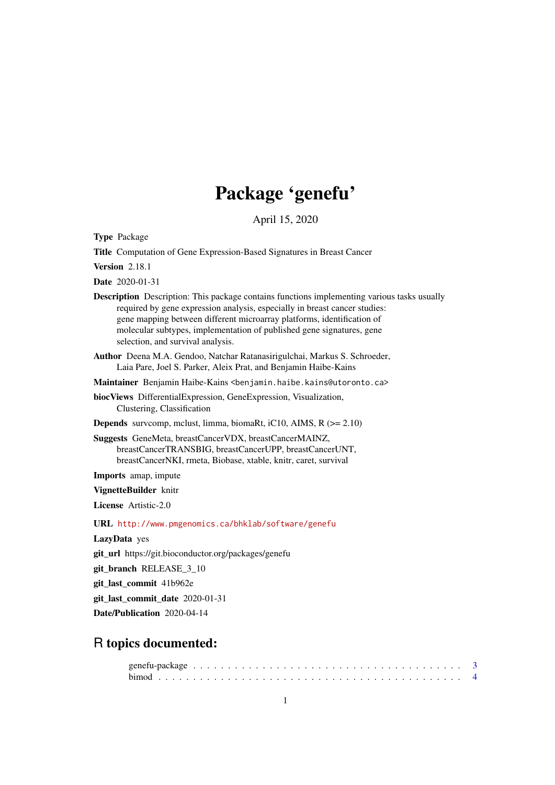# Package 'genefu'

April 15, 2020

<span id="page-0-0"></span>Type Package

Title Computation of Gene Expression-Based Signatures in Breast Cancer

Version 2.18.1

Date 2020-01-31

Description Description: This package contains functions implementing various tasks usually required by gene expression analysis, especially in breast cancer studies: gene mapping between different microarray platforms, identification of molecular subtypes, implementation of published gene signatures, gene selection, and survival analysis.

Author Deena M.A. Gendoo, Natchar Ratanasirigulchai, Markus S. Schroeder, Laia Pare, Joel S. Parker, Aleix Prat, and Benjamin Haibe-Kains

Maintainer Benjamin Haibe-Kains <benjamin.haibe.kains@utoronto.ca>

biocViews DifferentialExpression, GeneExpression, Visualization, Clustering, Classification

**Depends** survcomp, mclust, limma, biomaRt, iC10, AIMS,  $R$  ( $>= 2.10$ )

Suggests GeneMeta, breastCancerVDX, breastCancerMAINZ, breastCancerTRANSBIG, breastCancerUPP, breastCancerUNT, breastCancerNKI, rmeta, Biobase, xtable, knitr, caret, survival

Imports amap, impute

VignetteBuilder knitr

License Artistic-2.0

URL <http://www.pmgenomics.ca/bhklab/software/genefu>

LazyData yes

git\_url https://git.bioconductor.org/packages/genefu

git\_branch RELEASE\_3\_10

git\_last\_commit 41b962e

git\_last\_commit\_date 2020-01-31

Date/Publication 2020-04-14

## R topics documented: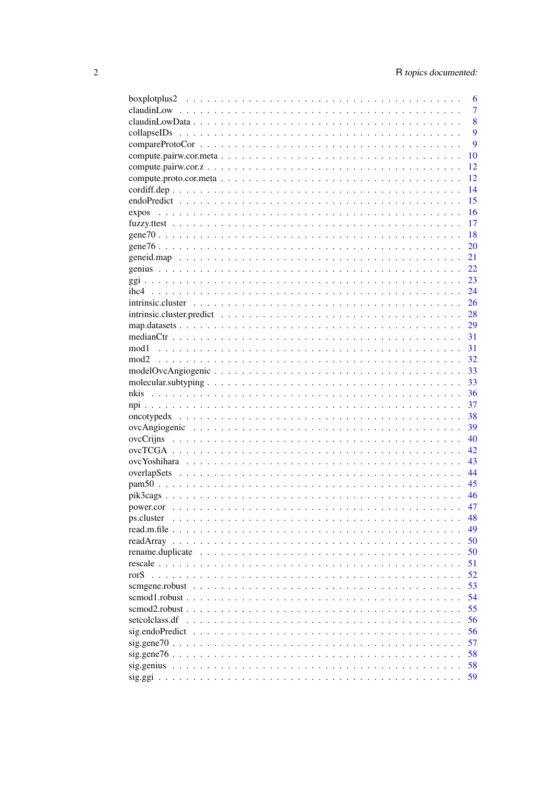|                | 6              |
|----------------|----------------|
|                | $\overline{7}$ |
|                | 8              |
|                | 9              |
|                | 9              |
|                | 10             |
|                | 12             |
|                | 12             |
|                | 14             |
|                | 15             |
|                | 16             |
|                | 17             |
|                | 18             |
|                |                |
|                | 20             |
|                | 21             |
|                | 22             |
|                | 23             |
|                | 24             |
|                | 26             |
|                | 28             |
|                | 29             |
|                | 31             |
| mod1           | 31             |
|                | 32             |
|                | 33             |
|                | 33             |
|                | 36             |
|                | 37             |
|                | 38             |
|                | 39             |
|                | 40             |
|                |                |
|                | 42             |
|                | 43             |
|                |                |
|                | - 45           |
|                | 46             |
|                | 47             |
| ps.cluster     | 48             |
|                | 49             |
|                | 50             |
|                | 50             |
|                | 51             |
|                | 52             |
|                | 53             |
|                | 54             |
|                | 55             |
| setcolclass.df | 56             |
|                |                |
|                | 56             |
|                | 57             |
|                | 58             |
|                | 58             |
|                | 59             |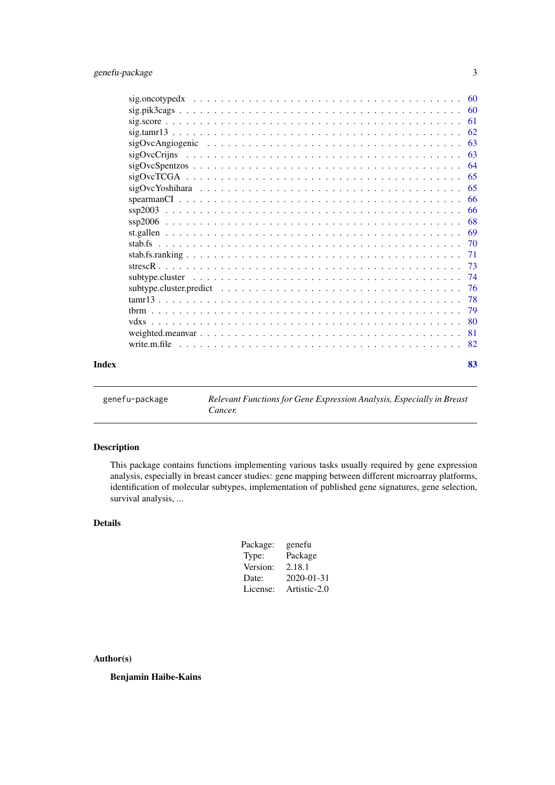<span id="page-2-0"></span>

| Index | 83 |
|-------|----|
|       |    |

genefu-package *Relevant Functions for Gene Expression Analysis, Especially in Breast Cancer.*

## Description

This package contains functions implementing various tasks usually required by gene expression analysis, especially in breast cancer studies: gene mapping between different microarray platforms, identification of molecular subtypes, implementation of published gene signatures, gene selection, survival analysis, ...

## Details

| Package: | genefu       |
|----------|--------------|
| Type:    | Package      |
| Version: | 2.18.1       |
| Date:    | 2020-01-31   |
| License: | Artistic-2.0 |

## Author(s)

Benjamin Haibe-Kains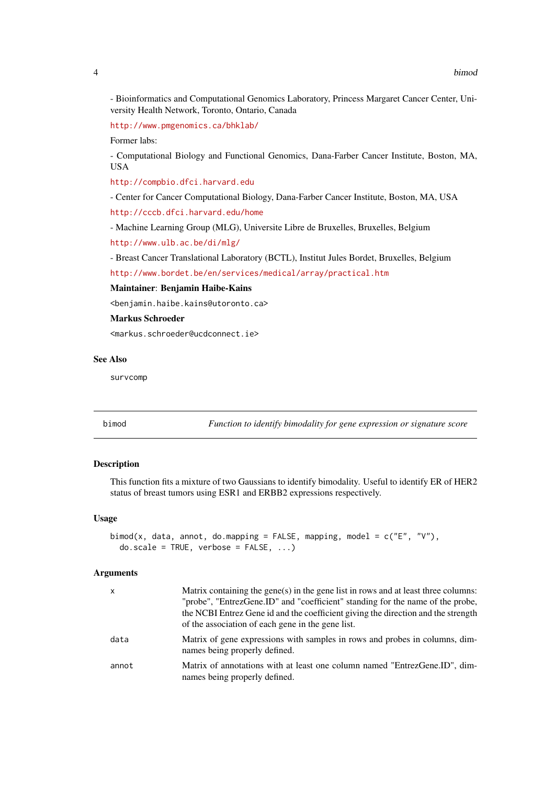<span id="page-3-0"></span>- Bioinformatics and Computational Genomics Laboratory, Princess Margaret Cancer Center, University Health Network, Toronto, Ontario, Canada

<http://www.pmgenomics.ca/bhklab/>

Former labs:

- Computational Biology and Functional Genomics, Dana-Farber Cancer Institute, Boston, MA, USA

<http://compbio.dfci.harvard.edu>

- Center for Cancer Computational Biology, Dana-Farber Cancer Institute, Boston, MA, USA

<http://cccb.dfci.harvard.edu/home>

- Machine Learning Group (MLG), Universite Libre de Bruxelles, Bruxelles, Belgium

<http://www.ulb.ac.be/di/mlg/>

- Breast Cancer Translational Laboratory (BCTL), Institut Jules Bordet, Bruxelles, Belgium

<http://www.bordet.be/en/services/medical/array/practical.htm>

#### Maintainer: Benjamin Haibe-Kains

<benjamin.haibe.kains@utoronto.ca>

#### Markus Schroeder

<markus.schroeder@ucdconnect.ie>

#### See Also

survcomp

bimod *Function to identify bimodality for gene expression or signature score*

## Description

This function fits a mixture of two Gaussians to identify bimodality. Useful to identify ER of HER2 status of breast tumors using ESR1 and ERBB2 expressions respectively.

## Usage

```
bimod(x, data, annot, do.mapping = FALSE, mapping, model = c("E", "V"),
  do.\text{scale} = \text{TRUE}, \text{verbose} = \text{FALSE}, \dots
```
#### Arguments

| X     | Matrix containing the gene(s) in the gene list in rows and at least three columns:<br>"probe", "EntrezGene.ID" and "coefficient" standing for the name of the probe,<br>the NCBI Entrez Gene id and the coefficient giving the direction and the strength<br>of the association of each gene in the gene list. |
|-------|----------------------------------------------------------------------------------------------------------------------------------------------------------------------------------------------------------------------------------------------------------------------------------------------------------------|
| data  | Matrix of gene expressions with samples in rows and probes in columns, dim-<br>names being properly defined.                                                                                                                                                                                                   |
| annot | Matrix of annotations with at least one column named "EntrezGene.ID", dim-<br>names being properly defined.                                                                                                                                                                                                    |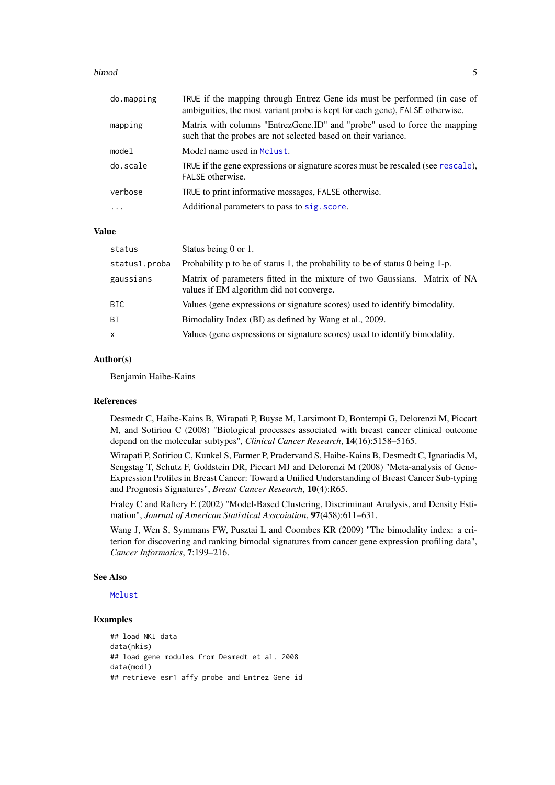#### bimod 5

| do.mapping | TRUE if the mapping through Entrez Gene ids must be performed (in case of<br>ambiguities, the most variant probe is kept for each gene), FALSE otherwise. |
|------------|-----------------------------------------------------------------------------------------------------------------------------------------------------------|
| mapping    | Matrix with columns "EntrezGene.ID" and "probe" used to force the mapping<br>such that the probes are not selected based on their variance.               |
| model      | Model name used in Mclust.                                                                                                                                |
| do.scale   | TRUE if the gene expressions or signature scores must be rescaled (see rescale),<br>FALSE otherwise.                                                      |
| verbose    | TRUE to print informative messages, FALSE otherwise.                                                                                                      |
| $\ddots$ . | Additional parameters to pass to sig. score.                                                                                                              |

## Value

| status        | Status being 0 or 1.                                                                                                  |
|---------------|-----------------------------------------------------------------------------------------------------------------------|
| status1.proba | Probability $p$ to be of status 1, the probability to be of status 0 being 1-p.                                       |
| gaussians     | Matrix of parameters fitted in the mixture of two Gaussians. Matrix of NA<br>values if EM algorithm did not converge. |
| BIC           | Values (gene expressions or signature scores) used to identify bimodality.                                            |
| BI            | Bimodality Index (BI) as defined by Wang et al., 2009.                                                                |
| $\mathsf{x}$  | Values (gene expressions or signature scores) used to identify bimodality.                                            |

#### Author(s)

Benjamin Haibe-Kains

#### References

Desmedt C, Haibe-Kains B, Wirapati P, Buyse M, Larsimont D, Bontempi G, Delorenzi M, Piccart M, and Sotiriou C (2008) "Biological processes associated with breast cancer clinical outcome depend on the molecular subtypes", *Clinical Cancer Research*, 14(16):5158–5165.

Wirapati P, Sotiriou C, Kunkel S, Farmer P, Pradervand S, Haibe-Kains B, Desmedt C, Ignatiadis M, Sengstag T, Schutz F, Goldstein DR, Piccart MJ and Delorenzi M (2008) "Meta-analysis of Gene-Expression Profiles in Breast Cancer: Toward a Unified Understanding of Breast Cancer Sub-typing and Prognosis Signatures", *Breast Cancer Research*, 10(4):R65.

Fraley C and Raftery E (2002) "Model-Based Clustering, Discriminant Analysis, and Density Estimation", *Journal of American Statistical Asscoiation*, 97(458):611–631.

Wang J, Wen S, Symmans FW, Pusztai L and Coombes KR (2009) "The bimodality index: a criterion for discovering and ranking bimodal signatures from cancer gene expression profiling data", *Cancer Informatics*, 7:199–216.

## See Also

[Mclust](#page-0-0)

```
## load NKI data
data(nkis)
## load gene modules from Desmedt et al. 2008
data(mod1)
## retrieve esr1 affy probe and Entrez Gene id
```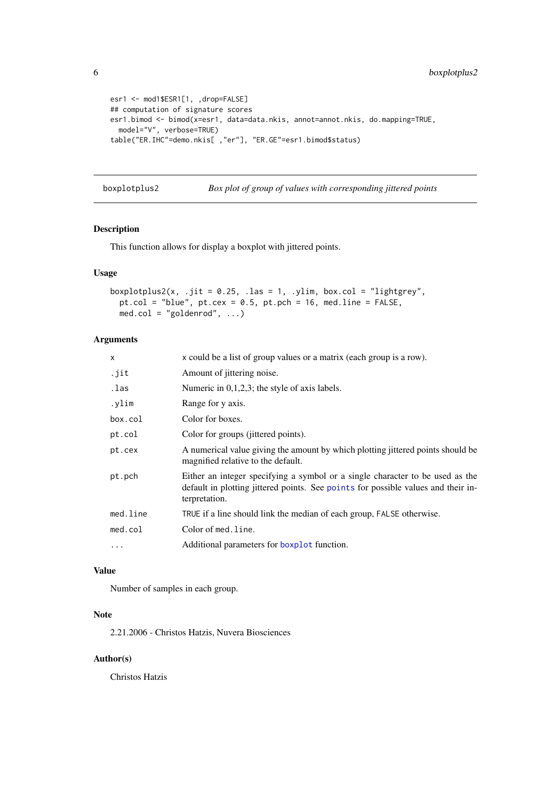```
esr1 <- mod1$ESR1[1, ,drop=FALSE]
## computation of signature scores
esr1.bimod <- bimod(x=esr1, data=data.nkis, annot=annot.nkis, do.mapping=TRUE,
  model="V", verbose=TRUE)
table("ER.IHC"=demo.nkis[ ,"er"], "ER.GE"=esr1.bimod$status)
```

```
boxplotplus2 Box plot of group of values with corresponding jittered points
```
## Description

This function allows for display a boxplot with jittered points.

## Usage

```
boxplotplus2(x, .jit = 0.25, .las = 1, .ylim, box.col = "lightgrey",
  pt.col = "blue", pt. cex = 0.5, pt. pch = 16, med. line = FALSE,
  med.col = "goldenrod", ...)
```
#### Arguments

| X        | x could be a list of group values or a matrix (each group is a row).                                                                                                                |
|----------|-------------------------------------------------------------------------------------------------------------------------------------------------------------------------------------|
| .jit     | Amount of jittering noise.                                                                                                                                                          |
| .las     | Numeric in $0,1,2,3$ ; the style of axis labels.                                                                                                                                    |
| .ylim    | Range for y axis.                                                                                                                                                                   |
| box.col  | Color for boxes.                                                                                                                                                                    |
| pt.col   | Color for groups (jittered points).                                                                                                                                                 |
| pt.cex   | A numerical value giving the amount by which plotting jittered points should be<br>magnified relative to the default.                                                               |
| pt.pch   | Either an integer specifying a symbol or a single character to be used as the<br>default in plotting jittered points. See points for possible values and their in-<br>terpretation. |
| med.line | TRUE if a line should link the median of each group, FALSE otherwise.                                                                                                               |
| med.col  | Color of med.line.                                                                                                                                                                  |
| $\cdot$  | Additional parameters for boxplot function.                                                                                                                                         |
|          |                                                                                                                                                                                     |

#### Value

Number of samples in each group.

#### Note

2.21.2006 - Christos Hatzis, Nuvera Biosciences

## Author(s)

Christos Hatzis

<span id="page-5-0"></span>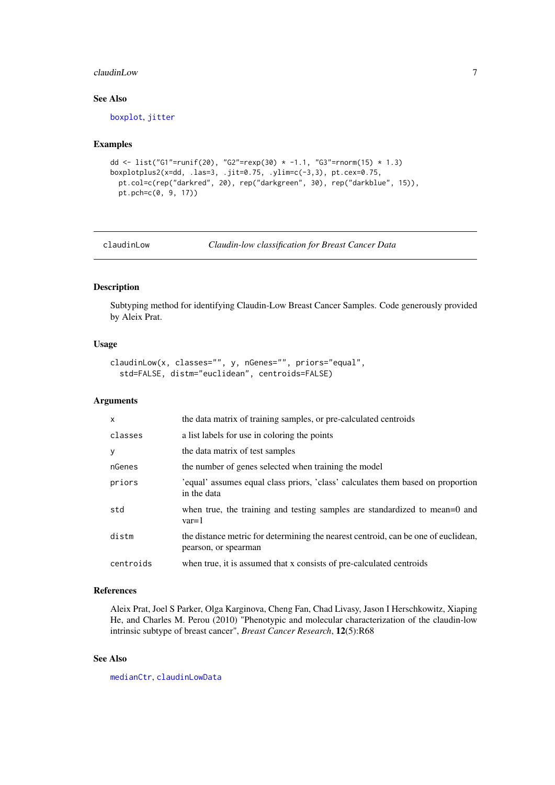## <span id="page-6-0"></span>claudinLow 7

## See Also

[boxplot](#page-0-0), [jitter](#page-0-0)

#### Examples

```
dd <- list("G1"=runif(20), "G2"=rexp(30) * -1.1, "G3"=rnorm(15) * 1.3)
boxplotplus2(x=dd, .las=3, .jit=0.75, .ylim=c(-3,3), pt.cex=0.75,
  pt.col=c(rep("darkred", 20), rep("darkgreen", 30), rep("darkblue", 15)),
  pt.pch=c(0, 9, 17))
```
claudinLow *Claudin-low classification for Breast Cancer Data*

#### Description

Subtyping method for identifying Claudin-Low Breast Cancer Samples. Code generously provided by Aleix Prat.

## Usage

```
claudinLow(x, classes="", y, nGenes="", priors="equal",
  std=FALSE, distm="euclidean", centroids=FALSE)
```
#### Arguments

| X         | the data matrix of training samples, or pre-calculated centroids                                           |
|-----------|------------------------------------------------------------------------------------------------------------|
| classes   | a list labels for use in coloring the points                                                               |
| y         | the data matrix of test samples                                                                            |
| nGenes    | the number of genes selected when training the model                                                       |
| priors    | 'equal' assumes equal class priors, 'class' calculates them based on proportion<br>in the data             |
| std       | when true, the training and testing samples are standardized to mean=0 and<br>$var=1$                      |
| distm     | the distance metric for determining the nearest centroid, can be one of euclidean,<br>pearson, or spearman |
| centroids | when true, it is assumed that x consists of pre-calculated centroids                                       |

## References

Aleix Prat, Joel S Parker, Olga Karginova, Cheng Fan, Chad Livasy, Jason I Herschkowitz, Xiaping He, and Charles M. Perou (2010) "Phenotypic and molecular characterization of the claudin-low intrinsic subtype of breast cancer", *Breast Cancer Research*, 12(5):R68

## See Also

[medianCtr](#page-30-1), [claudinLowData](#page-7-1)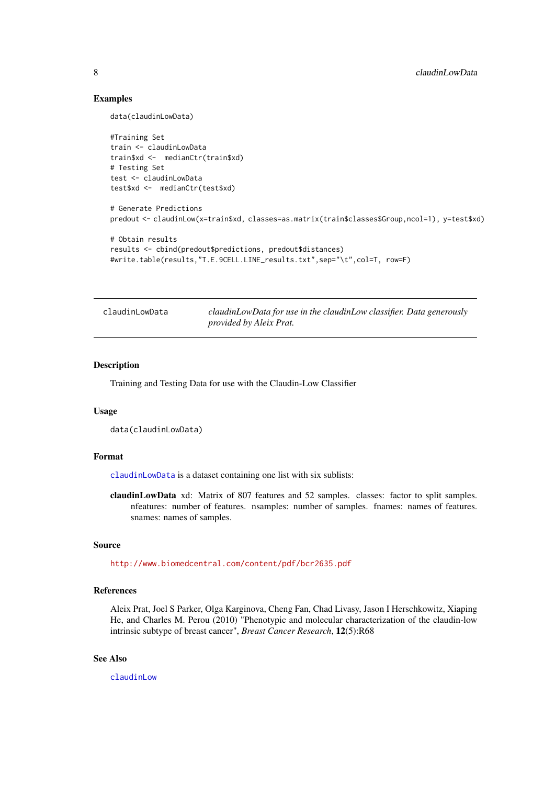## Examples

data(claudinLowData)

```
#Training Set
train <- claudinLowData
train$xd <- medianCtr(train$xd)
# Testing Set
test <- claudinLowData
test$xd <- medianCtr(test$xd)
# Generate Predictions
predout <- claudinLow(x=train$xd, classes=as.matrix(train$classes$Group,ncol=1), y=test$xd)
# Obtain results
results <- cbind(predout$predictions, predout$distances)
#write.table(results,"T.E.9CELL.LINE_results.txt",sep="\t",col=T, row=F)
```
<span id="page-7-1"></span>claudinLowData *claudinLowData for use in the claudinLow classifier. Data generously provided by Aleix Prat.*

## Description

Training and Testing Data for use with the Claudin-Low Classifier

#### Usage

```
data(claudinLowData)
```
#### Format

[claudinLowData](#page-7-1) is a dataset containing one list with six sublists:

claudinLowData xd: Matrix of 807 features and 52 samples. classes: factor to split samples. nfeatures: number of features. nsamples: number of samples. fnames: names of features. snames: names of samples.

## Source

<http://www.biomedcentral.com/content/pdf/bcr2635.pdf>

## References

Aleix Prat, Joel S Parker, Olga Karginova, Cheng Fan, Chad Livasy, Jason I Herschkowitz, Xiaping He, and Charles M. Perou (2010) "Phenotypic and molecular characterization of the claudin-low intrinsic subtype of breast cancer", *Breast Cancer Research*, 12(5):R68

## See Also

[claudinLow](#page-6-1)

<span id="page-7-0"></span>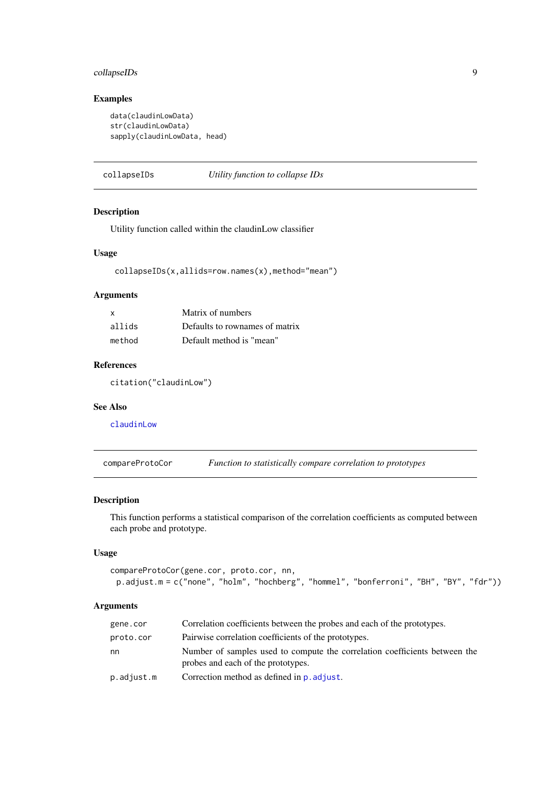## <span id="page-8-0"></span>collapseIDs 9

## Examples

```
data(claudinLowData)
str(claudinLowData)
sapply(claudinLowData, head)
```
collapseIDs *Utility function to collapse IDs*

## Description

Utility function called within the claudinLow classifier

## Usage

collapseIDs(x,allids=row.names(x),method="mean")

#### Arguments

| X      | Matrix of numbers              |
|--------|--------------------------------|
| allids | Defaults to rownames of matrix |
| method | Default method is "mean"       |

## References

citation("claudinLow")

## See Also

[claudinLow](#page-6-1)

<span id="page-8-1"></span>compareProtoCor *Function to statistically compare correlation to prototypes*

## Description

This function performs a statistical comparison of the correlation coefficients as computed between each probe and prototype.

## Usage

```
compareProtoCor(gene.cor, proto.cor, nn,
 p.adjust.m = c("none", "holm", "hochberg", "hommel", "bonferroni", "BH", "BY", "fdr"))
```
## Arguments

| gene.cor   | Correlation coefficients between the probes and each of the prototypes.                                          |
|------------|------------------------------------------------------------------------------------------------------------------|
| proto.cor  | Pairwise correlation coefficients of the prototypes.                                                             |
| nn         | Number of samples used to compute the correlation coefficients between the<br>probes and each of the prototypes. |
| p.adjust.m | Correction method as defined in <b>p</b> . adjust.                                                               |
|            |                                                                                                                  |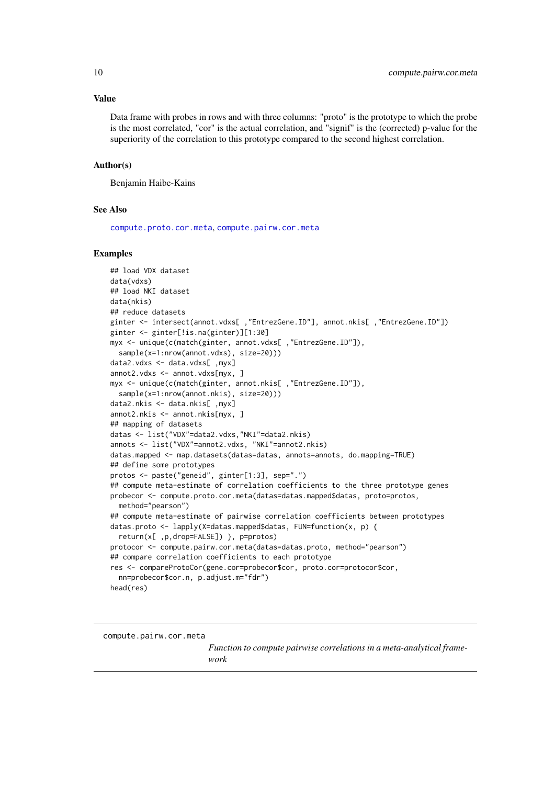#### <span id="page-9-0"></span>Value

Data frame with probes in rows and with three columns: "proto" is the prototype to which the probe is the most correlated, "cor" is the actual correlation, and "signif" is the (corrected) p-value for the superiority of the correlation to this prototype compared to the second highest correlation.

#### Author(s)

Benjamin Haibe-Kains

#### See Also

[compute.proto.cor.meta](#page-11-1), [compute.pairw.cor.meta](#page-9-1)

#### Examples

```
## load VDX dataset
data(vdxs)
## load NKI dataset
data(nkis)
## reduce datasets
ginter <- intersect(annot.vdxs[ ,"EntrezGene.ID"], annot.nkis[ ,"EntrezGene.ID"])
ginter <- ginter[!is.na(ginter)][1:30]
myx <- unique(c(match(ginter, annot.vdxs[ ,"EntrezGene.ID"]),
  sample(x=1:nrow(annot.vdxs), size=20)))
data2.vdxs <- data.vdxs[ ,myx]
annot2.vdxs <- annot.vdxs[myx, ]
myx <- unique(c(match(ginter, annot.nkis[ ,"EntrezGene.ID"]),
  sample(x=1:nrow(annot.nkis), size=20)))
data2.nkis <- data.nkis[ ,myx]
annot2.nkis <- annot.nkis[myx, ]
## mapping of datasets
datas <- list("VDX"=data2.vdxs,"NKI"=data2.nkis)
annots <- list("VDX"=annot2.vdxs, "NKI"=annot2.nkis)
datas.mapped <- map.datasets(datas=datas, annots=annots, do.mapping=TRUE)
## define some prototypes
protos <- paste("geneid", ginter[1:3], sep=".")
## compute meta-estimate of correlation coefficients to the three prototype genes
probecor <- compute.proto.cor.meta(datas=datas.mapped$datas, proto=protos,
 method="pearson")
## compute meta-estimate of pairwise correlation coefficients between prototypes
datas.proto <- lapply(X=datas.mapped$datas, FUN=function(x, p) {
  return(x[ ,p,drop=FALSE]) }, p=protos)
protocor <- compute.pairw.cor.meta(datas=datas.proto, method="pearson")
## compare correlation coefficients to each prototype
res <- compareProtoCor(gene.cor=probecor$cor, proto.cor=protocor$cor,
  nn=probecor$cor.n, p.adjust.m="fdr")
head(res)
```
<span id="page-9-1"></span>compute.pairw.cor.meta

*Function to compute pairwise correlations in a meta-analytical framework*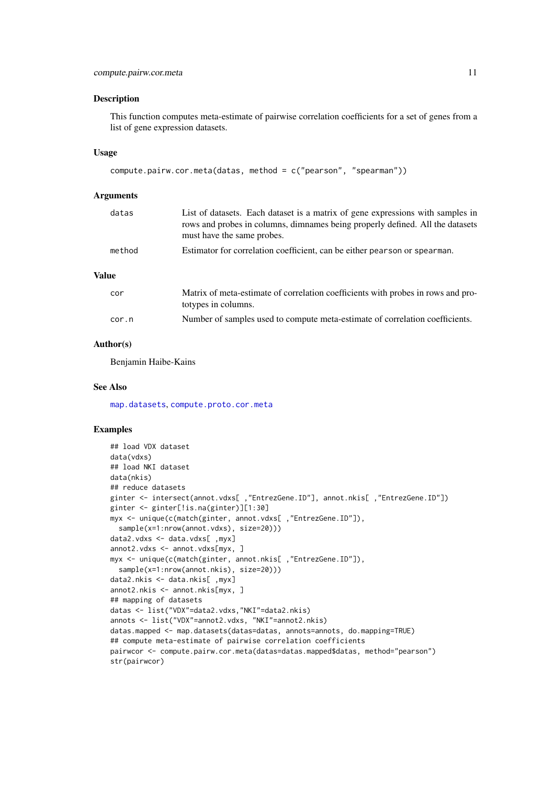#### Description

This function computes meta-estimate of pairwise correlation coefficients for a set of genes from a list of gene expression datasets.

#### Usage

```
compute.pairw.cor.meta(datas, method = c("pearson", "spearman"))
```
#### Arguments

| datas  | List of datasets. Each dataset is a matrix of gene expressions with samples in<br>rows and probes in columns, dimnames being properly defined. All the datasets<br>must have the same probes. |
|--------|-----------------------------------------------------------------------------------------------------------------------------------------------------------------------------------------------|
| method | Estimator for correlation coefficient, can be either pearson or spearman.                                                                                                                     |
| Value  |                                                                                                                                                                                               |

| cor   | Matrix of meta-estimate of correlation coefficients with probes in rows and pro- |
|-------|----------------------------------------------------------------------------------|
|       | totypes in columns.                                                              |
| cor.n | Number of samples used to compute meta-estimate of correlation coefficients.     |

#### Author(s)

Benjamin Haibe-Kains

#### See Also

[map.datasets](#page-28-1), [compute.proto.cor.meta](#page-11-1)

```
## load VDX dataset
data(vdxs)
## load NKI dataset
data(nkis)
## reduce datasets
ginter <- intersect(annot.vdxs[ ,"EntrezGene.ID"], annot.nkis[ ,"EntrezGene.ID"])
ginter <- ginter[!is.na(ginter)][1:30]
myx <- unique(c(match(ginter, annot.vdxs[ ,"EntrezGene.ID"]),
  sample(x=1:nrow(annot.vdxs), size=20)))
data2.vdxs <- data.vdxs[ ,myx]
annot2.vdxs <- annot.vdxs[myx, ]
myx <- unique(c(match(ginter, annot.nkis[ ,"EntrezGene.ID"]),
  sample(x=1:nrow(annot.nkis), size=20)))
data2.nkis <- data.nkis[ ,myx]
annot2.nkis <- annot.nkis[myx, ]
## mapping of datasets
datas <- list("VDX"=data2.vdxs,"NKI"=data2.nkis)
annots <- list("VDX"=annot2.vdxs, "NKI"=annot2.nkis)
datas.mapped <- map.datasets(datas=datas, annots=annots, do.mapping=TRUE)
## compute meta-estimate of pairwise correlation coefficients
pairwcor <- compute.pairw.cor.meta(datas=datas.mapped$datas, method="pearson")
str(pairwcor)
```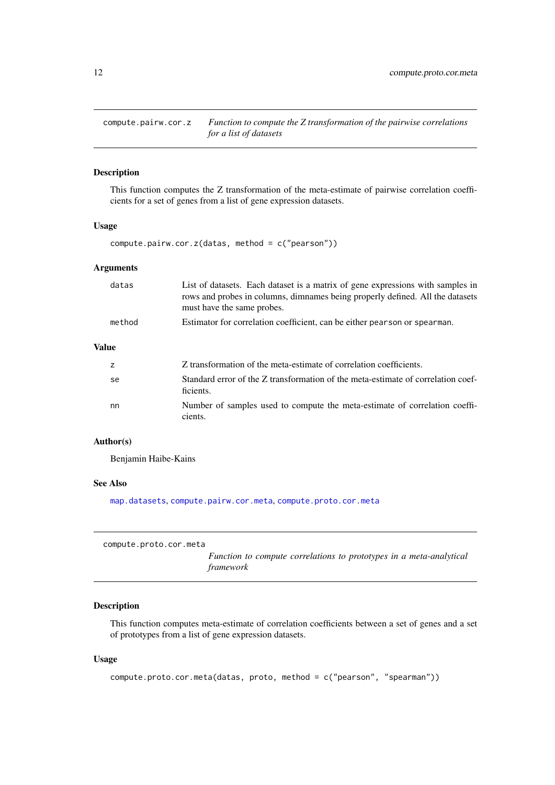<span id="page-11-0"></span>compute.pairw.cor.z *Function to compute the Z transformation of the pairwise correlations for a list of datasets*

## Description

This function computes the Z transformation of the meta-estimate of pairwise correlation coefficients for a set of genes from a list of gene expression datasets.

#### Usage

compute.pairw.cor.z(datas, method = c("pearson"))

## Arguments

| datas  | List of datasets. Each dataset is a matrix of gene expressions with samples in<br>rows and probes in columns, dimnames being properly defined. All the datasets<br>must have the same probes. |
|--------|-----------------------------------------------------------------------------------------------------------------------------------------------------------------------------------------------|
| method | Estimator for correlation coefficient, can be either pearson or spearman.                                                                                                                     |
| …۱     |                                                                                                                                                                                               |

## Value

|    | Z transformation of the meta-estimate of correlation coefficients.                            |
|----|-----------------------------------------------------------------------------------------------|
| se | Standard error of the Z transformation of the meta-estimate of correlation coef-<br>ficients. |
| nn | Number of samples used to compute the meta-estimate of correlation coeffi-<br>cients.         |

#### Author(s)

Benjamin Haibe-Kains

#### See Also

[map.datasets](#page-28-1), [compute.pairw.cor.meta](#page-9-1), [compute.proto.cor.meta](#page-11-1)

<span id="page-11-1"></span>compute.proto.cor.meta

*Function to compute correlations to prototypes in a meta-analytical framework*

## Description

This function computes meta-estimate of correlation coefficients between a set of genes and a set of prototypes from a list of gene expression datasets.

## Usage

```
compute.proto.cor.meta(datas, proto, method = c("pearson", "spearman"))
```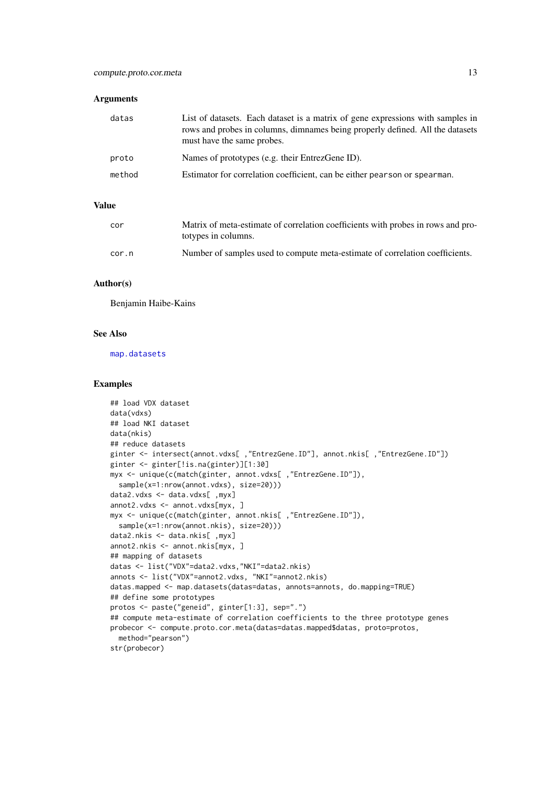#### Arguments

| datas  | List of datasets. Each dataset is a matrix of gene expressions with samples in<br>rows and probes in columns, dimnames being properly defined. All the datasets<br>must have the same probes. |
|--------|-----------------------------------------------------------------------------------------------------------------------------------------------------------------------------------------------|
| proto  | Names of prototypes (e.g. their EntrezGene ID).                                                                                                                                               |
| method | Estimator for correlation coefficient, can be either pearson or spearman.                                                                                                                     |

## Value

| cor   | Matrix of meta-estimate of correlation coefficients with probes in rows and pro-<br>totypes in columns. |
|-------|---------------------------------------------------------------------------------------------------------|
| cor.n | Number of samples used to compute meta-estimate of correlation coefficients.                            |

## Author(s)

Benjamin Haibe-Kains

#### See Also

[map.datasets](#page-28-1)

```
## load VDX dataset
data(vdxs)
## load NKI dataset
data(nkis)
## reduce datasets
ginter <- intersect(annot.vdxs[ ,"EntrezGene.ID"], annot.nkis[ ,"EntrezGene.ID"])
ginter <- ginter[!is.na(ginter)][1:30]
myx <- unique(c(match(ginter, annot.vdxs[ ,"EntrezGene.ID"]),
  sample(x=1:nrow(annot.vdxs), size=20)))
data2.vdxs <- data.vdxs[ ,myx]
annot2.vdxs <- annot.vdxs[myx, ]
myx <- unique(c(match(ginter, annot.nkis[ ,"EntrezGene.ID"]),
  sample(x=1:nrow(annot.nkis), size=20)))
data2.nkis <- data.nkis[ ,myx]
annot2.nkis <- annot.nkis[myx, ]
## mapping of datasets
datas <- list("VDX"=data2.vdxs,"NKI"=data2.nkis)
annots <- list("VDX"=annot2.vdxs, "NKI"=annot2.nkis)
datas.mapped <- map.datasets(datas=datas, annots=annots, do.mapping=TRUE)
## define some prototypes
protos <- paste("geneid", ginter[1:3], sep=".")
## compute meta-estimate of correlation coefficients to the three prototype genes
probecor <- compute.proto.cor.meta(datas=datas.mapped$datas, proto=protos,
  method="pearson")
str(probecor)
```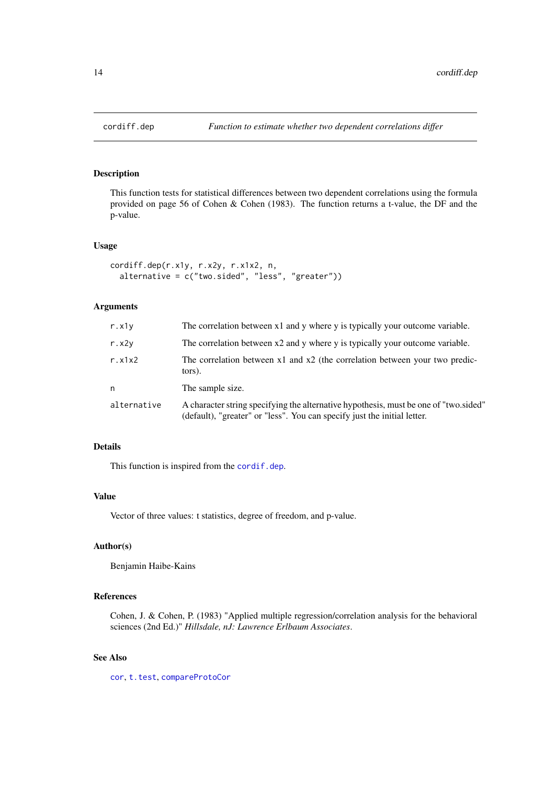<span id="page-13-0"></span>

## Description

This function tests for statistical differences between two dependent correlations using the formula provided on page 56 of Cohen & Cohen (1983). The function returns a t-value, the DF and the p-value.

#### Usage

```
cordiff.dep(r.x1y, r.x2y, r.x1x2, n,
 alternative = c("two.sided", "less", "greater"))
```
## Arguments

| r.x1v       | The correlation between x1 and y where y is typically your outcome variable.                                                                                     |
|-------------|------------------------------------------------------------------------------------------------------------------------------------------------------------------|
| r. x2v      | The correlation between x2 and y where y is typically your outcome variable.                                                                                     |
| r. x1x2     | The correlation between $x1$ and $x2$ (the correlation between your two predic-<br>tors).                                                                        |
| n           | The sample size.                                                                                                                                                 |
| alternative | A character string specifying the alternative hypothesis, must be one of "two sided"<br>(default), "greater" or "less". You can specify just the initial letter. |

## Details

This function is inspired from the [cordif.dep](#page-0-0).

#### Value

Vector of three values: t statistics, degree of freedom, and p-value.

## Author(s)

Benjamin Haibe-Kains

## References

Cohen, J. & Cohen, P. (1983) "Applied multiple regression/correlation analysis for the behavioral sciences (2nd Ed.)" *Hillsdale, nJ: Lawrence Erlbaum Associates*.

## See Also

[cor](#page-0-0), [t.test](#page-0-0), [compareProtoCor](#page-8-1)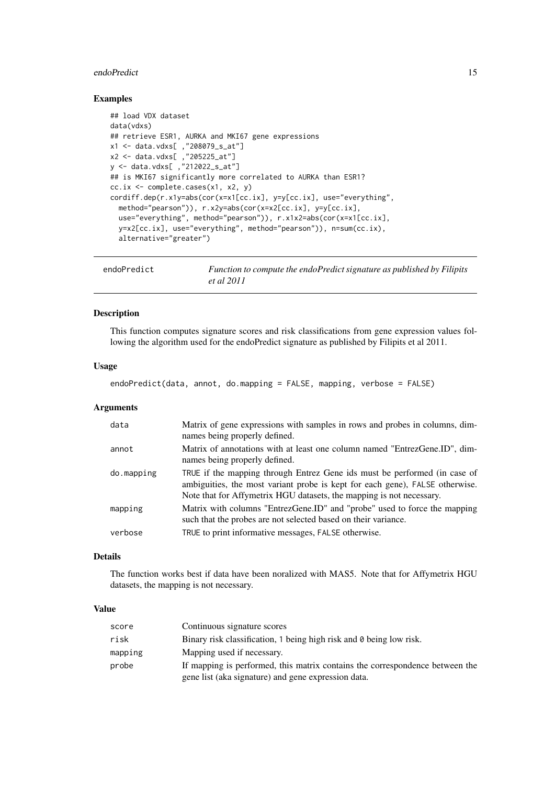#### <span id="page-14-0"></span>endoPredict 15

## Examples

```
## load VDX dataset
data(vdxs)
## retrieve ESR1, AURKA and MKI67 gene expressions
x1 <- data.vdxs[ ,"208079_s_at"]
x2 <- data.vdxs[ ,"205225_at"]
y <- data.vdxs[ ,"212022_s_at"]
## is MKI67 significantly more correlated to AURKA than ESR1?
cc.ix <- complete.cases(x1, x2, y)
cordiff.dep(r.x1y=abs(cor(x=x1[cc.ix], y=y[cc.ix], use="everything",
  method="pearson")), r.x2y=abs(cor(x=x2[cc.ix], y=y[cc.ix],
  use="everything", method="pearson")), r.x1x2=abs(cor(x=x1[cc.ix],
  y=x2[cc.ix], use="everything", method="pearson")), n=sum(cc.ix),
  alternative="greater")
```

| endoPredict | Function to compute the endoPredict signature as published by Filipits |
|-------------|------------------------------------------------------------------------|
|             | <i>et al</i> 2011                                                      |

#### Description

This function computes signature scores and risk classifications from gene expression values following the algorithm used for the endoPredict signature as published by Filipits et al 2011.

## Usage

```
endoPredict(data, annot, do.mapping = FALSE, mapping, verbose = FALSE)
```
#### Arguments

| data       | Matrix of gene expressions with samples in rows and probes in columns, dim-<br>names being properly defined.                                                                                                                      |
|------------|-----------------------------------------------------------------------------------------------------------------------------------------------------------------------------------------------------------------------------------|
| annot      | Matrix of annotations with at least one column named "EntrezGene.ID", dim-<br>names being properly defined.                                                                                                                       |
| do.mapping | TRUE if the mapping through Entrez Gene ids must be performed (in case of<br>ambiguities, the most variant probe is kept for each gene), FALSE otherwise.<br>Note that for Affymetrix HGU datasets, the mapping is not necessary. |
| mapping    | Matrix with columns "EntrezGene.ID" and "probe" used to force the mapping<br>such that the probes are not selected based on their variance.                                                                                       |
| verbose    | TRUE to print informative messages, FALSE otherwise.                                                                                                                                                                              |

#### Details

The function works best if data have been noralized with MAS5. Note that for Affymetrix HGU datasets, the mapping is not necessary.

## Value

| score   | Continuous signature scores                                                  |
|---------|------------------------------------------------------------------------------|
| risk    | Binary risk classification, 1 being high risk and 0 being low risk.          |
| mapping | Mapping used if necessary.                                                   |
| probe   | If mapping is performed, this matrix contains the correspondence between the |
|         | gene list (aka signature) and gene expression data.                          |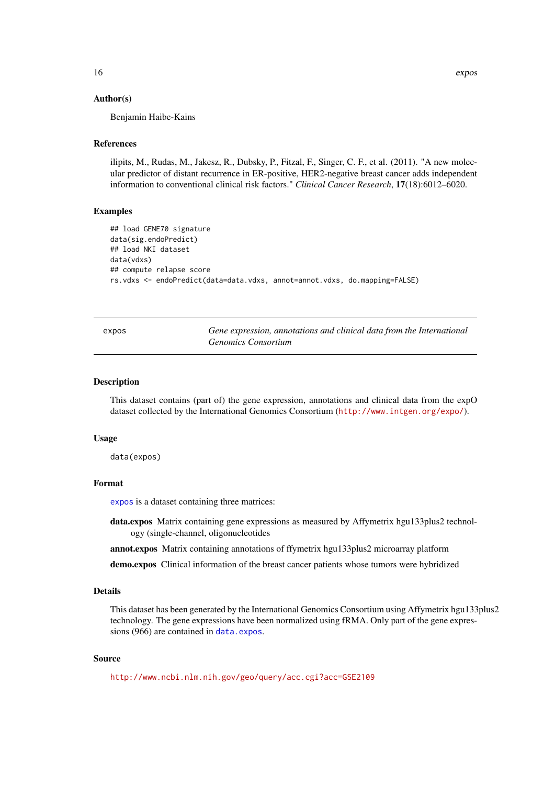#### Author(s)

Benjamin Haibe-Kains

#### References

ilipits, M., Rudas, M., Jakesz, R., Dubsky, P., Fitzal, F., Singer, C. F., et al. (2011). "A new molecular predictor of distant recurrence in ER-positive, HER2-negative breast cancer adds independent information to conventional clinical risk factors." *Clinical Cancer Research*, 17(18):6012–6020.

#### Examples

```
## load GENE70 signature
data(sig.endoPredict)
## load NKI dataset
data(vdxs)
## compute relapse score
rs.vdxs <- endoPredict(data=data.vdxs, annot=annot.vdxs, do.mapping=FALSE)
```
<span id="page-15-1"></span>expos *Gene expression, annotations and clinical data from the International Genomics Consortium*

## <span id="page-15-2"></span>Description

This dataset contains (part of) the gene expression, annotations and clinical data from the expO dataset collected by the International Genomics Consortium (<http://www.intgen.org/expo/>).

#### Usage

data(expos)

#### Format

[expos](#page-15-1) is a dataset containing three matrices:

data.expos Matrix containing gene expressions as measured by Affymetrix hgu133plus2 technology (single-channel, oligonucleotides

annot.expos Matrix containing annotations of ffymetrix hgu133plus2 microarray platform

demo.expos Clinical information of the breast cancer patients whose tumors were hybridized

#### Details

This dataset has been generated by the International Genomics Consortium using Affymetrix hgu133plus2 technology. The gene expressions have been normalized using fRMA. Only part of the gene expressions (966) are contained in [data.expos](#page-15-2).

#### Source

<http://www.ncbi.nlm.nih.gov/geo/query/acc.cgi?acc=GSE2109>

<span id="page-15-0"></span>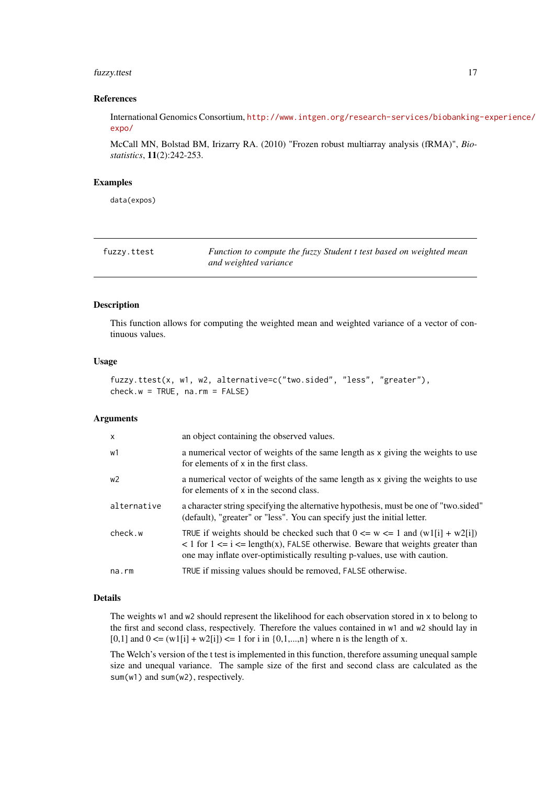#### <span id="page-16-0"></span>fuzzy.ttest 17

#### References

International Genomics Consortium, [http://www.intgen.org/research-services/biobanking](http://www.intgen.org/research-services/biobanking-experience/expo/)-experience/ [expo/](http://www.intgen.org/research-services/biobanking-experience/expo/)

McCall MN, Bolstad BM, Irizarry RA. (2010) "Frozen robust multiarray analysis (fRMA)", *Biostatistics*, 11(2):242-253.

## Examples

data(expos)

| fuzzy.ttest | Function to compute the fuzzy Student t test based on weighted mean |
|-------------|---------------------------------------------------------------------|
|             | and weighted variance                                               |

## Description

This function allows for computing the weighted mean and weighted variance of a vector of continuous values.

## Usage

```
fuzzy.ttest(x, w1, w2, alternative=c("two.sided", "less", "greater"),
check.w = TRUE, na.rm = FALSE)
```
#### Arguments

| $\mathsf{x}$ | an object containing the observed values.                                                                                                                                                                                                                                                                    |
|--------------|--------------------------------------------------------------------------------------------------------------------------------------------------------------------------------------------------------------------------------------------------------------------------------------------------------------|
| w1           | a numerical vector of weights of the same length as x giving the weights to use<br>for elements of x in the first class.                                                                                                                                                                                     |
| w2           | a numerical vector of weights of the same length as x giving the weights to use<br>for elements of x in the second class.                                                                                                                                                                                    |
| alternative  | a character string specifying the alternative hypothesis, must be one of "two.sided"<br>(default), "greater" or "less". You can specify just the initial letter.                                                                                                                                             |
| check.w      | TRUE if weights should be checked such that $0 \le w \le 1$ and $(w1[i] + w2[i])$<br>$\langle 1 \rangle$ for $1 \langle 1 \rangle = i \langle 1 \rangle = \text{length}(x)$ , FALSE otherwise. Beware that weights greater than<br>one may inflate over-optimistically resulting p-values, use with caution. |
| $na$ . $rm$  | TRUE if missing values should be removed, FALSE otherwise.                                                                                                                                                                                                                                                   |

#### Details

The weights w1 and w2 should represent the likelihood for each observation stored in x to belong to the first and second class, respectively. Therefore the values contained in w1 and w2 should lay in [0,1] and  $0 \leq |w1[i] + w2[i] \leq 1$  for i in  $\{0,1,...,n\}$  where n is the length of x.

The Welch's version of the t test is implemented in this function, therefore assuming unequal sample size and unequal variance. The sample size of the first and second class are calculated as the sum(w1) and sum(w2), respectively.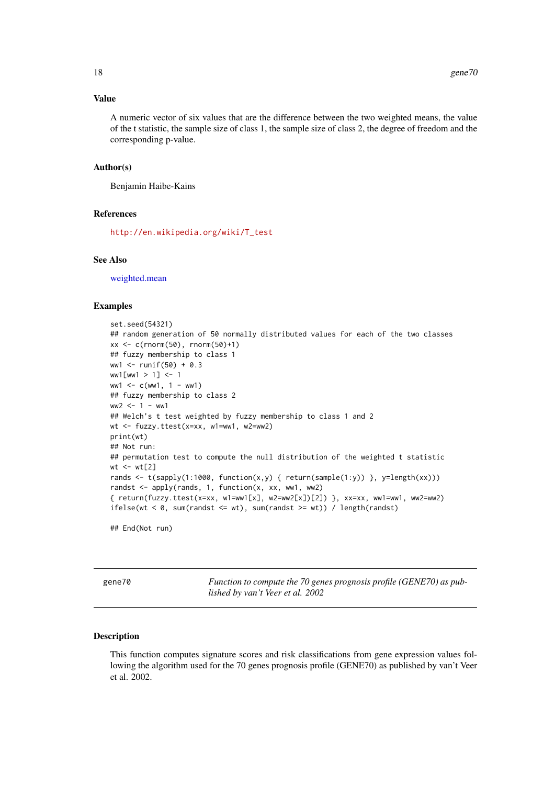#### <span id="page-17-0"></span>Value

A numeric vector of six values that are the difference between the two weighted means, the value of the t statistic, the sample size of class 1, the sample size of class 2, the degree of freedom and the corresponding p-value.

## Author(s)

Benjamin Haibe-Kains

#### References

[http://en.wikipedia.org/wiki/T\\_test](http://en.wikipedia.org/wiki/T_test)

## See Also

[weighted.mean](#page-0-0)

#### Examples

```
set.seed(54321)
## random generation of 50 normally distributed values for each of the two classes
xx <- c(rnorm(50), rnorm(50)+1)
## fuzzy membership to class 1
ww1 < - runif(50) + 0.3ww15ww1 > 17 < -1ww1 < -c(ww1, 1 - ww1)## fuzzy membership to class 2
ww2 < - 1 - ww1## Welch's t test weighted by fuzzy membership to class 1 and 2
wt <- fuzzy.ttest(x=xx, w1=ww1, w2=ww2)
print(wt)
## Not run:
## permutation test to compute the null distribution of the weighted t statistic
wt <- wt[2]rands <- t(sapply(1:1000, function(x,y) { return(sample(1:y)) }, y=length(xx))randst <- apply(rands, 1, function(x, xx, ww1, ww2)
{ return(fuzzy.ttest(x=xx, w1=ww1[x], w2=ww2[x])[2]) }, xx=xx, ww1=ww1, ww2=ww2)
ifelse(wt < 0, sum(randst \le wt), sum(randst \ge wt)) / length(randst)
```
## End(Not run)

gene70 *Function to compute the 70 genes prognosis profile (GENE70) as published by van't Veer et al. 2002*

#### Description

This function computes signature scores and risk classifications from gene expression values following the algorithm used for the 70 genes prognosis profile (GENE70) as published by van't Veer et al. 2002.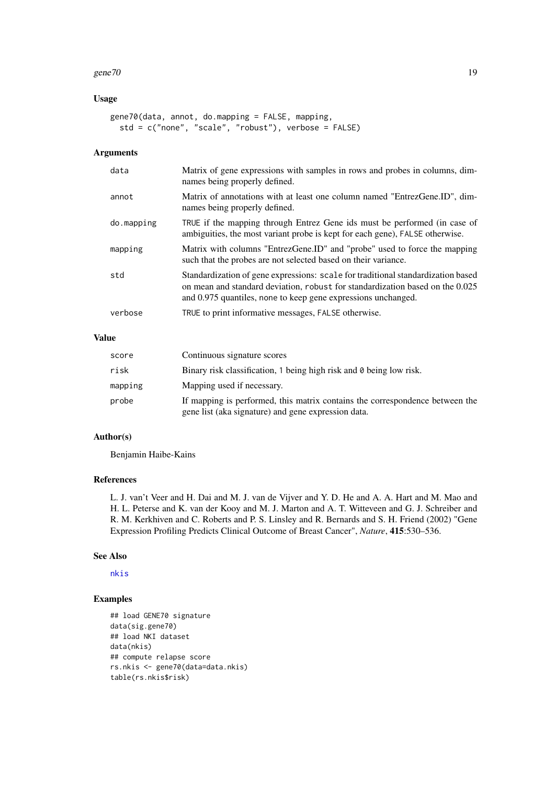#### gene $70$  19

## Usage

```
gene70(data, annot, do.mapping = FALSE, mapping,
 std = c("none", "scale", "robust"), verbose = FALSE)
```
## Arguments

| data       | Matrix of gene expressions with samples in rows and probes in columns, dim-<br>names being properly defined.                                                                                                                       |
|------------|------------------------------------------------------------------------------------------------------------------------------------------------------------------------------------------------------------------------------------|
| annot      | Matrix of annotations with at least one column named "EntrezGene.ID", dim-<br>names being properly defined.                                                                                                                        |
| do.mapping | TRUE if the mapping through Entrez Gene ids must be performed (in case of<br>ambiguities, the most variant probe is kept for each gene), FALSE otherwise.                                                                          |
| mapping    | Matrix with columns "EntrezGene.ID" and "probe" used to force the mapping<br>such that the probes are not selected based on their variance.                                                                                        |
| std        | Standardization of gene expressions: scale for traditional standardization based<br>on mean and standard deviation, robust for standardization based on the 0.025<br>and 0.975 quantiles, none to keep gene expressions unchanged. |
| verbose    | TRUE to print informative messages, FALSE otherwise.                                                                                                                                                                               |

## Value

| score   | Continuous signature scores                                                                                                         |
|---------|-------------------------------------------------------------------------------------------------------------------------------------|
| risk    | Binary risk classification, 1 being high risk and 0 being low risk.                                                                 |
| mapping | Mapping used if necessary.                                                                                                          |
| probe   | If mapping is performed, this matrix contains the correspondence between the<br>gene list (aka signature) and gene expression data. |

## Author(s)

Benjamin Haibe-Kains

## References

L. J. van't Veer and H. Dai and M. J. van de Vijver and Y. D. He and A. A. Hart and M. Mao and H. L. Peterse and K. van der Kooy and M. J. Marton and A. T. Witteveen and G. J. Schreiber and R. M. Kerkhiven and C. Roberts and P. S. Linsley and R. Bernards and S. H. Friend (2002) "Gene Expression Profiling Predicts Clinical Outcome of Breast Cancer", *Nature*, 415:530–536.

#### See Also

[nkis](#page-35-1)

```
## load GENE70 signature
data(sig.gene70)
## load NKI dataset
data(nkis)
## compute relapse score
rs.nkis <- gene70(data=data.nkis)
table(rs.nkis$risk)
```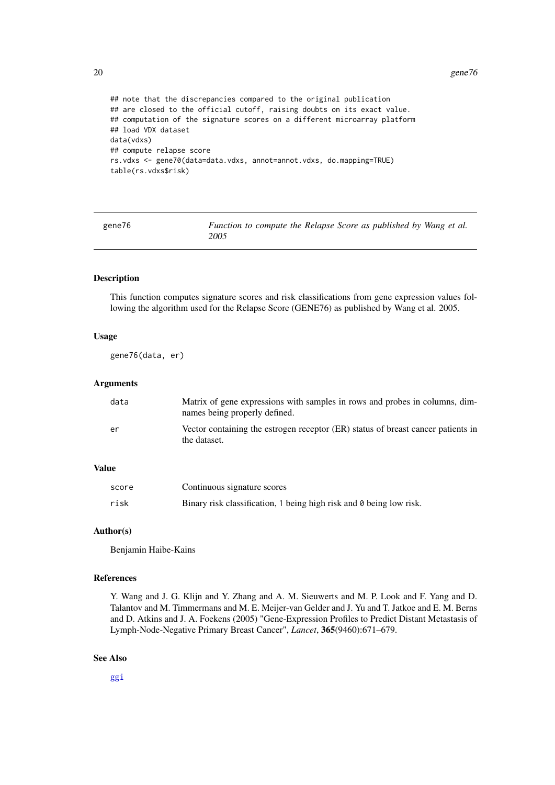#### <span id="page-19-0"></span>20 gene76

```
## note that the discrepancies compared to the original publication
## are closed to the official cutoff, raising doubts on its exact value.
## computation of the signature scores on a different microarray platform
## load VDX dataset
data(vdxs)
## compute relapse score
rs.vdxs <- gene70(data=data.vdxs, annot=annot.vdxs, do.mapping=TRUE)
table(rs.vdxs$risk)
```
<span id="page-19-1"></span>

| gene76 | Function to compute the Relapse Score as published by Wang et al. |
|--------|-------------------------------------------------------------------|
|        | 2005                                                              |

## Description

This function computes signature scores and risk classifications from gene expression values following the algorithm used for the Relapse Score (GENE76) as published by Wang et al. 2005.

#### Usage

gene76(data, er)

## Arguments

| data | Matrix of gene expressions with samples in rows and probes in columns, dim-<br>names being properly defined. |
|------|--------------------------------------------------------------------------------------------------------------|
| er   | Vector containing the estrogen receptor (ER) status of breast cancer patients in<br>the dataset.             |

## Value

| score | Continuous signature scores                                         |
|-------|---------------------------------------------------------------------|
| risk  | Binary risk classification, 1 being high risk and 0 being low risk. |

#### Author(s)

Benjamin Haibe-Kains

#### References

Y. Wang and J. G. Klijn and Y. Zhang and A. M. Sieuwerts and M. P. Look and F. Yang and D. Talantov and M. Timmermans and M. E. Meijer-van Gelder and J. Yu and T. Jatkoe and E. M. Berns and D. Atkins and J. A. Foekens (2005) "Gene-Expression Profiles to Predict Distant Metastasis of Lymph-Node-Negative Primary Breast Cancer", *Lancet*, 365(9460):671–679.

## See Also

[ggi](#page-22-1)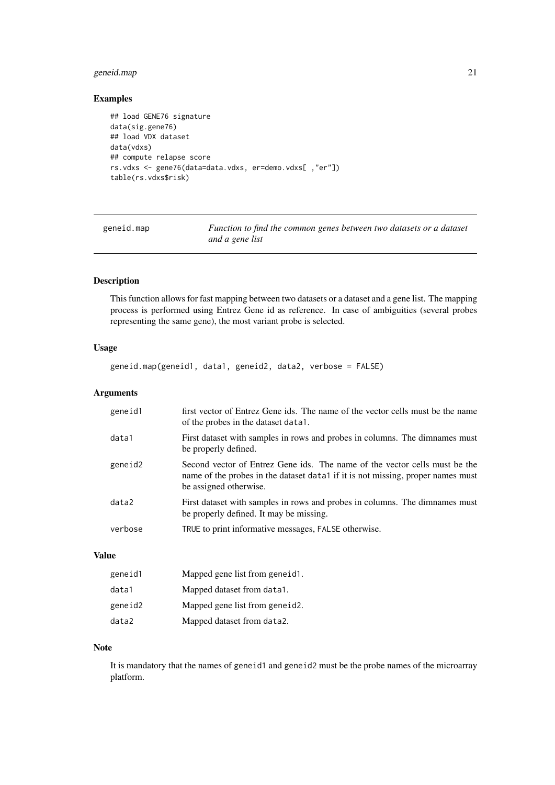#### <span id="page-20-0"></span>geneid.map 21

## Examples

```
## load GENE76 signature
data(sig.gene76)
## load VDX dataset
data(vdxs)
## compute relapse score
rs.vdxs <- gene76(data=data.vdxs, er=demo.vdxs[ ,"er"])
table(rs.vdxs$risk)
```
geneid.map *Function to find the common genes between two datasets or a dataset and a gene list*

## Description

This function allows for fast mapping between two datasets or a dataset and a gene list. The mapping process is performed using Entrez Gene id as reference. In case of ambiguities (several probes representing the same gene), the most variant probe is selected.

#### Usage

geneid.map(geneid1, data1, geneid2, data2, verbose = FALSE)

#### Arguments

| geneid1 | first vector of Entrez Gene ids. The name of the vector cells must be the name<br>of the probes in the dataset data1.                                                                   |
|---------|-----------------------------------------------------------------------------------------------------------------------------------------------------------------------------------------|
| data1   | First dataset with samples in rows and probes in columns. The dimnames must<br>be properly defined.                                                                                     |
| geneid2 | Second vector of Entrez Gene ids. The name of the vector cells must be the<br>name of the probes in the dataset data1 if it is not missing, proper names must<br>be assigned otherwise. |
| data2   | First dataset with samples in rows and probes in columns. The dimnames must<br>be properly defined. It may be missing.                                                                  |
| verbose | TRUE to print informative messages, FALSE otherwise.                                                                                                                                    |

## Value

| geneid1 | Mapped gene list from geneid1. |
|---------|--------------------------------|
| data1   | Mapped dataset from data1.     |
| geneid2 | Mapped gene list from geneid.  |
| data2   | Mapped dataset from data2.     |

## Note

It is mandatory that the names of geneid1 and geneid2 must be the probe names of the microarray platform.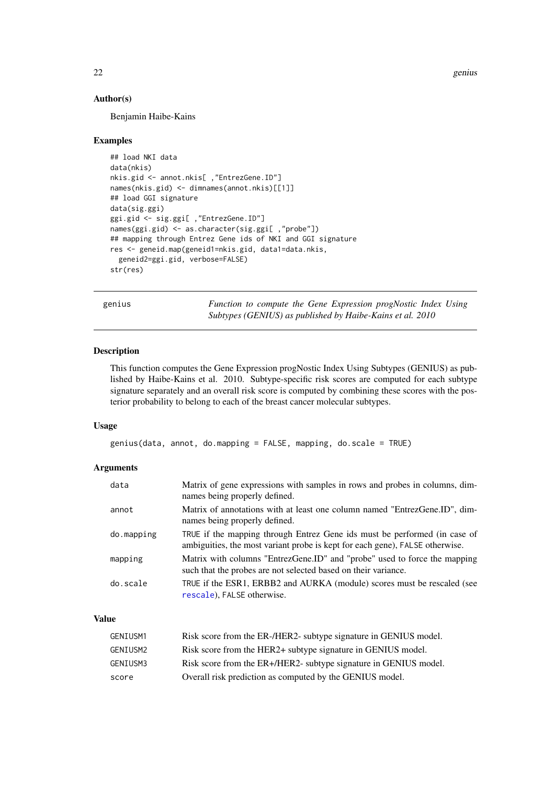22 genius

## Author(s)

Benjamin Haibe-Kains

## Examples

```
## load NKI data
data(nkis)
nkis.gid <- annot.nkis[ ,"EntrezGene.ID"]
names(nkis.gid) <- dimnames(annot.nkis)[[1]]
## load GGI signature
data(sig.ggi)
ggi.gid <- sig.ggi[ ,"EntrezGene.ID"]
names(ggi.gid) <- as.character(sig.ggi[ ,"probe"])
## mapping through Entrez Gene ids of NKI and GGI signature
res <- geneid.map(geneid1=nkis.gid, data1=data.nkis,
 geneid2=ggi.gid, verbose=FALSE)
str(res)
```
genius *Function to compute the Gene Expression progNostic Index Using Subtypes (GENIUS) as published by Haibe-Kains et al. 2010*

## Description

This function computes the Gene Expression progNostic Index Using Subtypes (GENIUS) as published by Haibe-Kains et al. 2010. Subtype-specific risk scores are computed for each subtype signature separately and an overall risk score is computed by combining these scores with the posterior probability to belong to each of the breast cancer molecular subtypes.

## Usage

```
genius(data, annot, do.mapping = FALSE, mapping, do.scale = TRUE)
```
#### Arguments

| data       | Matrix of gene expressions with samples in rows and probes in columns, dim-<br>names being properly defined.                                              |
|------------|-----------------------------------------------------------------------------------------------------------------------------------------------------------|
| annot      | Matrix of annotations with at least one column named "EntrezGene.ID", dim-<br>names being properly defined.                                               |
| do.mapping | TRUE if the mapping through Entrez Gene ids must be performed (in case of<br>ambiguities, the most variant probe is kept for each gene), FALSE otherwise. |
| mapping    | Matrix with columns "EntrezGene.ID" and "probe" used to force the mapping<br>such that the probes are not selected based on their variance.               |
| do.scale   | TRUE if the ESR1, ERBB2 and AURKA (module) scores must be rescaled (see<br>rescale), FALSE otherwise.                                                     |

## Value

| GENIUSM1 | Risk score from the ER-/HER2- subtype signature in GENIUS model. |
|----------|------------------------------------------------------------------|
| GENIUSM2 | Risk score from the HER2+ subtype signature in GENIUS model.     |
| GENIUSM3 | Risk score from the ER+/HER2- subtype signature in GENIUS model. |
| score    | Overall risk prediction as computed by the GENIUS model.         |

<span id="page-21-0"></span>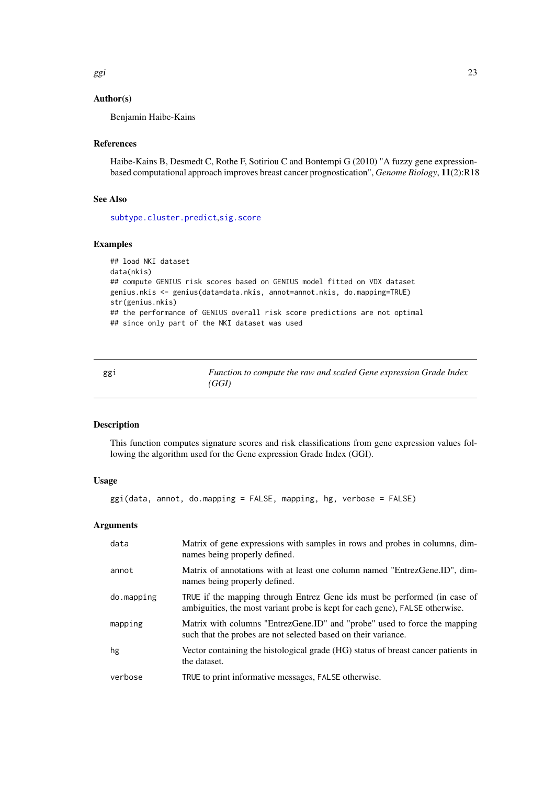<span id="page-22-0"></span>ggi en de la construction de la construction de la construction de la construction de la construction de la co

## Author(s)

Benjamin Haibe-Kains

#### References

Haibe-Kains B, Desmedt C, Rothe F, Sotiriou C and Bontempi G (2010) "A fuzzy gene expressionbased computational approach improves breast cancer prognostication", *Genome Biology*, 11(2):R18

## See Also

[subtype.cluster.predict](#page-75-1),[sig.score](#page-60-1)

## Examples

```
## load NKI dataset
data(nkis)
## compute GENIUS risk scores based on GENIUS model fitted on VDX dataset
genius.nkis <- genius(data=data.nkis, annot=annot.nkis, do.mapping=TRUE)
str(genius.nkis)
## the performance of GENIUS overall risk score predictions are not optimal
## since only part of the NKI dataset was used
```
<span id="page-22-1"></span>ggi *Function to compute the raw and scaled Gene expression Grade Index (GGI)*

## Description

This function computes signature scores and risk classifications from gene expression values following the algorithm used for the Gene expression Grade Index (GGI).

## Usage

ggi(data, annot, do.mapping = FALSE, mapping, hg, verbose = FALSE)

## Arguments

| data       | Matrix of gene expressions with samples in rows and probes in columns, dim-<br>names being properly defined.                                              |
|------------|-----------------------------------------------------------------------------------------------------------------------------------------------------------|
| annot      | Matrix of annotations with at least one column named "EntrezGene.ID", dim-<br>names being properly defined.                                               |
| do.mapping | TRUE if the mapping through Entrez Gene ids must be performed (in case of<br>ambiguities, the most variant probe is kept for each gene), FALSE otherwise. |
| mapping    | Matrix with columns "EntrezGene.ID" and "probe" used to force the mapping<br>such that the probes are not selected based on their variance.               |
| hg         | Vector containing the histological grade (HG) status of breast cancer patients in<br>the dataset.                                                         |
| verbose    | TRUE to print informative messages, FALSE otherwise.                                                                                                      |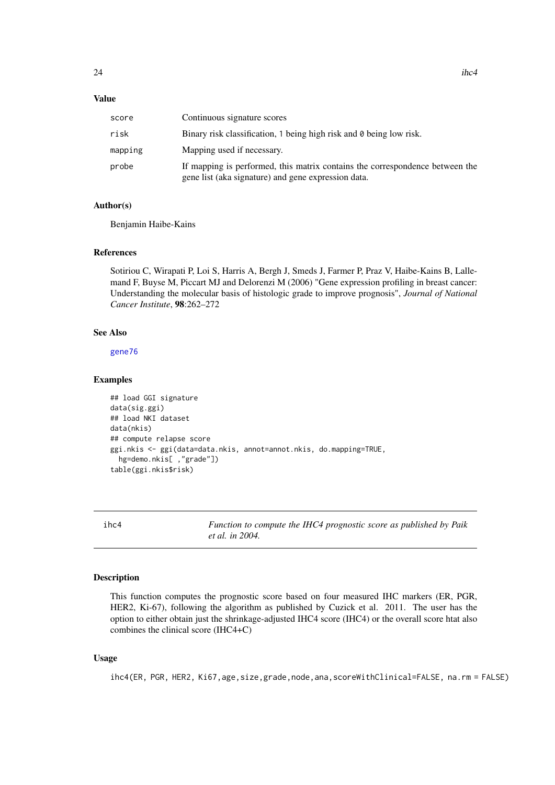## <span id="page-23-0"></span>Value

| score   | Continuous signature scores                                                                                                         |
|---------|-------------------------------------------------------------------------------------------------------------------------------------|
| risk    | Binary risk classification, 1 being high risk and 0 being low risk.                                                                 |
| mapping | Mapping used if necessary.                                                                                                          |
| probe   | If mapping is performed, this matrix contains the correspondence between the<br>gene list (aka signature) and gene expression data. |

## Author(s)

Benjamin Haibe-Kains

## References

Sotiriou C, Wirapati P, Loi S, Harris A, Bergh J, Smeds J, Farmer P, Praz V, Haibe-Kains B, Lallemand F, Buyse M, Piccart MJ and Delorenzi M (2006) "Gene expression profiling in breast cancer: Understanding the molecular basis of histologic grade to improve prognosis", *Journal of National Cancer Institute*, 98:262–272

## See Also

[gene76](#page-19-1)

#### Examples

```
## load GGI signature
data(sig.ggi)
## load NKI dataset
data(nkis)
## compute relapse score
ggi.nkis <- ggi(data=data.nkis, annot=annot.nkis, do.mapping=TRUE,
 hg=demo.nkis[ ,"grade"])
table(ggi.nkis$risk)
```
ihc4 *Function to compute the IHC4 prognostic score as published by Paik et al. in 2004.*

#### Description

This function computes the prognostic score based on four measured IHC markers (ER, PGR, HER2, Ki-67), following the algorithm as published by Cuzick et al. 2011. The user has the option to either obtain just the shrinkage-adjusted IHC4 score (IHC4) or the overall score htat also combines the clinical score (IHC4+C)

## Usage

ihc4(ER, PGR, HER2, Ki67,age,size,grade,node,ana,scoreWithClinical=FALSE, na.rm = FALSE)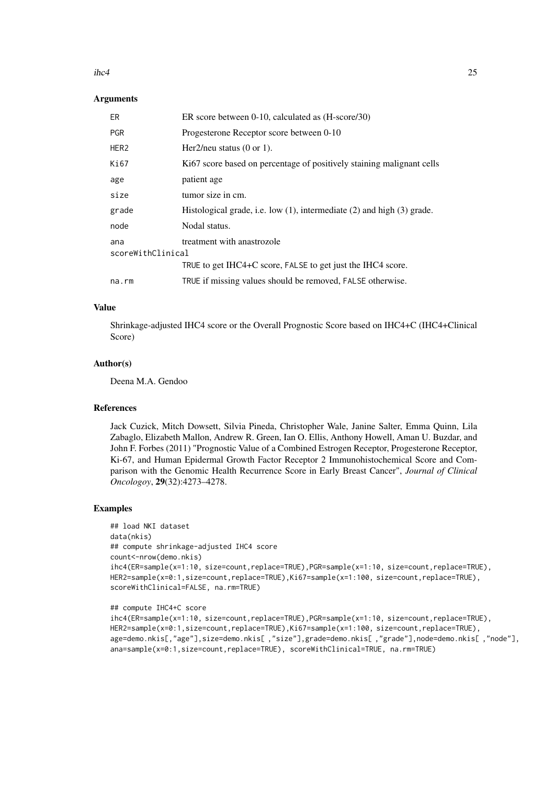#### $i$ hc4 25

#### Arguments

| ER                       | ER score between $0-10$ , calculated as $(H\text{-score}/30)$                 |
|--------------------------|-------------------------------------------------------------------------------|
| <b>PGR</b>               | Progesterone Receptor score between 0-10                                      |
| HER <sub>2</sub>         | Her2/neu status $(0 \text{ or } 1)$ .                                         |
| Ki67                     | Ki67 score based on percentage of positively staining malignant cells         |
| age                      | patient age                                                                   |
| size                     | tumor size in cm.                                                             |
| grade                    | Histological grade, i.e. low $(1)$ , intermediate $(2)$ and high $(3)$ grade. |
| node                     | Nodal status.                                                                 |
| ana<br>scoreWithClinical | treatment with anastrozole                                                    |
|                          | TRUE to get IHC4+C score, FALSE to get just the IHC4 score.                   |
| na.rm                    | TRUE if missing values should be removed, FALSE otherwise.                    |

#### Value

Shrinkage-adjusted IHC4 score or the Overall Prognostic Score based on IHC4+C (IHC4+Clinical Score)

#### Author(s)

Deena M.A. Gendoo

#### References

Jack Cuzick, Mitch Dowsett, Silvia Pineda, Christopher Wale, Janine Salter, Emma Quinn, Lila Zabaglo, Elizabeth Mallon, Andrew R. Green, Ian O. Ellis, Anthony Howell, Aman U. Buzdar, and John F. Forbes (2011) "Prognostic Value of a Combined Estrogen Receptor, Progesterone Receptor, Ki-67, and Human Epidermal Growth Factor Receptor 2 Immunohistochemical Score and Comparison with the Genomic Health Recurrence Score in Early Breast Cancer", *Journal of Clinical Oncologoy*, 29(32):4273–4278.

```
## load NKI dataset
data(nkis)
## compute shrinkage-adjusted IHC4 score
count<-nrow(demo.nkis)
ihc4(ER=sample(x=1:10, size=count,replace=TRUE),PGR=sample(x=1:10, size=count,replace=TRUE),
HER2=sample(x=0:1,size=count,replace=TRUE),Ki67=sample(x=1:100, size=count,replace=TRUE),
scoreWithClinical=FALSE, na.rm=TRUE)
```

```
## compute IHC4+C score
```

```
ihc4(ER=sample(x=1:10, size=count,replace=TRUE),PGR=sample(x=1:10, size=count,replace=TRUE),
HER2=sample(x=0:1,size=count,replace=TRUE),Ki67=sample(x=1:100, size=count,replace=TRUE),
age=demo.nkis[,"age"],size=demo.nkis[ ,"size"],grade=demo.nkis[ ,"grade"],node=demo.nkis[ ,"node"],
ana=sample(x=0:1,size=count,replace=TRUE), scoreWithClinical=TRUE, na.rm=TRUE)
```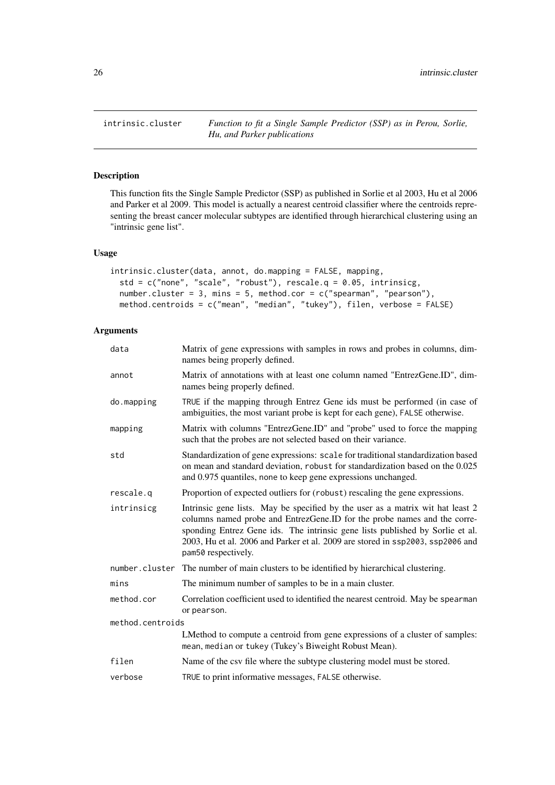<span id="page-25-1"></span><span id="page-25-0"></span>

## Description

This function fits the Single Sample Predictor (SSP) as published in Sorlie et al 2003, Hu et al 2006 and Parker et al 2009. This model is actually a nearest centroid classifier where the centroids representing the breast cancer molecular subtypes are identified through hierarchical clustering using an "intrinsic gene list".

## Usage

```
intrinsic.cluster(data, annot, do.mapping = FALSE, mapping,
 std = c("none", "scale", "robust"), rescale.q = 0.05, intrinsicg,
 number.cluster = 3, mins = 5, method.cor = c("spearman", "pearson"),
 method.centroids = c("mean", "median", "tukey"), filen, verbose = FALSE)
```
## Arguments

| data             | Matrix of gene expressions with samples in rows and probes in columns, dim-<br>names being properly defined.                                                                                                                                                                                                                                         |  |
|------------------|------------------------------------------------------------------------------------------------------------------------------------------------------------------------------------------------------------------------------------------------------------------------------------------------------------------------------------------------------|--|
| annot            | Matrix of annotations with at least one column named "EntrezGene.ID", dim-<br>names being properly defined.                                                                                                                                                                                                                                          |  |
| do.mapping       | TRUE if the mapping through Entrez Gene ids must be performed (in case of<br>ambiguities, the most variant probe is kept for each gene), FALSE otherwise.                                                                                                                                                                                            |  |
| mapping          | Matrix with columns "EntrezGene.ID" and "probe" used to force the mapping<br>such that the probes are not selected based on their variance.                                                                                                                                                                                                          |  |
| std              | Standardization of gene expressions: scale for traditional standardization based<br>on mean and standard deviation, robust for standardization based on the 0.025<br>and 0.975 quantiles, none to keep gene expressions unchanged.                                                                                                                   |  |
| rescale.g        | Proportion of expected outliers for (robust) rescaling the gene expressions.                                                                                                                                                                                                                                                                         |  |
| intrinsicg       | Intrinsic gene lists. May be specified by the user as a matrix wit hat least 2<br>columns named probe and EntrezGene.ID for the probe names and the corre-<br>sponding Entrez Gene ids. The intrinsic gene lists published by Sorlie et al.<br>2003, Hu et al. 2006 and Parker et al. 2009 are stored in ssp2003, ssp2006 and<br>pam50 respectively. |  |
|                  | number.cluster The number of main clusters to be identified by hierarchical clustering.                                                                                                                                                                                                                                                              |  |
| mins             | The minimum number of samples to be in a main cluster.                                                                                                                                                                                                                                                                                               |  |
| method.cor       | Correlation coefficient used to identified the nearest centroid. May be spearman<br>or pearson.                                                                                                                                                                                                                                                      |  |
| method.centroids |                                                                                                                                                                                                                                                                                                                                                      |  |
|                  | LMethod to compute a centroid from gene expressions of a cluster of samples:<br>mean, median or tukey (Tukey's Biweight Robust Mean).                                                                                                                                                                                                                |  |
| filen            | Name of the csv file where the subtype clustering model must be stored.                                                                                                                                                                                                                                                                              |  |
| verbose          | TRUE to print informative messages, FALSE otherwise.                                                                                                                                                                                                                                                                                                 |  |
|                  |                                                                                                                                                                                                                                                                                                                                                      |  |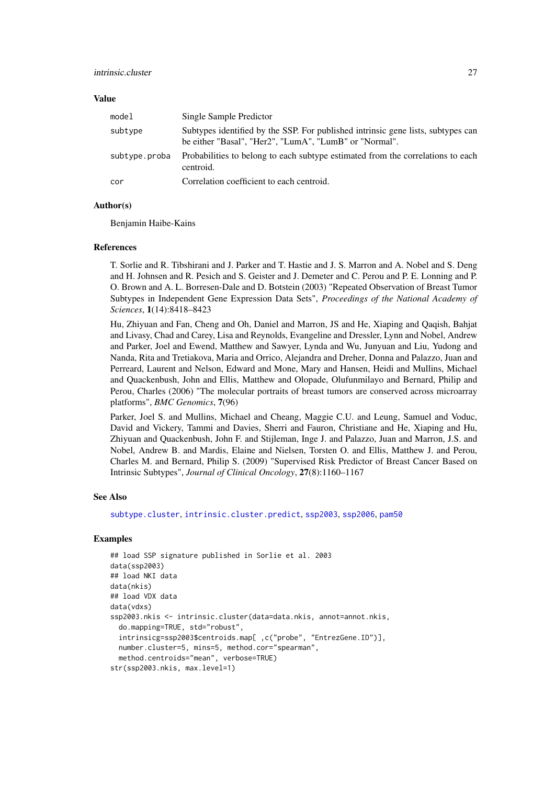#### Value

| model         | Single Sample Predictor                                                                                                                    |
|---------------|--------------------------------------------------------------------------------------------------------------------------------------------|
| subtype       | Subtypes identified by the SSP. For published intrinsic gene lists, subtypes can<br>be either "Basal", "Her2", "LumA", "LumB" or "Normal". |
| subtype.proba | Probabilities to belong to each subtype estimated from the correlations to each<br>centroid.                                               |
| cor           | Correlation coefficient to each centroid.                                                                                                  |

#### Author(s)

Benjamin Haibe-Kains

#### References

T. Sorlie and R. Tibshirani and J. Parker and T. Hastie and J. S. Marron and A. Nobel and S. Deng and H. Johnsen and R. Pesich and S. Geister and J. Demeter and C. Perou and P. E. Lonning and P. O. Brown and A. L. Borresen-Dale and D. Botstein (2003) "Repeated Observation of Breast Tumor Subtypes in Independent Gene Expression Data Sets", *Proceedings of the National Academy of Sciences*, 1(14):8418–8423

Hu, Zhiyuan and Fan, Cheng and Oh, Daniel and Marron, JS and He, Xiaping and Qaqish, Bahjat and Livasy, Chad and Carey, Lisa and Reynolds, Evangeline and Dressler, Lynn and Nobel, Andrew and Parker, Joel and Ewend, Matthew and Sawyer, Lynda and Wu, Junyuan and Liu, Yudong and Nanda, Rita and Tretiakova, Maria and Orrico, Alejandra and Dreher, Donna and Palazzo, Juan and Perreard, Laurent and Nelson, Edward and Mone, Mary and Hansen, Heidi and Mullins, Michael and Quackenbush, John and Ellis, Matthew and Olopade, Olufunmilayo and Bernard, Philip and Perou, Charles (2006) "The molecular portraits of breast tumors are conserved across microarray platforms", *BMC Genomics*, 7(96)

Parker, Joel S. and Mullins, Michael and Cheang, Maggie C.U. and Leung, Samuel and Voduc, David and Vickery, Tammi and Davies, Sherri and Fauron, Christiane and He, Xiaping and Hu, Zhiyuan and Quackenbush, John F. and Stijleman, Inge J. and Palazzo, Juan and Marron, J.S. and Nobel, Andrew B. and Mardis, Elaine and Nielsen, Torsten O. and Ellis, Matthew J. and Perou, Charles M. and Bernard, Philip S. (2009) "Supervised Risk Predictor of Breast Cancer Based on Intrinsic Subtypes", *Journal of Clinical Oncology*, 27(8):1160–1167

#### See Also

[subtype.cluster](#page-73-1), [intrinsic.cluster.predict](#page-27-1), [ssp2003](#page-65-1), [ssp2006](#page-67-1), [pam50](#page-44-1)

```
## load SSP signature published in Sorlie et al. 2003
data(ssp2003)
## load NKI data
data(nkis)
## load VDX data
data(vdxs)
ssp2003.nkis <- intrinsic.cluster(data=data.nkis, annot=annot.nkis,
  do.mapping=TRUE, std="robust",
  intrinsicg=ssp2003$centroids.map[ ,c("probe", "EntrezGene.ID")],
  number.cluster=5, mins=5, method.cor="spearman",
  method.centroids="mean", verbose=TRUE)
str(ssp2003.nkis, max.level=1)
```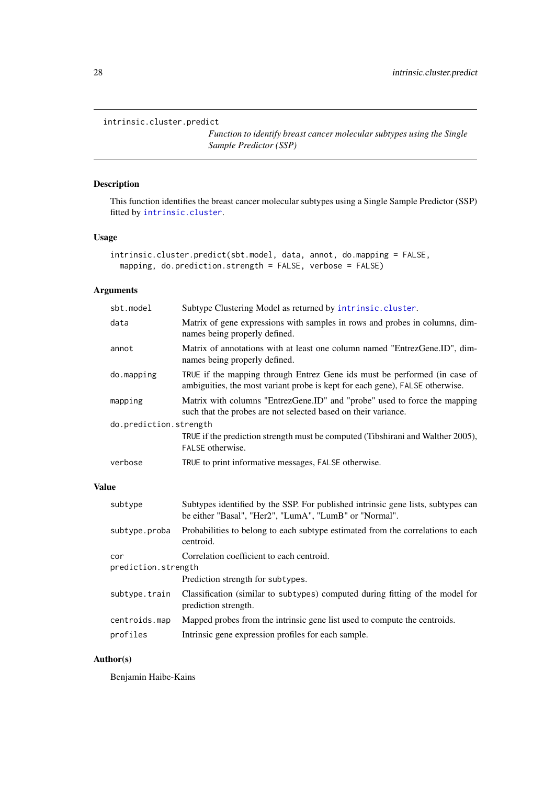## <span id="page-27-1"></span><span id="page-27-0"></span>intrinsic.cluster.predict

*Function to identify breast cancer molecular subtypes using the Single Sample Predictor (SSP)*

## Description

This function identifies the breast cancer molecular subtypes using a Single Sample Predictor (SSP) fitted by [intrinsic.cluster](#page-25-1).

## Usage

```
intrinsic.cluster.predict(sbt.model, data, annot, do.mapping = FALSE,
 mapping, do.prediction.strength = FALSE, verbose = FALSE)
```
## Arguments

| sbt.model              | Subtype Clustering Model as returned by intrinsic.cluster.                                                                                                |
|------------------------|-----------------------------------------------------------------------------------------------------------------------------------------------------------|
| data                   | Matrix of gene expressions with samples in rows and probes in columns, dim-<br>names being properly defined.                                              |
| annot                  | Matrix of annotations with at least one column named "EntrezGene.ID", dim-<br>names being properly defined.                                               |
| do.mapping             | TRUE if the mapping through Entrez Gene ids must be performed (in case of<br>ambiguities, the most variant probe is kept for each gene), FALSE otherwise. |
| mapping                | Matrix with columns "EntrezGene.ID" and "probe" used to force the mapping<br>such that the probes are not selected based on their variance.               |
| do.prediction.strength |                                                                                                                                                           |
|                        | TRUE if the prediction strength must be computed (Tibshirani and Walther 2005),<br>FALSE otherwise.                                                       |
| verbose                | TRUE to print informative messages, FALSE otherwise.                                                                                                      |
|                        |                                                                                                                                                           |

## Value

| subtype                    | Subtypes identified by the SSP. For published intrinsic gene lists, subtypes can<br>be either "Basal", "Her2", "LumA", "LumB" or "Normal". |  |
|----------------------------|--------------------------------------------------------------------------------------------------------------------------------------------|--|
| subtype.proba              | Probabilities to belong to each subtype estimated from the correlations to each<br>centroid.                                               |  |
| cor<br>prediction.strength | Correlation coefficient to each centroid.                                                                                                  |  |
|                            | Prediction strength for subtypes.                                                                                                          |  |
| subtype.train              | Classification (similar to subtypes) computed during fitting of the model for<br>prediction strength.                                      |  |
| centroids.map              | Mapped probes from the intrinsic gene list used to compute the centroids.                                                                  |  |
| profiles                   | Intrinsic gene expression profiles for each sample.                                                                                        |  |

## Author(s)

Benjamin Haibe-Kains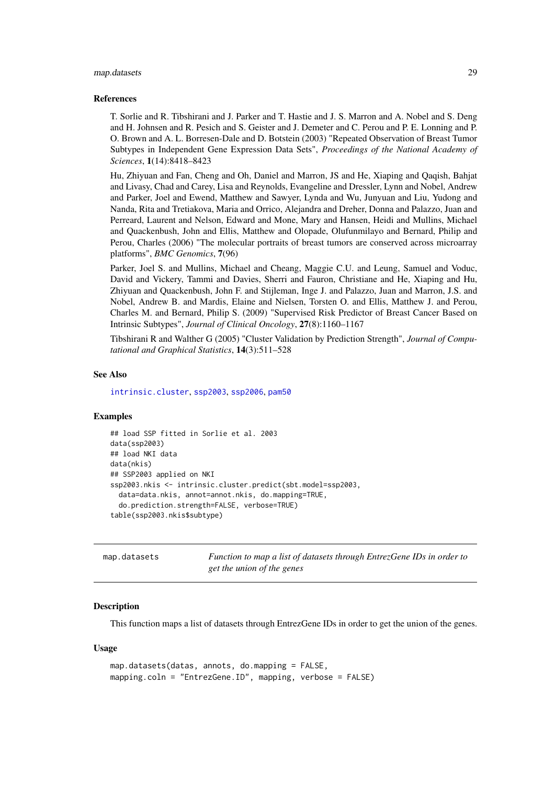#### <span id="page-28-0"></span>map.datasets 29

#### References

T. Sorlie and R. Tibshirani and J. Parker and T. Hastie and J. S. Marron and A. Nobel and S. Deng and H. Johnsen and R. Pesich and S. Geister and J. Demeter and C. Perou and P. E. Lonning and P. O. Brown and A. L. Borresen-Dale and D. Botstein (2003) "Repeated Observation of Breast Tumor Subtypes in Independent Gene Expression Data Sets", *Proceedings of the National Academy of Sciences*, 1(14):8418–8423

Hu, Zhiyuan and Fan, Cheng and Oh, Daniel and Marron, JS and He, Xiaping and Qaqish, Bahjat and Livasy, Chad and Carey, Lisa and Reynolds, Evangeline and Dressler, Lynn and Nobel, Andrew and Parker, Joel and Ewend, Matthew and Sawyer, Lynda and Wu, Junyuan and Liu, Yudong and Nanda, Rita and Tretiakova, Maria and Orrico, Alejandra and Dreher, Donna and Palazzo, Juan and Perreard, Laurent and Nelson, Edward and Mone, Mary and Hansen, Heidi and Mullins, Michael and Quackenbush, John and Ellis, Matthew and Olopade, Olufunmilayo and Bernard, Philip and Perou, Charles (2006) "The molecular portraits of breast tumors are conserved across microarray platforms", *BMC Genomics*, 7(96)

Parker, Joel S. and Mullins, Michael and Cheang, Maggie C.U. and Leung, Samuel and Voduc, David and Vickery, Tammi and Davies, Sherri and Fauron, Christiane and He, Xiaping and Hu, Zhiyuan and Quackenbush, John F. and Stijleman, Inge J. and Palazzo, Juan and Marron, J.S. and Nobel, Andrew B. and Mardis, Elaine and Nielsen, Torsten O. and Ellis, Matthew J. and Perou, Charles M. and Bernard, Philip S. (2009) "Supervised Risk Predictor of Breast Cancer Based on Intrinsic Subtypes", *Journal of Clinical Oncology*, 27(8):1160–1167

Tibshirani R and Walther G (2005) "Cluster Validation by Prediction Strength", *Journal of Computational and Graphical Statistics*, 14(3):511–528

## See Also

[intrinsic.cluster](#page-25-1), [ssp2003](#page-65-1), [ssp2006](#page-67-1), [pam50](#page-44-1)

#### Examples

```
## load SSP fitted in Sorlie et al. 2003
data(ssp2003)
## load NKI data
data(nkis)
## SSP2003 applied on NKI
ssp2003.nkis <- intrinsic.cluster.predict(sbt.model=ssp2003,
  data=data.nkis, annot=annot.nkis, do.mapping=TRUE,
  do.prediction.strength=FALSE, verbose=TRUE)
table(ssp2003.nkis$subtype)
```
<span id="page-28-1"></span>

| map.datasets | Function to map a list of datasets through EntrezGene IDs in order to |
|--------------|-----------------------------------------------------------------------|
|              | get the union of the genes                                            |

#### Description

This function maps a list of datasets through EntrezGene IDs in order to get the union of the genes.

#### Usage

```
map.datasets(datas, annots, do.mapping = FALSE,
mapping.coln = "EntrezGene.ID", mapping, verbose = FALSE)
```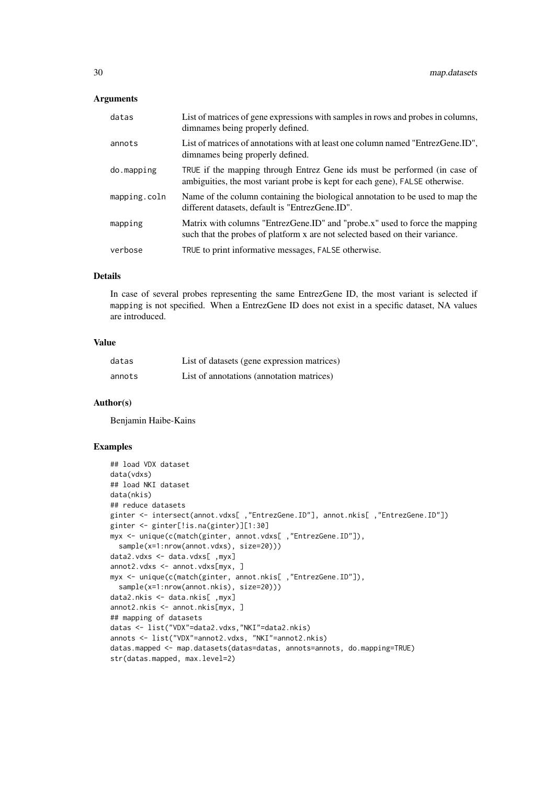## Arguments

| datas        | List of matrices of gene expressions with samples in rows and probes in columns,<br>dimnames being properly defined.                                        |
|--------------|-------------------------------------------------------------------------------------------------------------------------------------------------------------|
| annots       | List of matrices of annotations with at least one column named "EntrezGene.ID",<br>dimnames being properly defined.                                         |
| do.mapping   | TRUE if the mapping through Entrez Gene ids must be performed (in case of<br>ambiguities, the most variant probe is kept for each gene), FALSE otherwise.   |
| mapping.coln | Name of the column containing the biological annotation to be used to map the<br>different datasets, default is "EntrezGene.ID".                            |
| mapping      | Matrix with columns "EntrezGene.ID" and "probe.x" used to force the mapping<br>such that the probes of platform x are not selected based on their variance. |
| verbose      | TRUE to print informative messages, FALSE otherwise.                                                                                                        |
|              |                                                                                                                                                             |

## Details

In case of several probes representing the same EntrezGene ID, the most variant is selected if mapping is not specified. When a EntrezGene ID does not exist in a specific dataset, NA values are introduced.

## Value

| datas  | List of datasets (gene expression matrices) |
|--------|---------------------------------------------|
| annots | List of annotations (annotation matrices)   |

## Author(s)

Benjamin Haibe-Kains

```
## load VDX dataset
data(vdxs)
## load NKI dataset
data(nkis)
## reduce datasets
ginter <- intersect(annot.vdxs[ ,"EntrezGene.ID"], annot.nkis[ ,"EntrezGene.ID"])
ginter <- ginter[!is.na(ginter)][1:30]
myx <- unique(c(match(ginter, annot.vdxs[ ,"EntrezGene.ID"]),
  sample(x=1:nrow(annot.vdxs), size=20)))
data2.vdxs <- data.vdxs[ ,myx]
annot2.vdxs <- annot.vdxs[myx, ]
myx <- unique(c(match(ginter, annot.nkis[ ,"EntrezGene.ID"]),
  sample(x=1:nrow(annot.nkis), size=20)))
data2.nkis <- data.nkis[ ,myx]
annot2.nkis <- annot.nkis[myx, ]
## mapping of datasets
datas <- list("VDX"=data2.vdxs,"NKI"=data2.nkis)
annots <- list("VDX"=annot2.vdxs, "NKI"=annot2.nkis)
datas.mapped <- map.datasets(datas=datas, annots=annots, do.mapping=TRUE)
str(datas.mapped, max.level=2)
```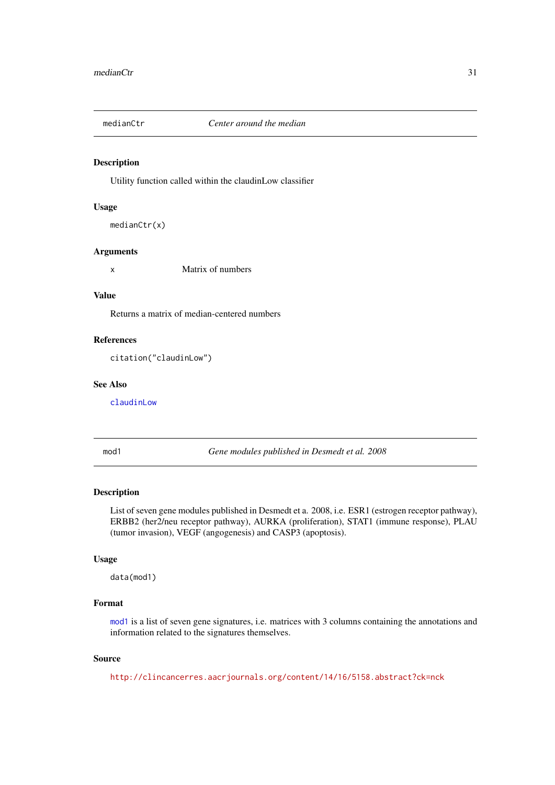<span id="page-30-1"></span><span id="page-30-0"></span>

#### Description

Utility function called within the claudinLow classifier

#### Usage

```
medianCtr(x)
```
## Arguments

x Matrix of numbers

#### Value

Returns a matrix of median-centered numbers

#### References

citation("claudinLow")

#### See Also

[claudinLow](#page-6-1)

<span id="page-30-2"></span>mod1 *Gene modules published in Desmedt et al. 2008*

## Description

List of seven gene modules published in Desmedt et a. 2008, i.e. ESR1 (estrogen receptor pathway), ERBB2 (her2/neu receptor pathway), AURKA (proliferation), STAT1 (immune response), PLAU (tumor invasion), VEGF (angogenesis) and CASP3 (apoptosis).

#### Usage

data(mod1)

#### Format

[mod1](#page-30-2) is a list of seven gene signatures, i.e. matrices with 3 columns containing the annotations and information related to the signatures themselves.

## Source

<http://clincancerres.aacrjournals.org/content/14/16/5158.abstract?ck=nck>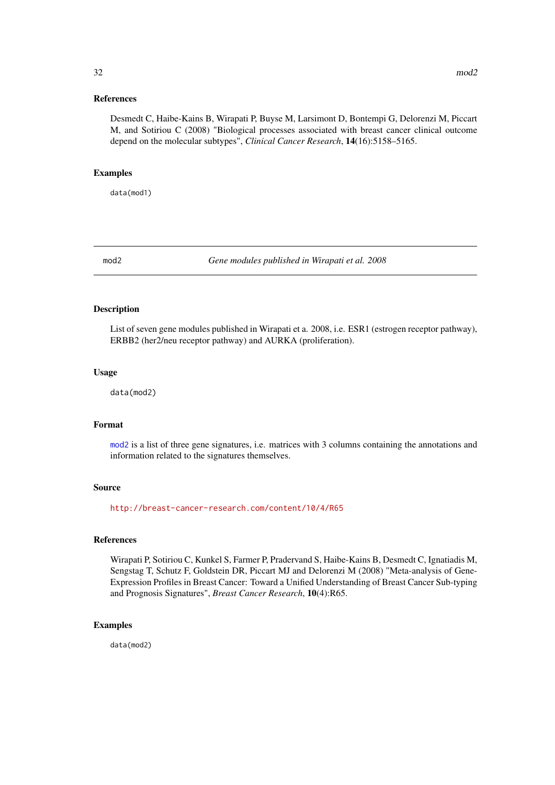#### <span id="page-31-0"></span>References

Desmedt C, Haibe-Kains B, Wirapati P, Buyse M, Larsimont D, Bontempi G, Delorenzi M, Piccart M, and Sotiriou C (2008) "Biological processes associated with breast cancer clinical outcome depend on the molecular subtypes", *Clinical Cancer Research*, 14(16):5158–5165.

## Examples

data(mod1)

<span id="page-31-1"></span>mod2 *Gene modules published in Wirapati et al. 2008*

## Description

List of seven gene modules published in Wirapati et a. 2008, i.e. ESR1 (estrogen receptor pathway), ERBB2 (her2/neu receptor pathway) and AURKA (proliferation).

## Usage

data(mod2)

## Format

[mod2](#page-31-1) is a list of three gene signatures, i.e. matrices with 3 columns containing the annotations and information related to the signatures themselves.

## Source

<http://breast-cancer-research.com/content/10/4/R65>

#### References

Wirapati P, Sotiriou C, Kunkel S, Farmer P, Pradervand S, Haibe-Kains B, Desmedt C, Ignatiadis M, Sengstag T, Schutz F, Goldstein DR, Piccart MJ and Delorenzi M (2008) "Meta-analysis of Gene-Expression Profiles in Breast Cancer: Toward a Unified Understanding of Breast Cancer Sub-typing and Prognosis Signatures", *Breast Cancer Research*, 10(4):R65.

#### Examples

data(mod2)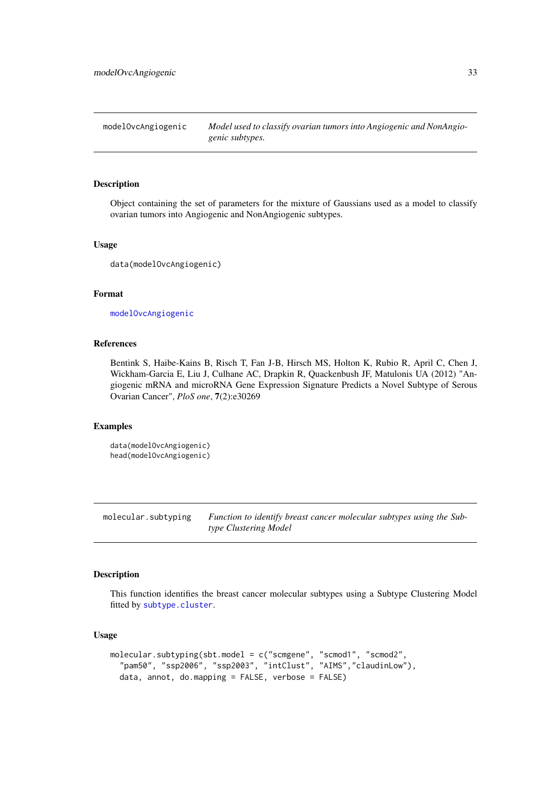<span id="page-32-1"></span><span id="page-32-0"></span>modelOvcAngiogenic *Model used to classify ovarian tumors into Angiogenic and NonAngiogenic subtypes.*

## Description

Object containing the set of parameters for the mixture of Gaussians used as a model to classify ovarian tumors into Angiogenic and NonAngiogenic subtypes.

#### Usage

```
data(modelOvcAngiogenic)
```
## Format

[modelOvcAngiogenic](#page-32-1)

## References

Bentink S, Haibe-Kains B, Risch T, Fan J-B, Hirsch MS, Holton K, Rubio R, April C, Chen J, Wickham-Garcia E, Liu J, Culhane AC, Drapkin R, Quackenbush JF, Matulonis UA (2012) "Angiogenic mRNA and microRNA Gene Expression Signature Predicts a Novel Subtype of Serous Ovarian Cancer", *PloS one*, 7(2):e30269

## Examples

```
data(modelOvcAngiogenic)
head(modelOvcAngiogenic)
```
molecular.subtyping *Function to identify breast cancer molecular subtypes using the Subtype Clustering Model*

#### Description

This function identifies the breast cancer molecular subtypes using a Subtype Clustering Model fitted by [subtype.cluster](#page-73-1).

#### Usage

```
molecular.subtyping(sbt.model = c("scmgene", "scmod1", "scmod2",
  "pam50", "ssp2006", "ssp2003", "intClust", "AIMS","claudinLow"),
  data, annot, do.mapping = FALSE, verbose = FALSE)
```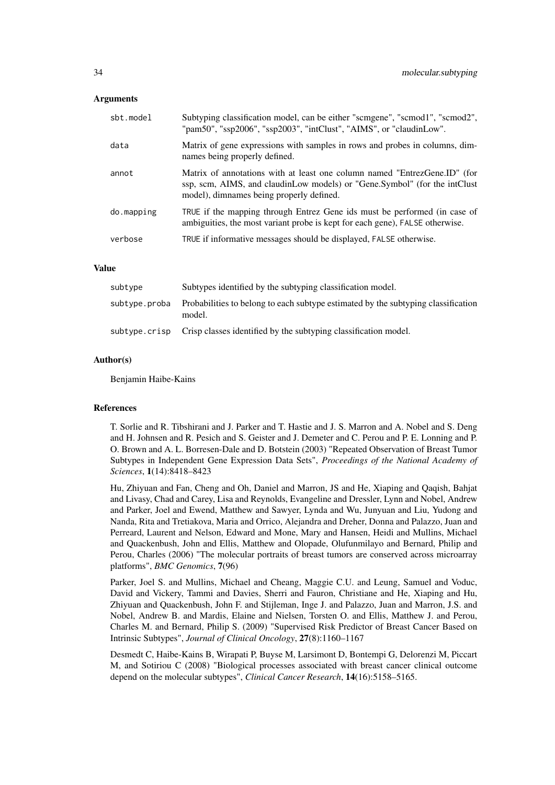#### Arguments

| sbt.model  | Subtyping classification model, can be either "scmgene", "scmod1", "scmod2",<br>"pam50", "ssp2006", "ssp2003", "intClust", "AIMS", or "claudinLow".                                                |
|------------|----------------------------------------------------------------------------------------------------------------------------------------------------------------------------------------------------|
| data       | Matrix of gene expressions with samples in rows and probes in columns, dim-<br>names being properly defined.                                                                                       |
| annot      | Matrix of annotations with at least one column named "EntrezGene.ID" (for<br>ssp, scm, AIMS, and claudinLow models) or "Gene.Symbol" (for the intClust<br>model), dimnames being properly defined. |
| do.mapping | TRUE if the mapping through Entrez Gene ids must be performed (in case of<br>ambiguities, the most variant probe is kept for each gene), FALSE otherwise.                                          |
| verbose    | TRUE if informative messages should be displayed, FALSE otherwise.                                                                                                                                 |

#### Value

| subtype | Subtypes identified by the subtyping classification model.                                                 |
|---------|------------------------------------------------------------------------------------------------------------|
|         | subtype, proba Probabilities to belong to each subtype estimated by the subtyping classification<br>model. |
|         | subtype.crisp Crisp classes identified by the subtyping classification model.                              |

#### Author(s)

Benjamin Haibe-Kains

#### References

T. Sorlie and R. Tibshirani and J. Parker and T. Hastie and J. S. Marron and A. Nobel and S. Deng and H. Johnsen and R. Pesich and S. Geister and J. Demeter and C. Perou and P. E. Lonning and P. O. Brown and A. L. Borresen-Dale and D. Botstein (2003) "Repeated Observation of Breast Tumor Subtypes in Independent Gene Expression Data Sets", *Proceedings of the National Academy of Sciences*, 1(14):8418–8423

Hu, Zhiyuan and Fan, Cheng and Oh, Daniel and Marron, JS and He, Xiaping and Qaqish, Bahjat and Livasy, Chad and Carey, Lisa and Reynolds, Evangeline and Dressler, Lynn and Nobel, Andrew and Parker, Joel and Ewend, Matthew and Sawyer, Lynda and Wu, Junyuan and Liu, Yudong and Nanda, Rita and Tretiakova, Maria and Orrico, Alejandra and Dreher, Donna and Palazzo, Juan and Perreard, Laurent and Nelson, Edward and Mone, Mary and Hansen, Heidi and Mullins, Michael and Quackenbush, John and Ellis, Matthew and Olopade, Olufunmilayo and Bernard, Philip and Perou, Charles (2006) "The molecular portraits of breast tumors are conserved across microarray platforms", *BMC Genomics*, 7(96)

Parker, Joel S. and Mullins, Michael and Cheang, Maggie C.U. and Leung, Samuel and Voduc, David and Vickery, Tammi and Davies, Sherri and Fauron, Christiane and He, Xiaping and Hu, Zhiyuan and Quackenbush, John F. and Stijleman, Inge J. and Palazzo, Juan and Marron, J.S. and Nobel, Andrew B. and Mardis, Elaine and Nielsen, Torsten O. and Ellis, Matthew J. and Perou, Charles M. and Bernard, Philip S. (2009) "Supervised Risk Predictor of Breast Cancer Based on Intrinsic Subtypes", *Journal of Clinical Oncology*, 27(8):1160–1167

Desmedt C, Haibe-Kains B, Wirapati P, Buyse M, Larsimont D, Bontempi G, Delorenzi M, Piccart M, and Sotiriou C (2008) "Biological processes associated with breast cancer clinical outcome depend on the molecular subtypes", *Clinical Cancer Research*, 14(16):5158–5165.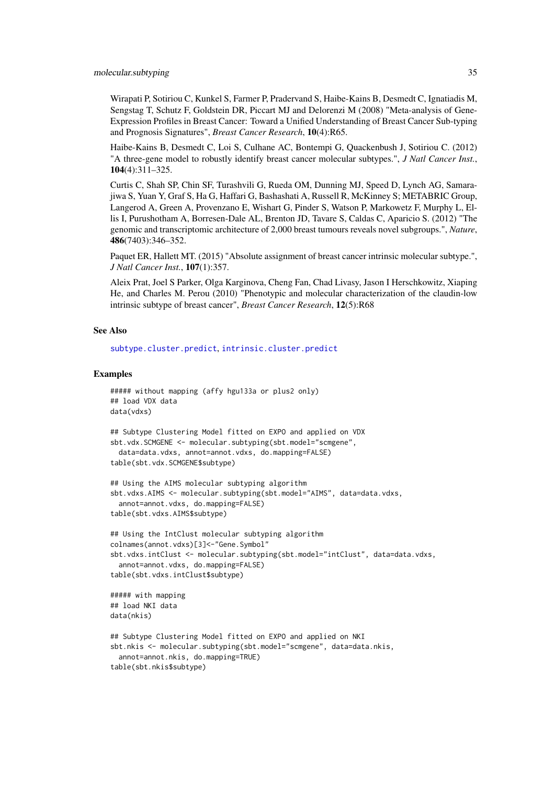Wirapati P, Sotiriou C, Kunkel S, Farmer P, Pradervand S, Haibe-Kains B, Desmedt C, Ignatiadis M, Sengstag T, Schutz F, Goldstein DR, Piccart MJ and Delorenzi M (2008) "Meta-analysis of Gene-Expression Profiles in Breast Cancer: Toward a Unified Understanding of Breast Cancer Sub-typing and Prognosis Signatures", *Breast Cancer Research*, 10(4):R65.

Haibe-Kains B, Desmedt C, Loi S, Culhane AC, Bontempi G, Quackenbush J, Sotiriou C. (2012) "A three-gene model to robustly identify breast cancer molecular subtypes.", *J Natl Cancer Inst.*, 104(4):311–325.

Curtis C, Shah SP, Chin SF, Turashvili G, Rueda OM, Dunning MJ, Speed D, Lynch AG, Samarajiwa S, Yuan Y, Graf S, Ha G, Haffari G, Bashashati A, Russell R, McKinney S; METABRIC Group, Langerod A, Green A, Provenzano E, Wishart G, Pinder S, Watson P, Markowetz F, Murphy L, Ellis I, Purushotham A, Borresen-Dale AL, Brenton JD, Tavare S, Caldas C, Aparicio S. (2012) "The genomic and transcriptomic architecture of 2,000 breast tumours reveals novel subgroups.", *Nature*, 486(7403):346–352.

Paquet ER, Hallett MT. (2015) "Absolute assignment of breast cancer intrinsic molecular subtype.", *J Natl Cancer Inst.*, 107(1):357.

Aleix Prat, Joel S Parker, Olga Karginova, Cheng Fan, Chad Livasy, Jason I Herschkowitz, Xiaping He, and Charles M. Perou (2010) "Phenotypic and molecular characterization of the claudin-low intrinsic subtype of breast cancer", *Breast Cancer Research*, 12(5):R68

## See Also

[subtype.cluster.predict](#page-75-1), [intrinsic.cluster.predict](#page-27-1)

```
##### without mapping (affy hgu133a or plus2 only)
## load VDX data
data(vdxs)
```

```
## Subtype Clustering Model fitted on EXPO and applied on VDX
sbt.vdx.SCMGENE <- molecular.subtyping(sbt.model="scmgene",
  data=data.vdxs, annot=annot.vdxs, do.mapping=FALSE)
table(sbt.vdx.SCMGENE$subtype)
```

```
## Using the AIMS molecular subtyping algorithm
sbt.vdxs.AIMS <- molecular.subtyping(sbt.model="AIMS", data=data.vdxs,
  annot=annot.vdxs, do.mapping=FALSE)
table(sbt.vdxs.AIMS$subtype)
```

```
## Using the IntClust molecular subtyping algorithm
colnames(annot.vdxs)[3]<-"Gene.Symbol"
sbt.vdxs.intClust <- molecular.subtyping(sbt.model="intClust", data=data.vdxs,
  annot=annot.vdxs, do.mapping=FALSE)
table(sbt.vdxs.intClust$subtype)
```

```
##### with mapping
## load NKI data
data(nkis)
```

```
## Subtype Clustering Model fitted on EXPO and applied on NKI
sbt.nkis <- molecular.subtyping(sbt.model="scmgene", data=data.nkis,
  annot=annot.nkis, do.mapping=TRUE)
table(sbt.nkis$subtype)
```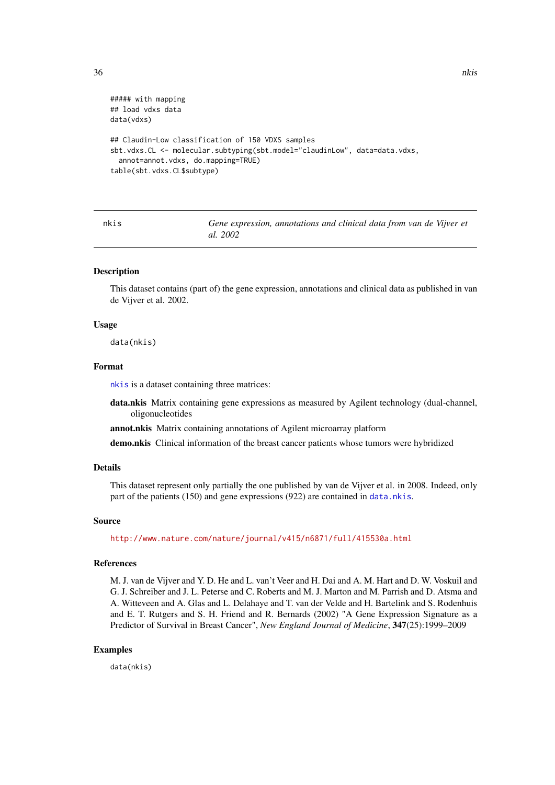```
##### with mapping
## load vdxs data
data(vdxs)
## Claudin-Low classification of 150 VDXS samples
sbt.vdxs.CL <- molecular.subtyping(sbt.model="claudinLow", data=data.vdxs,
  annot=annot.vdxs, do.mapping=TRUE)
table(sbt.vdxs.CL$subtype)
```
<span id="page-35-1"></span>nkis *Gene expression, annotations and clinical data from van de Vijver et al. 2002*

#### <span id="page-35-2"></span>Description

This dataset contains (part of) the gene expression, annotations and clinical data as published in van de Vijver et al. 2002.

## Usage

data(nkis)

## Format

[nkis](#page-35-1) is a dataset containing three matrices:

- data.nkis Matrix containing gene expressions as measured by Agilent technology (dual-channel, oligonucleotides
- annot.nkis Matrix containing annotations of Agilent microarray platform

demo.nkis Clinical information of the breast cancer patients whose tumors were hybridized

#### Details

This dataset represent only partially the one published by van de Vijver et al. in 2008. Indeed, only part of the patients (150) and gene expressions (922) are contained in [data.nkis](#page-35-2).

### Source

<http://www.nature.com/nature/journal/v415/n6871/full/415530a.html>

#### References

M. J. van de Vijver and Y. D. He and L. van't Veer and H. Dai and A. M. Hart and D. W. Voskuil and G. J. Schreiber and J. L. Peterse and C. Roberts and M. J. Marton and M. Parrish and D. Atsma and A. Witteveen and A. Glas and L. Delahaye and T. van der Velde and H. Bartelink and S. Rodenhuis and E. T. Rutgers and S. H. Friend and R. Bernards (2002) "A Gene Expression Signature as a Predictor of Survival in Breast Cancer", *New England Journal of Medicine*, 347(25):1999–2009

#### Examples

data(nkis)

<span id="page-35-0"></span>36 nkis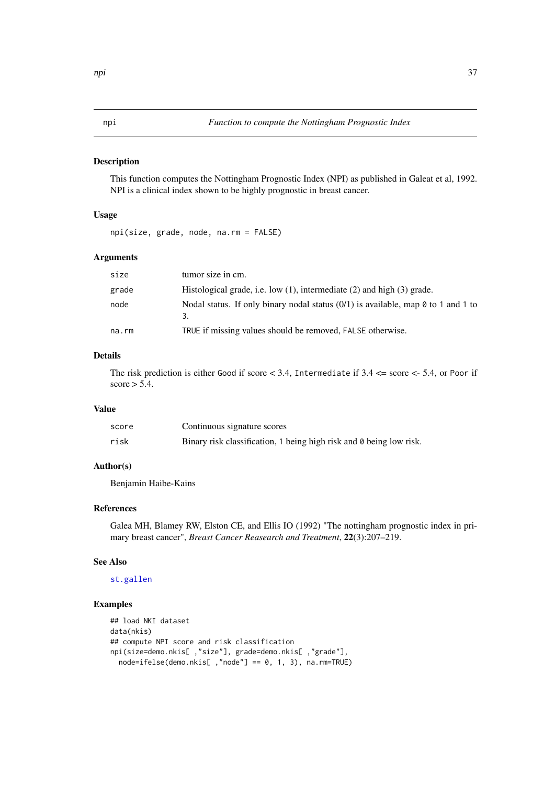This function computes the Nottingham Prognostic Index (NPI) as published in Galeat et al, 1992. NPI is a clinical index shown to be highly prognostic in breast cancer.

# Usage

npi(size, grade, node, na.rm = FALSE)

# Arguments

| size  | tumor size in cm.                                                                   |
|-------|-------------------------------------------------------------------------------------|
| grade | Histological grade, i.e. low $(1)$ , intermediate $(2)$ and high $(3)$ grade.       |
| node  | Nodal status. If only binary nodal status $(0/1)$ is available, map 0 to 1 and 1 to |
| na.rm | TRUE if missing values should be removed, FALSE otherwise.                          |

# Details

The risk prediction is either Good if score < 3.4, Intermediate if 3.4 <= score <- 5.4, or Poor if score  $> 5.4$ .

## Value

| score | Continuous signature scores                                         |
|-------|---------------------------------------------------------------------|
| risk  | Binary risk classification, 1 being high risk and 0 being low risk. |

# Author(s)

Benjamin Haibe-Kains

# References

Galea MH, Blamey RW, Elston CE, and Ellis IO (1992) "The nottingham prognostic index in primary breast cancer", *Breast Cancer Reasearch and Treatment*, 22(3):207–219.

#### See Also

# [st.gallen](#page-68-0)

#### Examples

```
## load NKI dataset
data(nkis)
## compute NPI score and risk classification
npi(size=demo.nkis[ ,"size"], grade=demo.nkis[ ,"grade"],
  node=ifelse(demo.nkis[ ,"node"] == 0, 1, 3), na.rm=TRUE)
```
<span id="page-36-0"></span>npi 37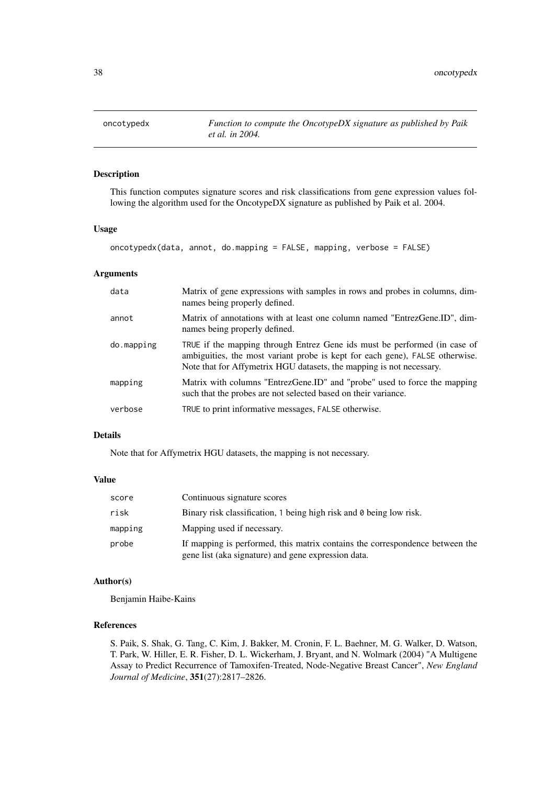This function computes signature scores and risk classifications from gene expression values following the algorithm used for the OncotypeDX signature as published by Paik et al. 2004.

# Usage

oncotypedx(data, annot, do.mapping = FALSE, mapping, verbose = FALSE)

# Arguments

| data       | Matrix of gene expressions with samples in rows and probes in columns, dim-<br>names being properly defined.                                                                                                                      |
|------------|-----------------------------------------------------------------------------------------------------------------------------------------------------------------------------------------------------------------------------------|
| annot      | Matrix of annotations with at least one column named "EntrezGene.ID", dim-<br>names being properly defined.                                                                                                                       |
| do.mapping | TRUE if the mapping through Entrez Gene ids must be performed (in case of<br>ambiguities, the most variant probe is kept for each gene), FALSE otherwise.<br>Note that for Affymetrix HGU datasets, the mapping is not necessary. |
| mapping    | Matrix with columns "EntrezGene.ID" and "probe" used to force the mapping<br>such that the probes are not selected based on their variance.                                                                                       |
| verbose    | TRUE to print informative messages, FALSE otherwise.                                                                                                                                                                              |

# Details

Note that for Affymetrix HGU datasets, the mapping is not necessary.

# Value

| score   | Continuous signature scores                                                                                                         |
|---------|-------------------------------------------------------------------------------------------------------------------------------------|
| risk    | Binary risk classification, 1 being high risk and 0 being low risk.                                                                 |
| mapping | Mapping used if necessary.                                                                                                          |
| probe   | If mapping is performed, this matrix contains the correspondence between the<br>gene list (aka signature) and gene expression data. |

# Author(s)

Benjamin Haibe-Kains

#### References

S. Paik, S. Shak, G. Tang, C. Kim, J. Bakker, M. Cronin, F. L. Baehner, M. G. Walker, D. Watson, T. Park, W. Hiller, E. R. Fisher, D. L. Wickerham, J. Bryant, and N. Wolmark (2004) "A Multigene Assay to Predict Recurrence of Tamoxifen-Treated, Node-Negative Breast Cancer", *New England Journal of Medicine*, 351(27):2817–2826.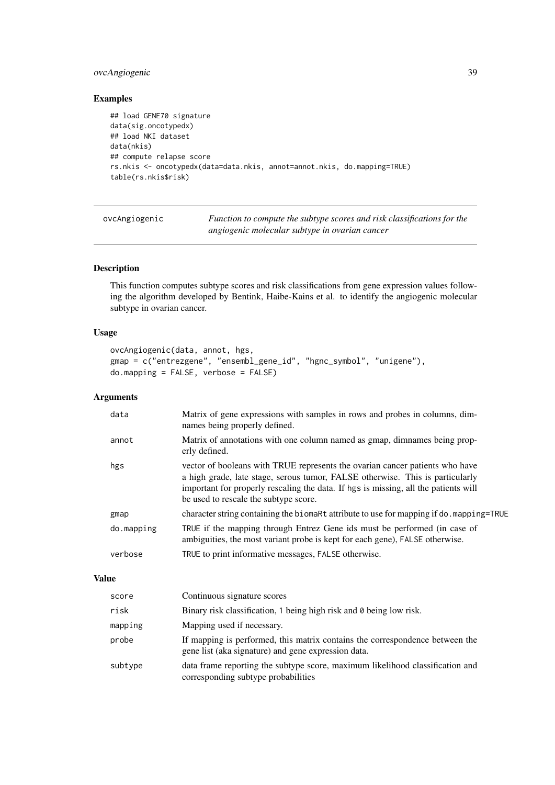# ovcAngiogenic 39

# Examples

```
## load GENE70 signature
data(sig.oncotypedx)
## load NKI dataset
data(nkis)
## compute relapse score
rs.nkis <- oncotypedx(data=data.nkis, annot=annot.nkis, do.mapping=TRUE)
table(rs.nkis$risk)
```

| ovcAngiogenic | Function to compute the subtype scores and risk classifications for the |
|---------------|-------------------------------------------------------------------------|
|               | angiogenic molecular subtype in ovarian cancer                          |

# Description

This function computes subtype scores and risk classifications from gene expression values following the algorithm developed by Bentink, Haibe-Kains et al. to identify the angiogenic molecular subtype in ovarian cancer.

# Usage

```
ovcAngiogenic(data, annot, hgs,
gmap = c("entrezgene", "ensembl_gene_id", "hgnc_symbol", "unigene"),
do.mapping = FALSE, verbose = FALSE)
```
## Arguments

| Matrix of annotations with one column named as gmap, dimnames being prop-<br>annot<br>erly defined.<br>vector of booleans with TRUE represents the ovarian cancer patients who have<br>hgs<br>a high grade, late stage, serous tumor, FALSE otherwise. This is particularly<br>important for properly rescaling the data. If hgs is missing, all the patients will<br>be used to rescale the subtype score.<br>gmap<br>TRUE if the mapping through Entrez Gene ids must be performed (in case of<br>do.mapping<br>ambiguities, the most variant probe is kept for each gene), FALSE otherwise.<br>TRUE to print informative messages, FALSE otherwise.<br>verbose | data | Matrix of gene expressions with samples in rows and probes in columns, dim-<br>names being properly defined. |
|-------------------------------------------------------------------------------------------------------------------------------------------------------------------------------------------------------------------------------------------------------------------------------------------------------------------------------------------------------------------------------------------------------------------------------------------------------------------------------------------------------------------------------------------------------------------------------------------------------------------------------------------------------------------|------|--------------------------------------------------------------------------------------------------------------|
|                                                                                                                                                                                                                                                                                                                                                                                                                                                                                                                                                                                                                                                                   |      |                                                                                                              |
|                                                                                                                                                                                                                                                                                                                                                                                                                                                                                                                                                                                                                                                                   |      |                                                                                                              |
|                                                                                                                                                                                                                                                                                                                                                                                                                                                                                                                                                                                                                                                                   |      | character string containing the biomaRt attribute to use for mapping if do. mapping=TRUE                     |
|                                                                                                                                                                                                                                                                                                                                                                                                                                                                                                                                                                                                                                                                   |      |                                                                                                              |
|                                                                                                                                                                                                                                                                                                                                                                                                                                                                                                                                                                                                                                                                   |      |                                                                                                              |

# Value

| score   | Continuous signature scores                                                                                                         |
|---------|-------------------------------------------------------------------------------------------------------------------------------------|
| risk    | Binary risk classification, 1 being high risk and 0 being low risk.                                                                 |
| mapping | Mapping used if necessary.                                                                                                          |
| probe   | If mapping is performed, this matrix contains the correspondence between the<br>gene list (aka signature) and gene expression data. |
| subtype | data frame reporting the subtype score, maximum likelihood classification and<br>corresponding subtype probabilities                |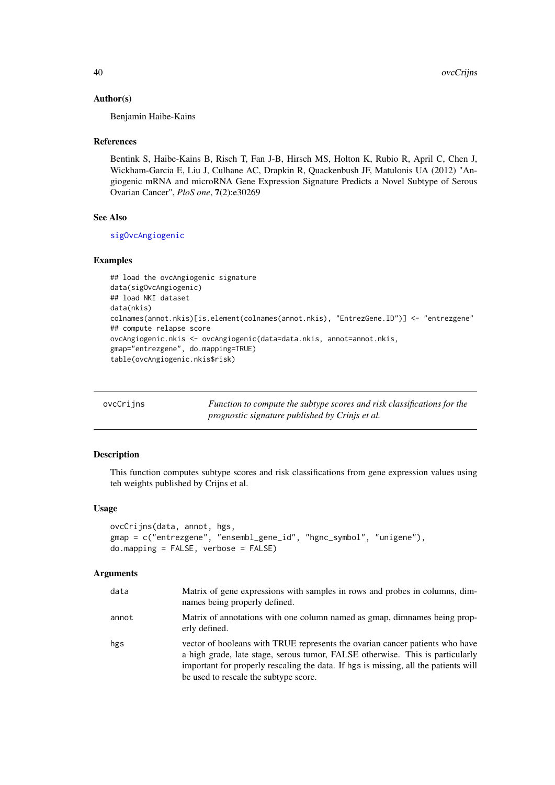## Author(s)

Benjamin Haibe-Kains

## References

Bentink S, Haibe-Kains B, Risch T, Fan J-B, Hirsch MS, Holton K, Rubio R, April C, Chen J, Wickham-Garcia E, Liu J, Culhane AC, Drapkin R, Quackenbush JF, Matulonis UA (2012) "Angiogenic mRNA and microRNA Gene Expression Signature Predicts a Novel Subtype of Serous Ovarian Cancer", *PloS one*, 7(2):e30269

# See Also

[sigOvcAngiogenic](#page-62-0)

# Examples

```
## load the ovcAngiogenic signature
data(sigOvcAngiogenic)
## load NKI dataset
data(nkis)
colnames(annot.nkis)[is.element(colnames(annot.nkis), "EntrezGene.ID")] <- "entrezgene"
## compute relapse score
ovcAngiogenic.nkis <- ovcAngiogenic(data=data.nkis, annot=annot.nkis,
gmap="entrezgene", do.mapping=TRUE)
table(ovcAngiogenic.nkis$risk)
```

| ovcCrijns | Function to compute the subtype scores and risk classifications for the |
|-----------|-------------------------------------------------------------------------|
|           | prognostic signature published by Crinjs et al.                         |

# Description

This function computes subtype scores and risk classifications from gene expression values using teh weights published by Crijns et al.

# Usage

```
ovcCrijns(data, annot, hgs,
gmap = c("entrezgene", "ensembl_gene_id", "hgnc_symbol", "unigene"),
do.mapping = FALSE, verbose = FALSE)
```
#### Arguments

| data  | Matrix of gene expressions with samples in rows and probes in columns, dim-<br>names being properly defined.                                                                                                                                                                                  |
|-------|-----------------------------------------------------------------------------------------------------------------------------------------------------------------------------------------------------------------------------------------------------------------------------------------------|
| annot | Matrix of annotations with one column named as gmap, dimnames being prop-<br>erly defined.                                                                                                                                                                                                    |
| hgs   | vector of booleans with TRUE represents the ovarian cancer patients who have<br>a high grade, late stage, serous tumor, FALSE otherwise. This is particularly<br>important for properly rescaling the data. If hgs is missing, all the patients will<br>be used to rescale the subtype score. |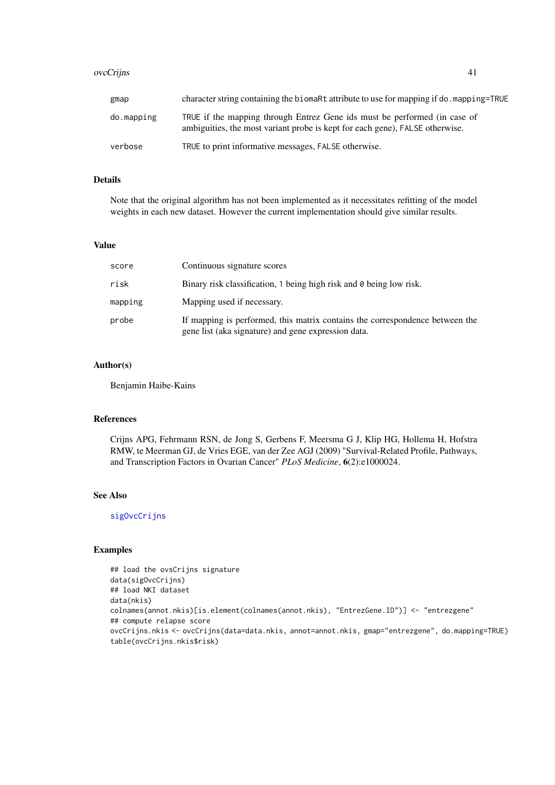#### ovcCrijns 41

| gmap       | character string containing the biomaRt attribute to use for mapping if do. mapping=TRUE                                                                  |
|------------|-----------------------------------------------------------------------------------------------------------------------------------------------------------|
| do.mapping | TRUE if the mapping through Entrez Gene ids must be performed (in case of<br>ambiguities, the most variant probe is kept for each gene), FALSE otherwise. |
| verbose    | TRUE to print informative messages, FALSE otherwise.                                                                                                      |

## Details

Note that the original algorithm has not been implemented as it necessitates refitting of the model weights in each new dataset. However the current implementation should give similar results.

## Value

| score   | Continuous signature scores                                                                                                         |
|---------|-------------------------------------------------------------------------------------------------------------------------------------|
| risk    | Binary risk classification, 1 being high risk and 0 being low risk.                                                                 |
| mapping | Mapping used if necessary.                                                                                                          |
| probe   | If mapping is performed, this matrix contains the correspondence between the<br>gene list (aka signature) and gene expression data. |

# Author(s)

Benjamin Haibe-Kains

## References

Crijns APG, Fehrmann RSN, de Jong S, Gerbens F, Meersma G J, Klip HG, Hollema H, Hofstra RMW, te Meerman GJ, de Vries EGE, van der Zee AGJ (2009) "Survival-Related Profile, Pathways, and Transcription Factors in Ovarian Cancer" *PLoS Medicine*, 6(2):e1000024.

# See Also

[sigOvcCrijns](#page-62-1)

```
## load the ovsCrijns signature
data(sigOvcCrijns)
## load NKI dataset
data(nkis)
colnames(annot.nkis)[is.element(colnames(annot.nkis), "EntrezGene.ID")] <- "entrezgene"
## compute relapse score
ovcCrijns.nkis <- ovcCrijns(data=data.nkis, annot=annot.nkis, gmap="entrezgene", do.mapping=TRUE)
table(ovcCrijns.nkis$risk)
```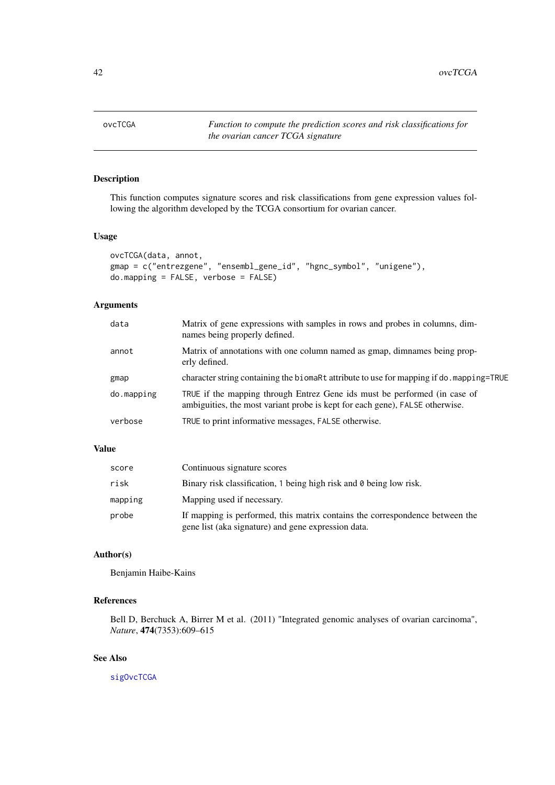This function computes signature scores and risk classifications from gene expression values following the algorithm developed by the TCGA consortium for ovarian cancer.

# Usage

```
ovcTCGA(data, annot,
gmap = c("entrezgene", "ensembl_gene_id", "hgnc_symbol", "unigene"),
do.mapping = FALSE, verbose = FALSE)
```
# Arguments

| data       | Matrix of gene expressions with samples in rows and probes in columns, dim-<br>names being properly defined.                                              |
|------------|-----------------------------------------------------------------------------------------------------------------------------------------------------------|
| annot      | Matrix of annotations with one column named as gmap, dimnames being prop-<br>erly defined.                                                                |
| gmap       | character string containing the biomaRt attribute to use for mapping if do. mapping=TRUE                                                                  |
| do.mapping | TRUE if the mapping through Entrez Gene ids must be performed (in case of<br>ambiguities, the most variant probe is kept for each gene), FALSE otherwise. |
| verbose    | TRUE to print informative messages, FALSE otherwise.                                                                                                      |
|            |                                                                                                                                                           |

## Value

| score   | Continuous signature scores                                                                                                         |
|---------|-------------------------------------------------------------------------------------------------------------------------------------|
| risk    | Binary risk classification, 1 being high risk and 0 being low risk.                                                                 |
| mapping | Mapping used if necessary.                                                                                                          |
| probe   | If mapping is performed, this matrix contains the correspondence between the<br>gene list (aka signature) and gene expression data. |

## Author(s)

Benjamin Haibe-Kains

# References

Bell D, Berchuck A, Birrer M et al. (2011) "Integrated genomic analyses of ovarian carcinoma", *Nature*, 474(7353):609–615

# See Also

[sigOvcTCGA](#page-64-0)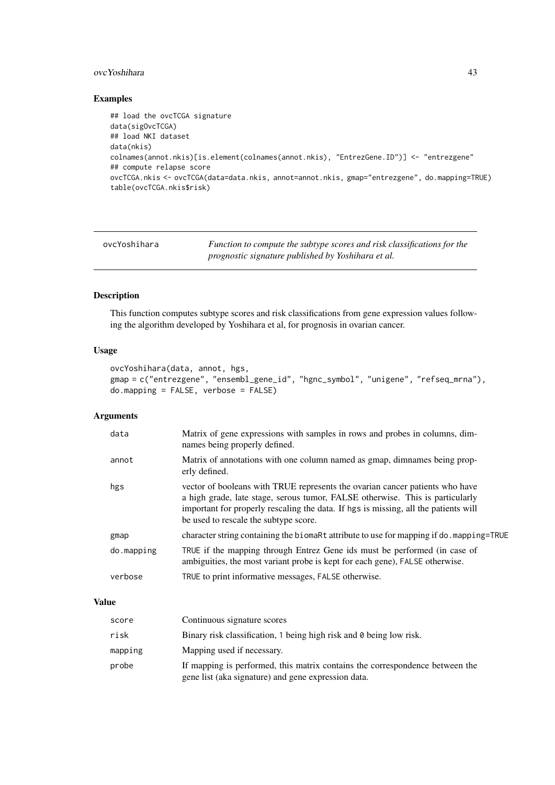#### ovcYoshihara 43

# Examples

```
## load the ovcTCGA signature
data(sigOvcTCGA)
## load NKI dataset
data(nkis)
colnames(annot.nkis)[is.element(colnames(annot.nkis), "EntrezGene.ID")] <- "entrezgene"
## compute relapse score
ovcTCGA.nkis <- ovcTCGA(data=data.nkis, annot=annot.nkis, gmap="entrezgene", do.mapping=TRUE)
table(ovcTCGA.nkis$risk)
```
ovcYoshihara *Function to compute the subtype scores and risk classifications for the prognostic signature published by Yoshihara et al.*

#### Description

This function computes subtype scores and risk classifications from gene expression values following the algorithm developed by Yoshihara et al, for prognosis in ovarian cancer.

## Usage

```
ovcYoshihara(data, annot, hgs,
gmap = c("entrezgene", "ensembl_gene_id", "hgnc_symbol", "unigene", "refseq_mrna"),
do.mapping = FALSE, verbose = FALSE)
```
# Arguments

| data       | Matrix of gene expressions with samples in rows and probes in columns, dim-<br>names being properly defined.                                                                                                                                                                                  |
|------------|-----------------------------------------------------------------------------------------------------------------------------------------------------------------------------------------------------------------------------------------------------------------------------------------------|
| annot      | Matrix of annotations with one column named as gmap, dimnames being prop-<br>erly defined.                                                                                                                                                                                                    |
| hgs        | vector of booleans with TRUE represents the ovarian cancer patients who have<br>a high grade, late stage, serous tumor, FALSE otherwise. This is particularly<br>important for properly rescaling the data. If hgs is missing, all the patients will<br>be used to rescale the subtype score. |
| gmap       | character string containing the biomaRt attribute to use for mapping if do. mapping=TRUE                                                                                                                                                                                                      |
| do.mapping | TRUE if the mapping through Entrez Gene ids must be performed (in case of<br>ambiguities, the most variant probe is kept for each gene), FALSE otherwise.                                                                                                                                     |
| verbose    | TRUE to print informative messages, FALSE otherwise.                                                                                                                                                                                                                                          |

### Value

| score   | Continuous signature scores                                                                                                         |
|---------|-------------------------------------------------------------------------------------------------------------------------------------|
| risk    | Binary risk classification, 1 being high risk and 0 being low risk.                                                                 |
| mapping | Mapping used if necessary.                                                                                                          |
| probe   | If mapping is performed, this matrix contains the correspondence between the<br>gene list (aka signature) and gene expression data. |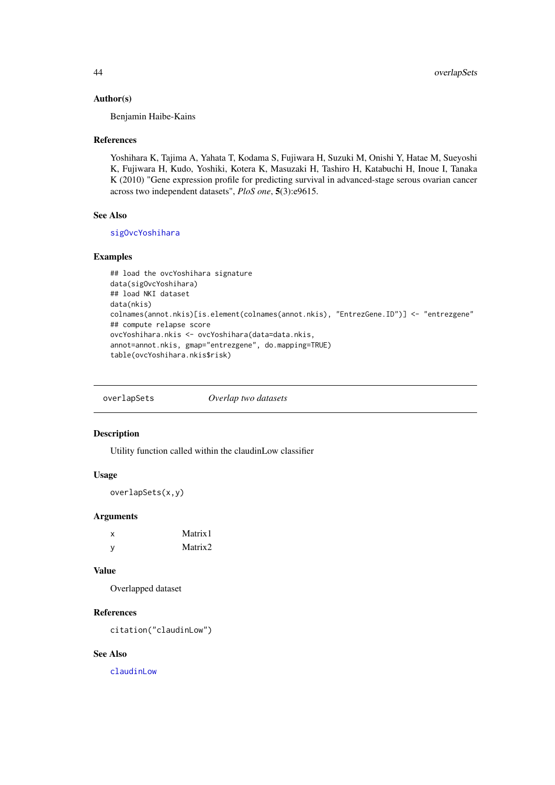#### Author(s)

Benjamin Haibe-Kains

#### References

Yoshihara K, Tajima A, Yahata T, Kodama S, Fujiwara H, Suzuki M, Onishi Y, Hatae M, Sueyoshi K, Fujiwara H, Kudo, Yoshiki, Kotera K, Masuzaki H, Tashiro H, Katabuchi H, Inoue I, Tanaka K (2010) "Gene expression profile for predicting survival in advanced-stage serous ovarian cancer across two independent datasets", *PloS one*, 5(3):e9615.

## See Also

[sigOvcYoshihara](#page-64-1)

# Examples

```
## load the ovcYoshihara signature
data(sigOvcYoshihara)
## load NKI dataset
data(nkis)
colnames(annot.nkis)[is.element(colnames(annot.nkis), "EntrezGene.ID")] <- "entrezgene"
## compute relapse score
ovcYoshihara.nkis <- ovcYoshihara(data=data.nkis,
annot=annot.nkis, gmap="entrezgene", do.mapping=TRUE)
table(ovcYoshihara.nkis$risk)
```
overlapSets *Overlap two datasets*

# Description

Utility function called within the claudinLow classifier

## Usage

overlapSets(x,y)

## Arguments

| x | Matrix1 |
|---|---------|
| y | Matrix2 |

## Value

Overlapped dataset

# References

citation("claudinLow")

## See Also

[claudinLow](#page-6-0)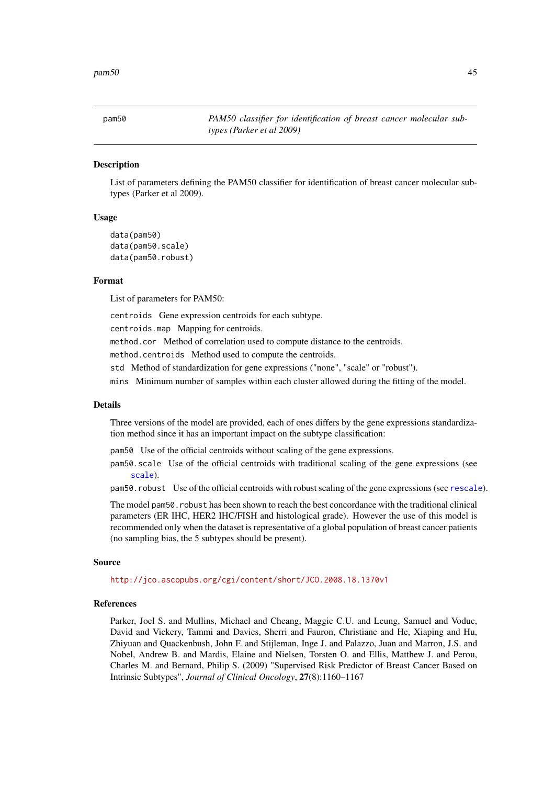List of parameters defining the PAM50 classifier for identification of breast cancer molecular subtypes (Parker et al 2009).

## Usage

```
data(pam50)
data(pam50.scale)
data(pam50.robust)
```
# Format

List of parameters for PAM50:

centroids Gene expression centroids for each subtype.

centroids.map Mapping for centroids.

method.cor Method of correlation used to compute distance to the centroids.

method.centroids Method used to compute the centroids.

std Method of standardization for gene expressions ("none", "scale" or "robust").

mins Minimum number of samples within each cluster allowed during the fitting of the model.

#### Details

Three versions of the model are provided, each of ones differs by the gene expressions standardization method since it has an important impact on the subtype classification:

- pam50 Use of the official centroids without scaling of the gene expressions.
- pam50.scale Use of the official centroids with traditional scaling of the gene expressions (see [scale](#page-0-0)).

pam50.robust Use of the official centroids with robust scaling of the gene expressions (see [rescale](#page-50-0)).

The model pam50.robust has been shown to reach the best concordance with the traditional clinical parameters (ER IHC, HER2 IHC/FISH and histological grade). However the use of this model is recommended only when the dataset is representative of a global population of breast cancer patients (no sampling bias, the 5 subtypes should be present).

#### Source

<http://jco.ascopubs.org/cgi/content/short/JCO.2008.18.1370v1>

#### References

Parker, Joel S. and Mullins, Michael and Cheang, Maggie C.U. and Leung, Samuel and Voduc, David and Vickery, Tammi and Davies, Sherri and Fauron, Christiane and He, Xiaping and Hu, Zhiyuan and Quackenbush, John F. and Stijleman, Inge J. and Palazzo, Juan and Marron, J.S. and Nobel, Andrew B. and Mardis, Elaine and Nielsen, Torsten O. and Ellis, Matthew J. and Perou, Charles M. and Bernard, Philip S. (2009) "Supervised Risk Predictor of Breast Cancer Based on Intrinsic Subtypes", *Journal of Clinical Oncology*, 27(8):1160–1167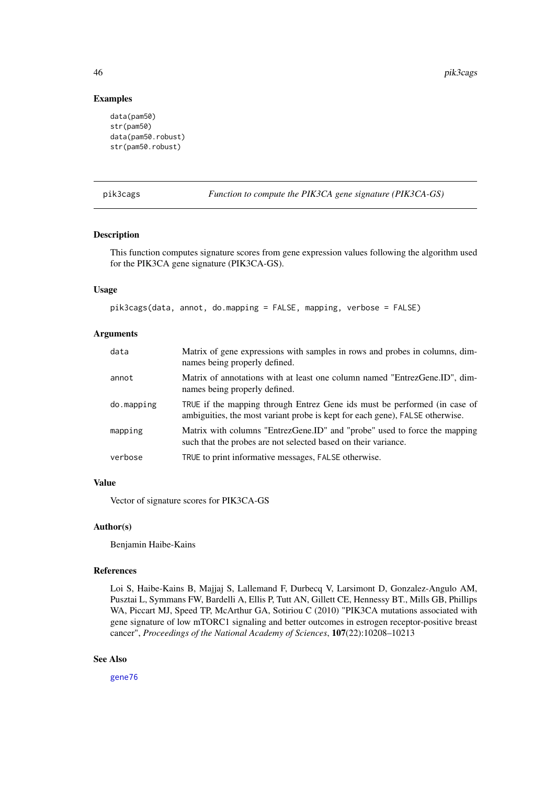# Examples

```
data(pam50)
str(pam50)
data(pam50.robust)
str(pam50.robust)
```
pik3cags *Function to compute the PIK3CA gene signature (PIK3CA-GS)*

## Description

This function computes signature scores from gene expression values following the algorithm used for the PIK3CA gene signature (PIK3CA-GS).

# Usage

pik3cags(data, annot, do.mapping = FALSE, mapping, verbose = FALSE)

# Arguments

| data       | Matrix of gene expressions with samples in rows and probes in columns, dim-<br>names being properly defined.                                              |
|------------|-----------------------------------------------------------------------------------------------------------------------------------------------------------|
| annot      | Matrix of annotations with at least one column named "EntrezGene.ID", dim-<br>names being properly defined.                                               |
| do.mapping | TRUE if the mapping through Entrez Gene ids must be performed (in case of<br>ambiguities, the most variant probe is kept for each gene), FALSE otherwise. |
| mapping    | Matrix with columns "EntrezGene.ID" and "probe" used to force the mapping<br>such that the probes are not selected based on their variance.               |
| verbose    | TRUE to print informative messages, FALSE otherwise.                                                                                                      |

## Value

Vector of signature scores for PIK3CA-GS

## Author(s)

Benjamin Haibe-Kains

## References

Loi S, Haibe-Kains B, Majjaj S, Lallemand F, Durbecq V, Larsimont D, Gonzalez-Angulo AM, Pusztai L, Symmans FW, Bardelli A, Ellis P, Tutt AN, Gillett CE, Hennessy BT., Mills GB, Phillips WA, Piccart MJ, Speed TP, McArthur GA, Sotiriou C (2010) "PIK3CA mutations associated with gene signature of low mTORC1 signaling and better outcomes in estrogen receptor-positive breast cancer", *Proceedings of the National Academy of Sciences*, 107(22):10208–10213

# See Also

[gene76](#page-19-0)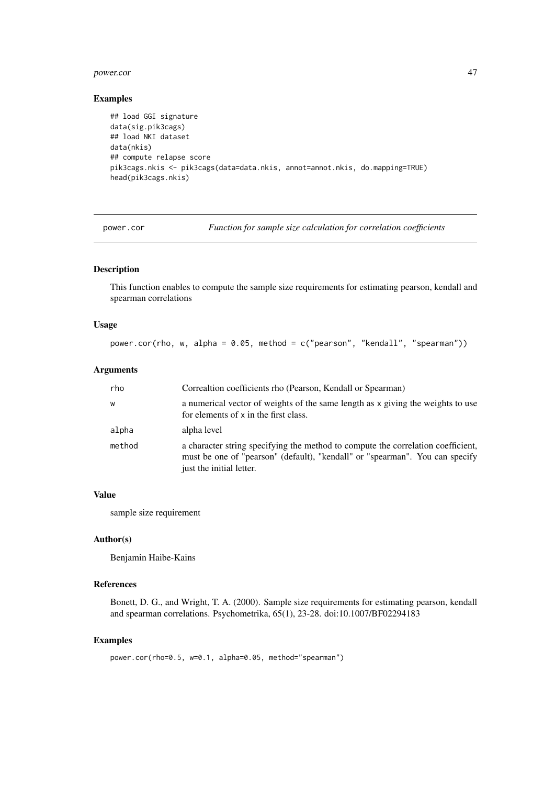#### power.cor 47

# Examples

```
## load GGI signature
data(sig.pik3cags)
## load NKI dataset
data(nkis)
## compute relapse score
pik3cags.nkis <- pik3cags(data=data.nkis, annot=annot.nkis, do.mapping=TRUE)
head(pik3cags.nkis)
```
power.cor *Function for sample size calculation for correlation coefficients*

## Description

This function enables to compute the sample size requirements for estimating pearson, kendall and spearman correlations

## Usage

power.cor(rho, w, alpha =  $0.05$ , method =  $c("pearson", "kendall", "spearman"))$ 

## Arguments

| rho    | Correaltion coefficients rho (Pearson, Kendall or Spearman)                                                                                                                                  |
|--------|----------------------------------------------------------------------------------------------------------------------------------------------------------------------------------------------|
| W      | a numerical vector of weights of the same length as x giving the weights to use<br>for elements of x in the first class.                                                                     |
| alpha  | alpha level                                                                                                                                                                                  |
| method | a character string specifying the method to compute the correlation coefficient,<br>must be one of "pearson" (default), "kendall" or "spearman". You can specify<br>just the initial letter. |

## Value

sample size requirement

# Author(s)

Benjamin Haibe-Kains

# References

Bonett, D. G., and Wright, T. A. (2000). Sample size requirements for estimating pearson, kendall and spearman correlations. Psychometrika, 65(1), 23-28. doi:10.1007/BF02294183

```
power.cor(rho=0.5, w=0.1, alpha=0.05, method="spearman")
```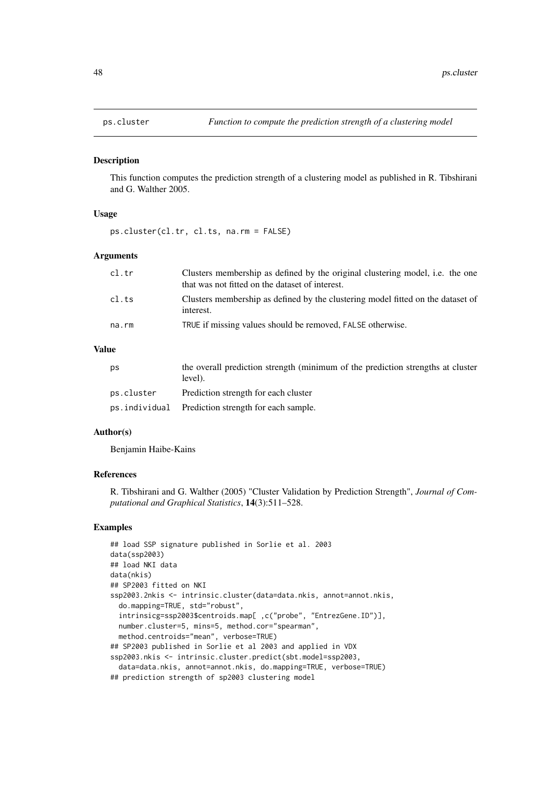This function computes the prediction strength of a clustering model as published in R. Tibshirani and G. Walther 2005.

#### Usage

ps.cluster(cl.tr, cl.ts, na.rm = FALSE)

#### Arguments

| cl.tr | Clusters membership as defined by the original clustering model, i.e. the one<br>that was not fitted on the dataset of interest. |
|-------|----------------------------------------------------------------------------------------------------------------------------------|
| cl.ts | Clusters membership as defined by the clustering model fitted on the dataset of<br>interest.                                     |
| na.rm | TRUE if missing values should be removed, FALSE otherwise.                                                                       |

# Value

| <b>DS</b>  | the overall prediction strength (minimum of the prediction strengths at cluster<br>level). |
|------------|--------------------------------------------------------------------------------------------|
| ps.cluster | Prediction strength for each cluster                                                       |
|            | ps.individual Prediction strength for each sample.                                         |

## Author(s)

Benjamin Haibe-Kains

# References

R. Tibshirani and G. Walther (2005) "Cluster Validation by Prediction Strength", *Journal of Computational and Graphical Statistics*, 14(3):511–528.

```
## load SSP signature published in Sorlie et al. 2003
data(ssp2003)
## load NKI data
data(nkis)
## SP2003 fitted on NKI
ssp2003.2nkis <- intrinsic.cluster(data=data.nkis, annot=annot.nkis,
  do.mapping=TRUE, std="robust",
  intrinsicg=ssp2003$centroids.map[ ,c("probe", "EntrezGene.ID")],
  number.cluster=5, mins=5, method.cor="spearman",
 method.centroids="mean", verbose=TRUE)
## SP2003 published in Sorlie et al 2003 and applied in VDX
ssp2003.nkis <- intrinsic.cluster.predict(sbt.model=ssp2003,
  data=data.nkis, annot=annot.nkis, do.mapping=TRUE, verbose=TRUE)
## prediction strength of sp2003 clustering model
```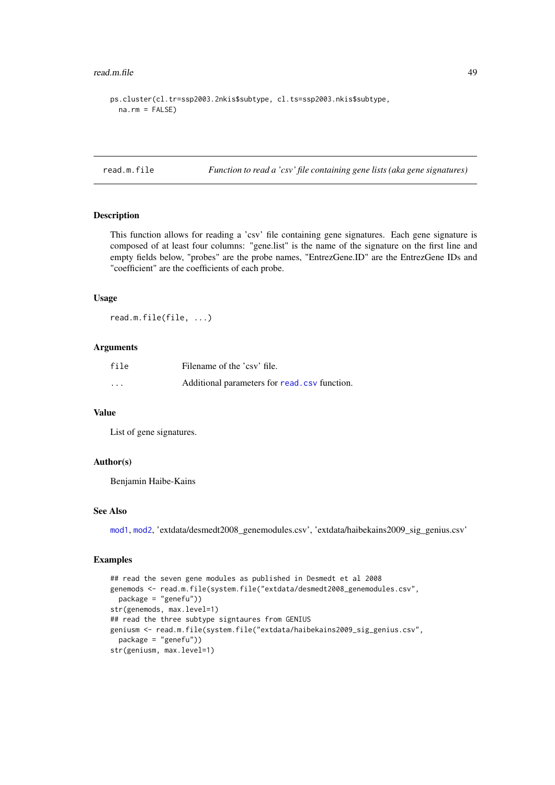#### read.m.file 49

```
ps.cluster(cl.tr=ssp2003.2nkis$subtype, cl.ts=ssp2003.nkis$subtype,
  na.rm = FALSE
```
read.m.file *Function to read a 'csv' file containing gene lists (aka gene signatures)*

# Description

This function allows for reading a 'csv' file containing gene signatures. Each gene signature is composed of at least four columns: "gene.list" is the name of the signature on the first line and empty fields below, "probes" are the probe names, "EntrezGene.ID" are the EntrezGene IDs and "coefficient" are the coefficients of each probe.

## Usage

read.m.file(file, ...)

#### Arguments

| file     | Filename of the 'csy' file.                   |
|----------|-----------------------------------------------|
| $\cdots$ | Additional parameters for read, csv function. |

## Value

List of gene signatures.

#### Author(s)

Benjamin Haibe-Kains

## See Also

[mod1](#page-30-0), [mod2](#page-31-0), 'extdata/desmedt2008\_genemodules.csv', 'extdata/haibekains2009\_sig\_genius.csv'

```
## read the seven gene modules as published in Desmedt et al 2008
genemods <- read.m.file(system.file("extdata/desmedt2008_genemodules.csv",
 package = "genefu"))
str(genemods, max.level=1)
## read the three subtype signtaures from GENIUS
geniusm <- read.m.file(system.file("extdata/haibekains2009_sig_genius.csv",
  package = "genefu"))
str(geniusm, max.level=1)
```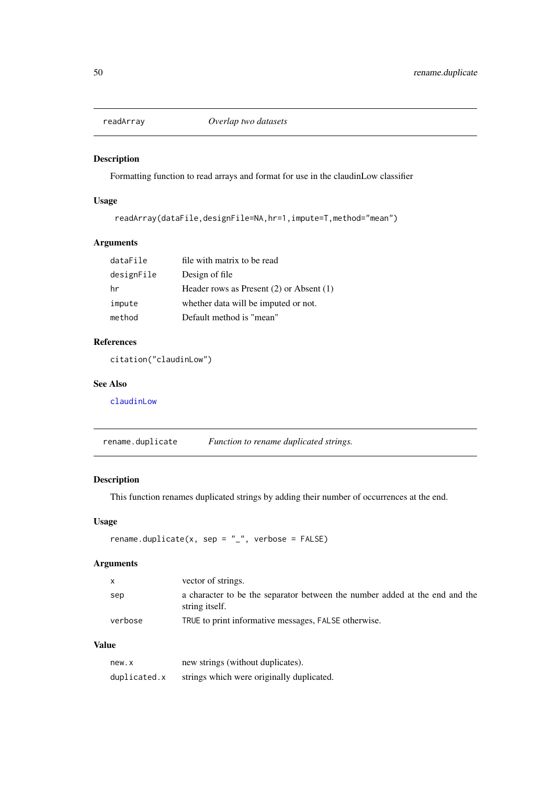Formatting function to read arrays and format for use in the claudinLow classifier

# Usage

```
readArray(dataFile,designFile=NA,hr=1,impute=T,method="mean")
```
# Arguments

| dataFile   | file with matrix to be read                  |
|------------|----------------------------------------------|
| designFile | Design of file                               |
| hr         | Header rows as Present $(2)$ or Absent $(1)$ |
| impute     | whether data will be imputed or not.         |
| method     | Default method is "mean"                     |

# References

citation("claudinLow")

# See Also

[claudinLow](#page-6-0)

rename.duplicate *Function to rename duplicated strings.*

# Description

This function renames duplicated strings by adding their number of occurrences at the end.

# Usage

```
rename.duplicate(x, sep = "_", verbose = FALSE)
```
# Arguments

| $\mathsf{X}$ | vector of strings.                                                                            |
|--------------|-----------------------------------------------------------------------------------------------|
| sep          | a character to be the separator between the number added at the end and the<br>string itself. |
| verbose      | TRUE to print informative messages, FALSE otherwise.                                          |

# Value

| new.x        | new strings (without duplicates).         |
|--------------|-------------------------------------------|
| duplicated.x | strings which were originally duplicated. |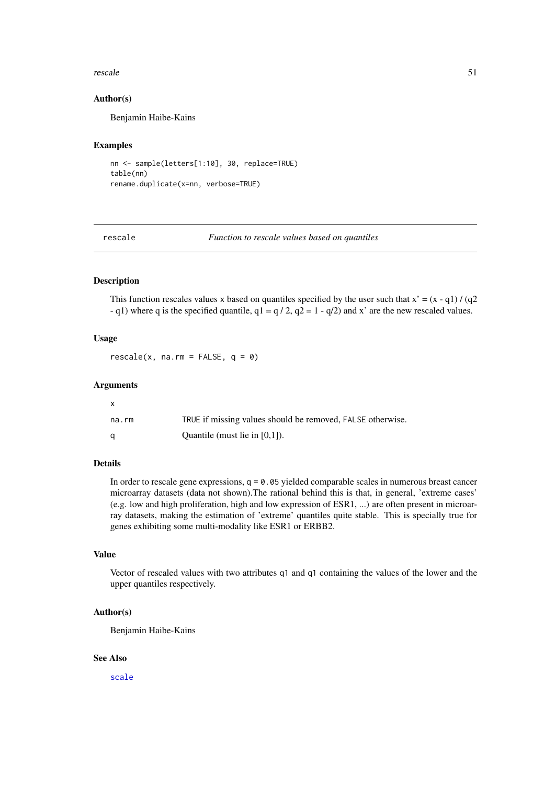#### rescale 51

#### Author(s)

Benjamin Haibe-Kains

## Examples

```
nn <- sample(letters[1:10], 30, replace=TRUE)
table(nn)
rename.duplicate(x=nn, verbose=TRUE)
```
<span id="page-50-0"></span>rescale *Function to rescale values based on quantiles*

# Description

This function rescales values x based on quantiles specified by the user such that  $x' = (x - q1) / (q2)$ - q1) where q is the specified quantile,  $q1 = q / 2$ ,  $q2 = 1 - q/2$  and x' are the new rescaled values.

#### Usage

 $rescale(x, na.rm = FALSE, q = 0)$ 

## Arguments

| x     |                                                            |
|-------|------------------------------------------------------------|
| na.rm | TRUE if missing values should be removed, FALSE otherwise. |
| α     | Ouantile (must lie in $[0,1]$ ).                           |

# Details

In order to rescale gene expressions,  $q = 0.05$  yielded comparable scales in numerous breast cancer microarray datasets (data not shown).The rational behind this is that, in general, 'extreme cases' (e.g. low and high proliferation, high and low expression of ESR1, ...) are often present in microarray datasets, making the estimation of 'extreme' quantiles quite stable. This is specially true for genes exhibiting some multi-modality like ESR1 or ERBB2.

### Value

Vector of rescaled values with two attributes q1 and q1 containing the values of the lower and the upper quantiles respectively.

#### Author(s)

Benjamin Haibe-Kains

# See Also

[scale](#page-0-0)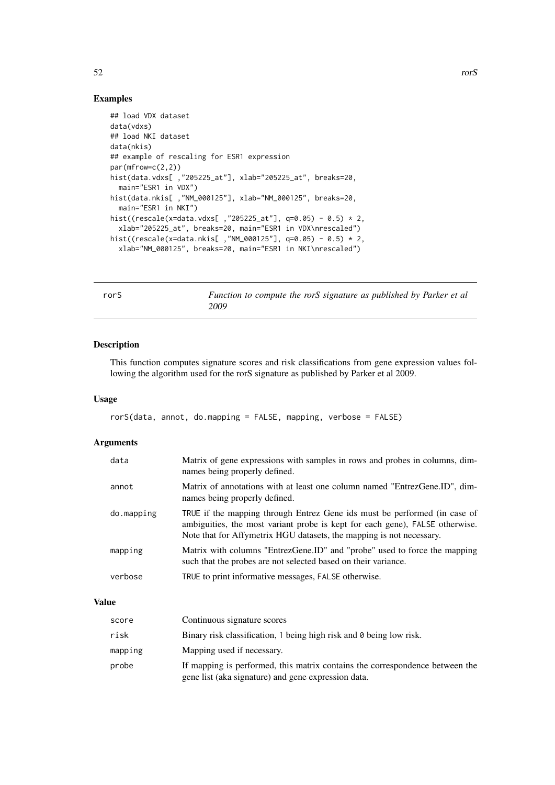# Examples

```
## load VDX dataset
data(vdxs)
## load NKI dataset
data(nkis)
## example of rescaling for ESR1 expression
par(mfrow=c(2,2))
hist(data.vdxs[ ,"205225_at"], xlab="205225_at", breaks=20,
 main="ESR1 in VDX")
hist(data.nkis[ ,"NM_000125"], xlab="NM_000125", breaks=20,
 main="ESR1 in NKI")
hist((rescale(x=data.vdxs[ ,"205225_at"], q=0.05) - 0.5) * 2,
 xlab="205225_at", breaks=20, main="ESR1 in VDX\nrescaled")
hist((rescale(x=data.nkis[ ,"NM_000125"], q=0.05) - 0.5) * 2,
  xlab="NM_000125", breaks=20, main="ESR1 in NKI\nrescaled")
```
rorS *Function to compute the rorS signature as published by Parker et al 2009*

# Description

This function computes signature scores and risk classifications from gene expression values following the algorithm used for the rorS signature as published by Parker et al 2009.

#### Usage

```
rorS(data, annot, do.mapping = FALSE, mapping, verbose = FALSE)
```
# Arguments

| data       | Matrix of gene expressions with samples in rows and probes in columns, dim-<br>names being properly defined.                                                                                                                      |
|------------|-----------------------------------------------------------------------------------------------------------------------------------------------------------------------------------------------------------------------------------|
| annot      | Matrix of annotations with at least one column named "EntrezGene.ID", dim-<br>names being properly defined.                                                                                                                       |
| do.mapping | TRUE if the mapping through Entrez Gene ids must be performed (in case of<br>ambiguities, the most variant probe is kept for each gene), FALSE otherwise.<br>Note that for Affymetrix HGU datasets, the mapping is not necessary. |
| mapping    | Matrix with columns "EntrezGene.ID" and "probe" used to force the mapping<br>such that the probes are not selected based on their variance.                                                                                       |
| verbose    | TRUE to print informative messages, FALSE otherwise.                                                                                                                                                                              |

### Value

| score   | Continuous signature scores                                                                                                         |
|---------|-------------------------------------------------------------------------------------------------------------------------------------|
| risk    | Binary risk classification, 1 being high risk and 0 being low risk.                                                                 |
| mapping | Mapping used if necessary.                                                                                                          |
| probe   | If mapping is performed, this matrix contains the correspondence between the<br>gene list (aka signature) and gene expression data. |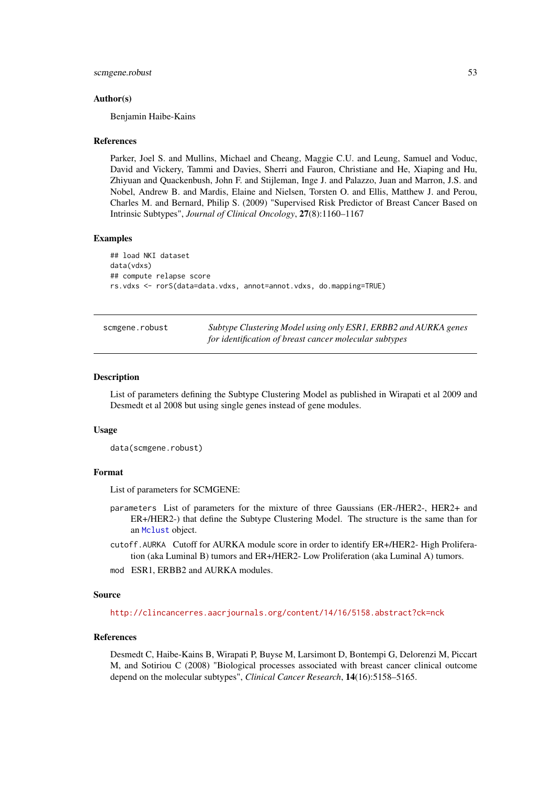#### scmgene.robust 53

#### Author(s)

Benjamin Haibe-Kains

#### References

Parker, Joel S. and Mullins, Michael and Cheang, Maggie C.U. and Leung, Samuel and Voduc, David and Vickery, Tammi and Davies, Sherri and Fauron, Christiane and He, Xiaping and Hu, Zhiyuan and Quackenbush, John F. and Stijleman, Inge J. and Palazzo, Juan and Marron, J.S. and Nobel, Andrew B. and Mardis, Elaine and Nielsen, Torsten O. and Ellis, Matthew J. and Perou, Charles M. and Bernard, Philip S. (2009) "Supervised Risk Predictor of Breast Cancer Based on Intrinsic Subtypes", *Journal of Clinical Oncology*, 27(8):1160–1167

# Examples

```
## load NKI dataset
data(vdxs)
## compute relapse score
rs.vdxs <- rorS(data=data.vdxs, annot=annot.vdxs, do.mapping=TRUE)
```

| scmgene.robust | Subtype Clustering Model using only ESR1, ERBB2 and AURKA genes |
|----------------|-----------------------------------------------------------------|
|                | for identification of breast cancer molecular subtypes          |

#### Description

List of parameters defining the Subtype Clustering Model as published in Wirapati et al 2009 and Desmedt et al 2008 but using single genes instead of gene modules.

#### Usage

```
data(scmgene.robust)
```
#### Format

List of parameters for SCMGENE:

- parameters List of parameters for the mixture of three Gaussians (ER-/HER2-, HER2+ and ER+/HER2-) that define the Subtype Clustering Model. The structure is the same than for an [Mclust](#page-0-0) object.
- cutoff.AURKA Cutoff for AURKA module score in order to identify ER+/HER2- High Proliferation (aka Luminal B) tumors and ER+/HER2- Low Proliferation (aka Luminal A) tumors.
- mod ESR1, ERBB2 and AURKA modules.

#### Source

<http://clincancerres.aacrjournals.org/content/14/16/5158.abstract?ck=nck>

#### References

Desmedt C, Haibe-Kains B, Wirapati P, Buyse M, Larsimont D, Bontempi G, Delorenzi M, Piccart M, and Sotiriou C (2008) "Biological processes associated with breast cancer clinical outcome depend on the molecular subtypes", *Clinical Cancer Research*, 14(16):5158–5165.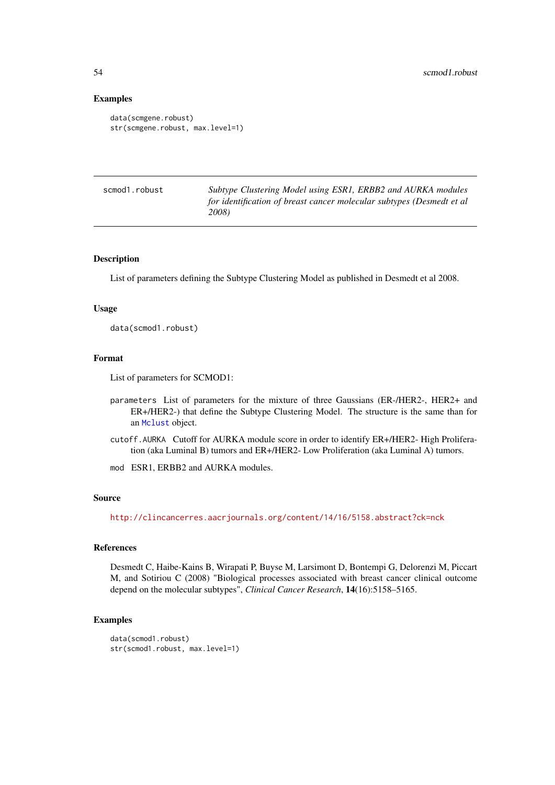# Examples

```
data(scmgene.robust)
str(scmgene.robust, max.level=1)
```

| scmod1.robust | Subtype Clustering Model using ESR1, ERBB2 and AURKA modules          |
|---------------|-----------------------------------------------------------------------|
|               | for identification of breast cancer molecular subtypes (Desmedt et al |
|               | 2008)                                                                 |

#### Description

List of parameters defining the Subtype Clustering Model as published in Desmedt et al 2008.

#### Usage

data(scmod1.robust)

#### Format

List of parameters for SCMOD1:

- parameters List of parameters for the mixture of three Gaussians (ER-/HER2-, HER2+ and ER+/HER2-) that define the Subtype Clustering Model. The structure is the same than for an [Mclust](#page-0-0) object.
- cutoff.AURKA Cutoff for AURKA module score in order to identify ER+/HER2- High Proliferation (aka Luminal B) tumors and ER+/HER2- Low Proliferation (aka Luminal A) tumors.
- mod ESR1, ERBB2 and AURKA modules.

## Source

<http://clincancerres.aacrjournals.org/content/14/16/5158.abstract?ck=nck>

# References

Desmedt C, Haibe-Kains B, Wirapati P, Buyse M, Larsimont D, Bontempi G, Delorenzi M, Piccart M, and Sotiriou C (2008) "Biological processes associated with breast cancer clinical outcome depend on the molecular subtypes", *Clinical Cancer Research*, 14(16):5158–5165.

```
data(scmod1.robust)
str(scmod1.robust, max.level=1)
```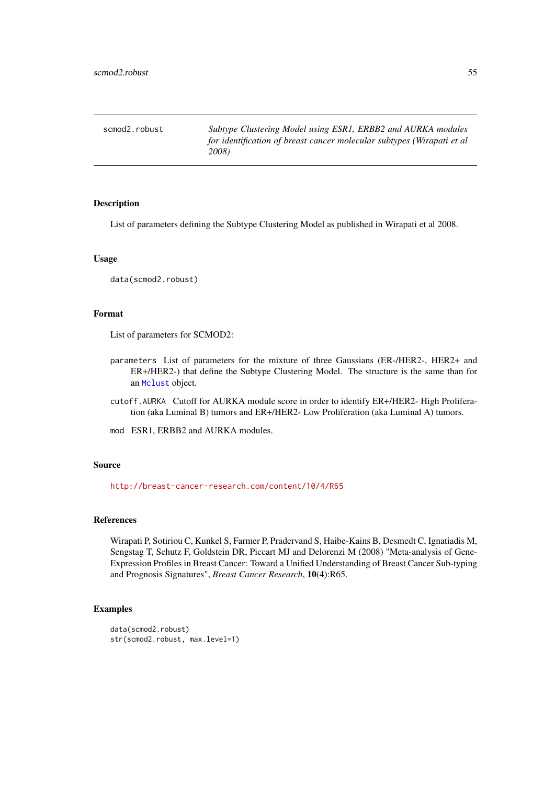scmod2.robust *Subtype Clustering Model using ESR1, ERBB2 and AURKA modules for identification of breast cancer molecular subtypes (Wirapati et al 2008)*

#### Description

List of parameters defining the Subtype Clustering Model as published in Wirapati et al 2008.

## Usage

data(scmod2.robust)

# Format

List of parameters for SCMOD2:

- parameters List of parameters for the mixture of three Gaussians (ER-/HER2-, HER2+ and ER+/HER2-) that define the Subtype Clustering Model. The structure is the same than for an [Mclust](#page-0-0) object.
- cutoff.AURKA Cutoff for AURKA module score in order to identify ER+/HER2- High Proliferation (aka Luminal B) tumors and ER+/HER2- Low Proliferation (aka Luminal A) tumors.
- mod ESR1, ERBB2 and AURKA modules.

#### Source

<http://breast-cancer-research.com/content/10/4/R65>

#### References

Wirapati P, Sotiriou C, Kunkel S, Farmer P, Pradervand S, Haibe-Kains B, Desmedt C, Ignatiadis M, Sengstag T, Schutz F, Goldstein DR, Piccart MJ and Delorenzi M (2008) "Meta-analysis of Gene-Expression Profiles in Breast Cancer: Toward a Unified Understanding of Breast Cancer Sub-typing and Prognosis Signatures", *Breast Cancer Research*, 10(4):R65.

```
data(scmod2.robust)
str(scmod2.robust, max.level=1)
```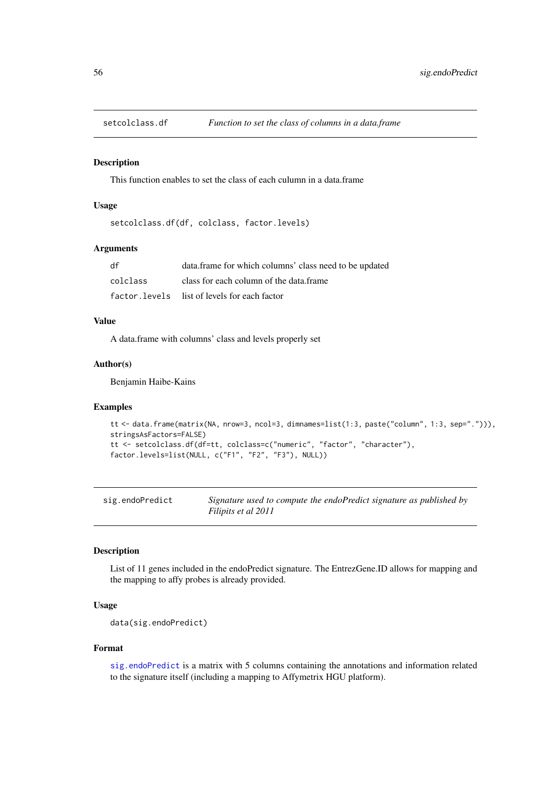This function enables to set the class of each culumn in a data.frame

## Usage

```
setcolclass.df(df, colclass, factor.levels)
```
#### Arguments

| df       | data.frame for which columns' class need to be updated |
|----------|--------------------------------------------------------|
| colclass | class for each column of the data.frame                |
|          | factor. levels list of levels for each factor          |

## Value

A data.frame with columns' class and levels properly set

# Author(s)

Benjamin Haibe-Kains

#### Examples

```
tt <- data.frame(matrix(NA, nrow=3, ncol=3, dimnames=list(1:3, paste("column", 1:3, sep="."))),
stringsAsFactors=FALSE)
tt <- setcolclass.df(df=tt, colclass=c("numeric", "factor", "character"),
factor.levels=list(NULL, c("F1", "F2", "F3"), NULL))
```
<span id="page-55-0"></span>

| sig.endoPredict | Signature used to compute the endoPredict signature as published by |
|-----------------|---------------------------------------------------------------------|
|                 | Filipits et al 2011                                                 |

## Description

List of 11 genes included in the endoPredict signature. The EntrezGene.ID allows for mapping and the mapping to affy probes is already provided.

## Usage

data(sig.endoPredict)

#### Format

[sig.endoPredict](#page-55-0) is a matrix with 5 columns containing the annotations and information related to the signature itself (including a mapping to Affymetrix HGU platform).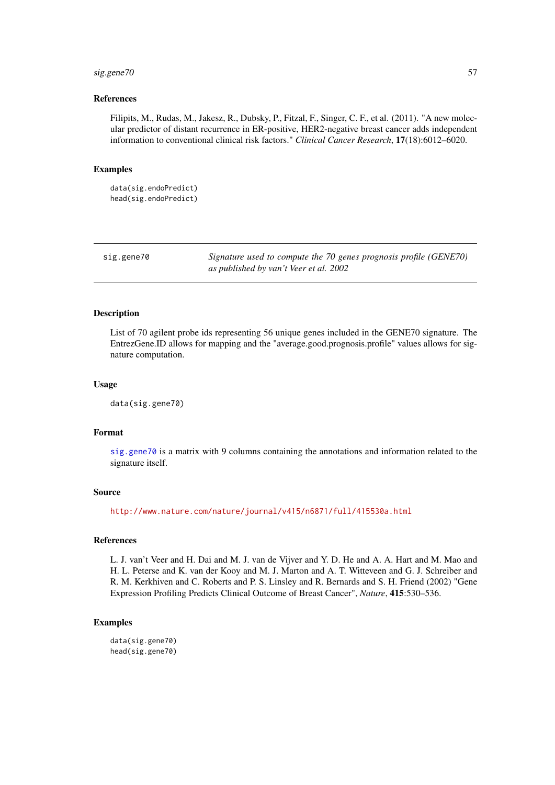#### $sig. gene70$  57

#### References

Filipits, M., Rudas, M., Jakesz, R., Dubsky, P., Fitzal, F., Singer, C. F., et al. (2011). "A new molecular predictor of distant recurrence in ER-positive, HER2-negative breast cancer adds independent information to conventional clinical risk factors." *Clinical Cancer Research*, 17(18):6012–6020.

#### Examples

```
data(sig.endoPredict)
head(sig.endoPredict)
```
<span id="page-56-0"></span>sig.gene70 *Signature used to compute the 70 genes prognosis profile (GENE70) as published by van't Veer et al. 2002*

#### **Description**

List of 70 agilent probe ids representing 56 unique genes included in the GENE70 signature. The EntrezGene.ID allows for mapping and the "average.good.prognosis.profile" values allows for signature computation.

# Usage

data(sig.gene70)

## Format

[sig.gene70](#page-56-0) is a matrix with 9 columns containing the annotations and information related to the signature itself.

#### Source

<http://www.nature.com/nature/journal/v415/n6871/full/415530a.html>

#### References

L. J. van't Veer and H. Dai and M. J. van de Vijver and Y. D. He and A. A. Hart and M. Mao and H. L. Peterse and K. van der Kooy and M. J. Marton and A. T. Witteveen and G. J. Schreiber and R. M. Kerkhiven and C. Roberts and P. S. Linsley and R. Bernards and S. H. Friend (2002) "Gene Expression Profiling Predicts Clinical Outcome of Breast Cancer", *Nature*, 415:530–536.

#### Examples

data(sig.gene70) head(sig.gene70)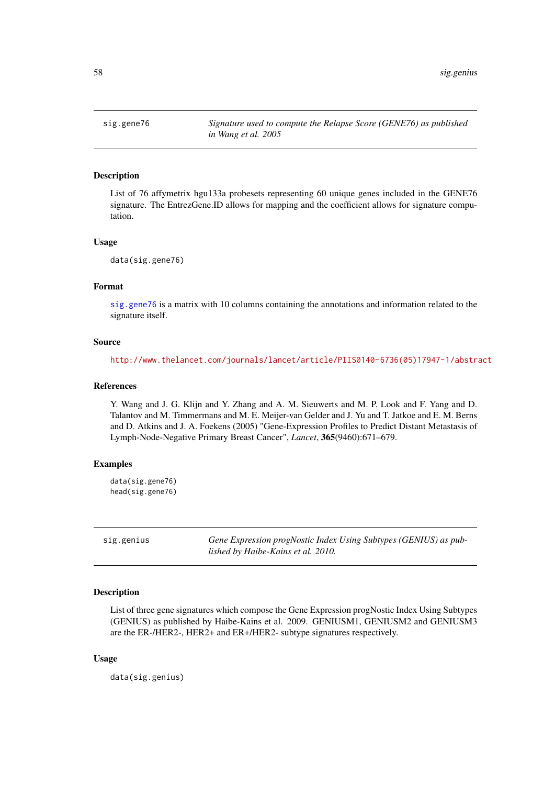<span id="page-57-0"></span>

List of 76 affymetrix hgu133a probesets representing 60 unique genes included in the GENE76 signature. The EntrezGene.ID allows for mapping and the coefficient allows for signature computation.

#### Usage

data(sig.gene76)

#### Format

[sig.gene76](#page-57-0) is a matrix with 10 columns containing the annotations and information related to the signature itself.

## Source

[http://www.thelancet.com/journals/lancet/article/PIIS0140-6736\(05\)17947-1/abstract](http://www.thelancet.com/journals/lancet/article/PIIS0140-6736(05)17947-1/abstract)

#### References

Y. Wang and J. G. Klijn and Y. Zhang and A. M. Sieuwerts and M. P. Look and F. Yang and D. Talantov and M. Timmermans and M. E. Meijer-van Gelder and J. Yu and T. Jatkoe and E. M. Berns and D. Atkins and J. A. Foekens (2005) "Gene-Expression Profiles to Predict Distant Metastasis of Lymph-Node-Negative Primary Breast Cancer", *Lancet*, 365(9460):671–679.

## Examples

data(sig.gene76) head(sig.gene76)

<span id="page-57-1"></span>sig.genius *Gene Expression progNostic Index Using Subtypes (GENIUS) as published by Haibe-Kains et al. 2010.*

# Description

List of three gene signatures which compose the Gene Expression progNostic Index Using Subtypes (GENIUS) as published by Haibe-Kains et al. 2009. GENIUSM1, GENIUSM2 and GENIUSM3 are the ER-/HER2-, HER2+ and ER+/HER2- subtype signatures respectively.

# Usage

data(sig.genius)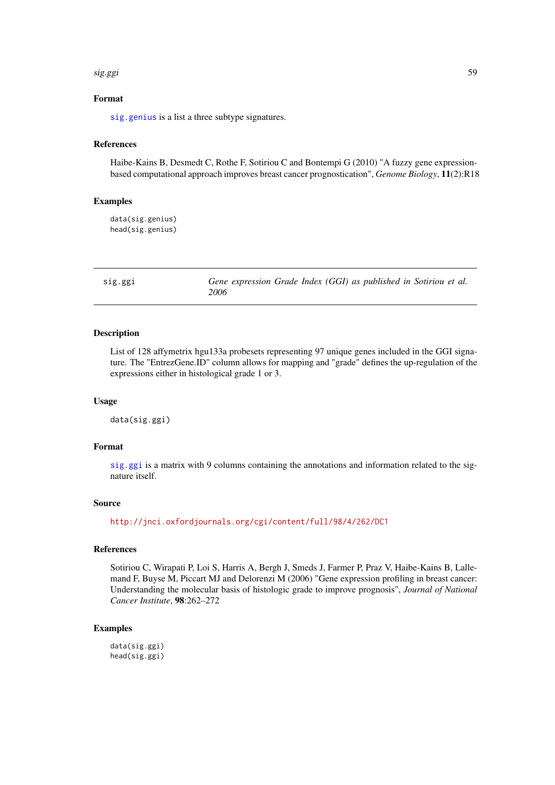#### sig.ggi 59

# Format

[sig.genius](#page-57-1) is a list a three subtype signatures.

#### References

Haibe-Kains B, Desmedt C, Rothe F, Sotiriou C and Bontempi G (2010) "A fuzzy gene expressionbased computational approach improves breast cancer prognostication", *Genome Biology*, 11(2):R18

# Examples

```
data(sig.genius)
head(sig.genius)
```
<span id="page-58-0"></span>sig.ggi *Gene expression Grade Index (GGI) as published in Sotiriou et al. 2006*

## Description

List of 128 affymetrix hgu133a probesets representing 97 unique genes included in the GGI signature. The "EntrezGene.ID" column allows for mapping and "grade" defines the up-regulation of the expressions either in histological grade 1 or 3.

#### Usage

data(sig.ggi)

# Format

[sig.ggi](#page-58-0) is a matrix with 9 columns containing the annotations and information related to the signature itself.

# Source

<http://jnci.oxfordjournals.org/cgi/content/full/98/4/262/DC1>

#### References

Sotiriou C, Wirapati P, Loi S, Harris A, Bergh J, Smeds J, Farmer P, Praz V, Haibe-Kains B, Lallemand F, Buyse M, Piccart MJ and Delorenzi M (2006) "Gene expression profiling in breast cancer: Understanding the molecular basis of histologic grade to improve prognosis", *Journal of National Cancer Institute*, 98:262–272

# Examples

data(sig.ggi) head(sig.ggi)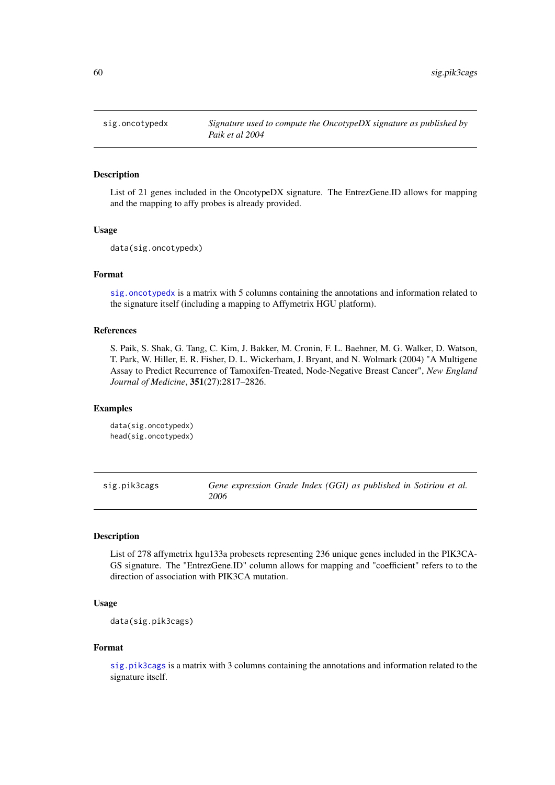<span id="page-59-0"></span>

List of 21 genes included in the OncotypeDX signature. The EntrezGene.ID allows for mapping and the mapping to affy probes is already provided.

# Usage

data(sig.oncotypedx)

#### Format

[sig.oncotypedx](#page-59-0) is a matrix with 5 columns containing the annotations and information related to the signature itself (including a mapping to Affymetrix HGU platform).

## References

S. Paik, S. Shak, G. Tang, C. Kim, J. Bakker, M. Cronin, F. L. Baehner, M. G. Walker, D. Watson, T. Park, W. Hiller, E. R. Fisher, D. L. Wickerham, J. Bryant, and N. Wolmark (2004) "A Multigene Assay to Predict Recurrence of Tamoxifen-Treated, Node-Negative Breast Cancer", *New England Journal of Medicine*, 351(27):2817–2826.

## Examples

```
data(sig.oncotypedx)
head(sig.oncotypedx)
```
<span id="page-59-1"></span>sig.pik3cags *Gene expression Grade Index (GGI) as published in Sotiriou et al. 2006*

#### Description

List of 278 affymetrix hgu133a probesets representing 236 unique genes included in the PIK3CA-GS signature. The "EntrezGene.ID" column allows for mapping and "coefficient" refers to to the direction of association with PIK3CA mutation.

## Usage

data(sig.pik3cags)

## Format

[sig.pik3cags](#page-59-1) is a matrix with 3 columns containing the annotations and information related to the signature itself.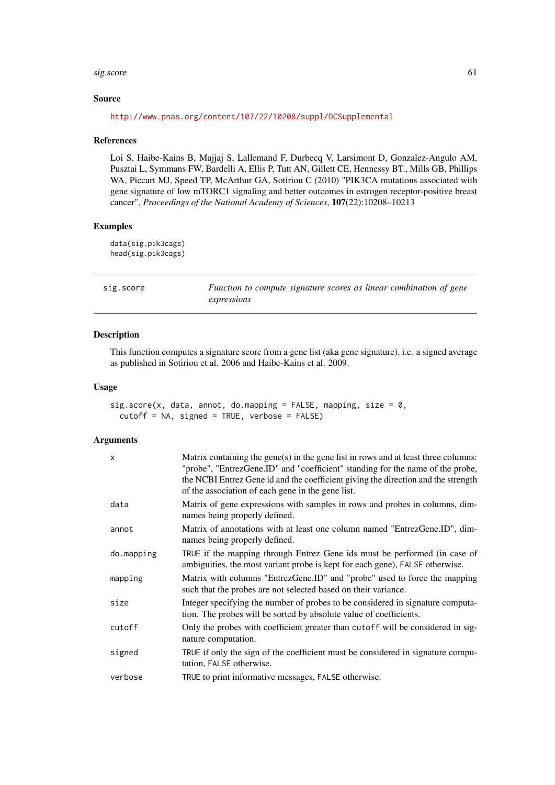#### sig.score 61

#### Source

<http://www.pnas.org/content/107/22/10208/suppl/DCSupplemental>

#### References

Loi S, Haibe-Kains B, Majjaj S, Lallemand F, Durbecq V, Larsimont D, Gonzalez-Angulo AM, Pusztai L, Symmans FW, Bardelli A, Ellis P, Tutt AN, Gillett CE, Hennessy BT., Mills GB, Phillips WA, Piccart MJ, Speed TP, McArthur GA, Sotiriou C (2010) "PIK3CA mutations associated with gene signature of low mTORC1 signaling and better outcomes in estrogen receptor-positive breast cancer", *Proceedings of the National Academy of Sciences*, 107(22):10208–10213

#### Examples

data(sig.pik3cags) head(sig.pik3cags)

sig.score *Function to compute signature scores as linear combination of gene expressions*

#### Description

This function computes a signature score from a gene list (aka gene signature), i.e. a signed average as published in Sotiriou et al. 2006 and Haibe-Kains et al. 2009.

## Usage

```
sig.score(x, data, annot, do.mapping = FALSE, mapping, size = 0,
 cutoff = NA, signed = TRUE, verbose = FALSE)
```
# Arguments

| $\mathsf{x}$ | Matrix containing the gene $(s)$ in the gene list in rows and at least three columns:<br>"probe", "EntrezGene.ID" and "coefficient" standing for the name of the probe,<br>the NCBI Entrez Gene id and the coefficient giving the direction and the strength<br>of the association of each gene in the gene list. |
|--------------|-------------------------------------------------------------------------------------------------------------------------------------------------------------------------------------------------------------------------------------------------------------------------------------------------------------------|
| data         | Matrix of gene expressions with samples in rows and probes in columns, dim-<br>names being properly defined.                                                                                                                                                                                                      |
| annot        | Matrix of annotations with at least one column named "EntrezGene.ID", dim-<br>names being properly defined.                                                                                                                                                                                                       |
| do.mapping   | TRUE if the mapping through Entrez Gene ids must be performed (in case of<br>ambiguities, the most variant probe is kept for each gene), FALSE otherwise.                                                                                                                                                         |
| mapping      | Matrix with columns "EntrezGene.ID" and "probe" used to force the mapping<br>such that the probes are not selected based on their variance.                                                                                                                                                                       |
| size         | Integer specifying the number of probes to be considered in signature computa-<br>tion. The probes will be sorted by absolute value of coefficients.                                                                                                                                                              |
| cutoff       | Only the probes with coefficient greater than cutoff will be considered in sig-<br>nature computation.                                                                                                                                                                                                            |
| signed       | TRUE if only the sign of the coefficient must be considered in signature compu-<br>tation, FALSE otherwise.                                                                                                                                                                                                       |
| verbose      | TRUE to print informative messages, FALSE otherwise.                                                                                                                                                                                                                                                              |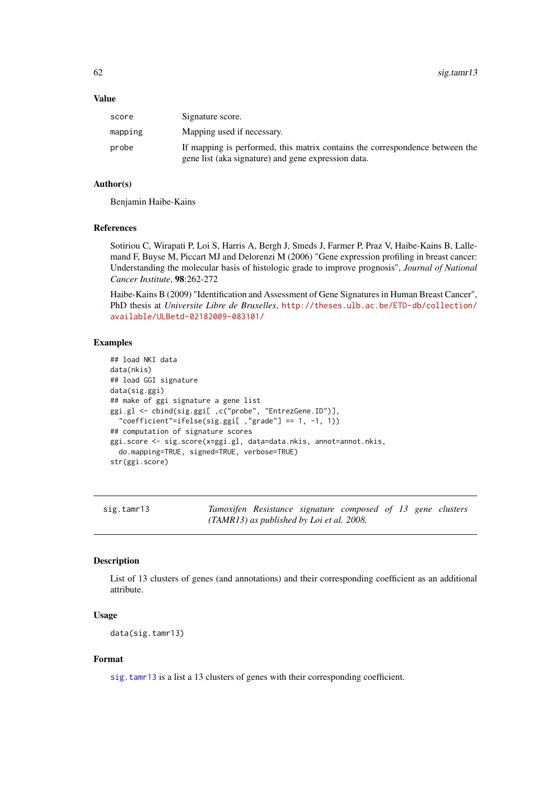#### Value

| score   | Signature score.                                                                                                                    |
|---------|-------------------------------------------------------------------------------------------------------------------------------------|
| mapping | Mapping used if necessary.                                                                                                          |
| probe   | If mapping is performed, this matrix contains the correspondence between the<br>gene list (aka signature) and gene expression data. |

## Author(s)

Benjamin Haibe-Kains

#### References

Sotiriou C, Wirapati P, Loi S, Harris A, Bergh J, Smeds J, Farmer P, Praz V, Haibe-Kains B, Lallemand F, Buyse M, Piccart MJ and Delorenzi M (2006) "Gene expression profiling in breast cancer: Understanding the molecular basis of histologic grade to improve prognosis", *Journal of National Cancer Institute*, 98:262-272

Haibe-Kains B (2009) "Identification and Assessment of Gene Signatures in Human Breast Cancer", PhD thesis at *Universite Libre de Bruxelles*, [http://theses.ulb.ac.be/ETD-db/collection/](http://theses.ulb.ac.be/ETD-db/collection/available/ULBetd-02182009-083101/) [available/ULBetd-02182009-083101/](http://theses.ulb.ac.be/ETD-db/collection/available/ULBetd-02182009-083101/)

# Examples

```
## load NKI data
data(nkis)
## load GGI signature
data(sig.ggi)
## make of ggi signature a gene list
ggi.gl <- cbind(sig.ggi[ ,c("probe", "EntrezGene.ID")],
  "coefficient"=ifelse(sig.ggi[ ,"grade"] == 1, -1, 1))
## computation of signature scores
ggi.score <- sig.score(x=ggi.gl, data=data.nkis, annot=annot.nkis,
  do.mapping=TRUE, signed=TRUE, verbose=TRUE)
str(ggi.score)
```
<span id="page-61-0"></span>sig.tamr13 *Tamoxifen Resistance signature composed of 13 gene clusters (TAMR13) as published by Loi et al. 2008.*

# Description

List of 13 clusters of genes (and annotations) and their corresponding coefficient as an additional attribute.

## Usage

data(sig.tamr13)

## Format

[sig.tamr13](#page-61-0) is a list a 13 clusters of genes with their corresponding coefficient.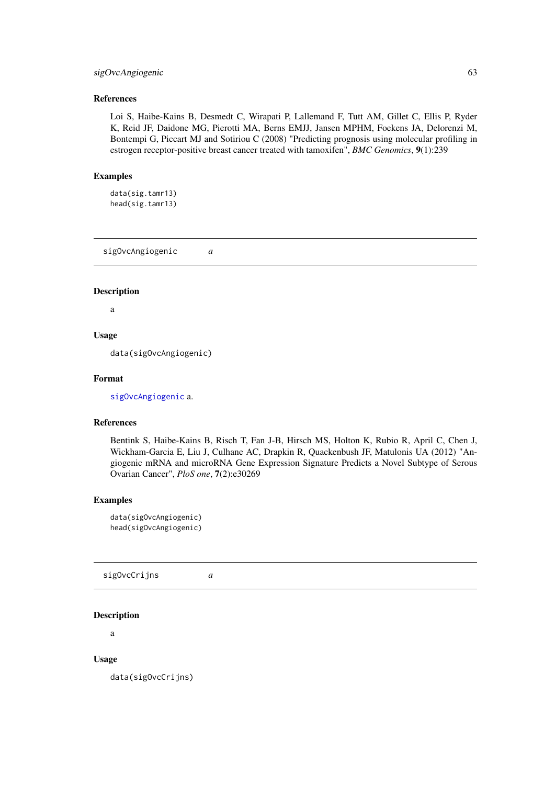## sigOvcAngiogenic 63

#### References

Loi S, Haibe-Kains B, Desmedt C, Wirapati P, Lallemand F, Tutt AM, Gillet C, Ellis P, Ryder K, Reid JF, Daidone MG, Pierotti MA, Berns EMJJ, Jansen MPHM, Foekens JA, Delorenzi M, Bontempi G, Piccart MJ and Sotiriou C (2008) "Predicting prognosis using molecular profiling in estrogen receptor-positive breast cancer treated with tamoxifen", *BMC Genomics*, 9(1):239

# Examples

data(sig.tamr13) head(sig.tamr13)

<span id="page-62-0"></span>sigOvcAngiogenic *a*

#### Description

a

# Usage

data(sigOvcAngiogenic)

#### Format

[sigOvcAngiogenic](#page-62-0) a.

#### References

Bentink S, Haibe-Kains B, Risch T, Fan J-B, Hirsch MS, Holton K, Rubio R, April C, Chen J, Wickham-Garcia E, Liu J, Culhane AC, Drapkin R, Quackenbush JF, Matulonis UA (2012) "Angiogenic mRNA and microRNA Gene Expression Signature Predicts a Novel Subtype of Serous Ovarian Cancer", *PloS one*, 7(2):e30269

## Examples

```
data(sigOvcAngiogenic)
head(sigOvcAngiogenic)
```
<span id="page-62-1"></span>sigOvcCrijns *a*

## Description

a

# Usage

data(sigOvcCrijns)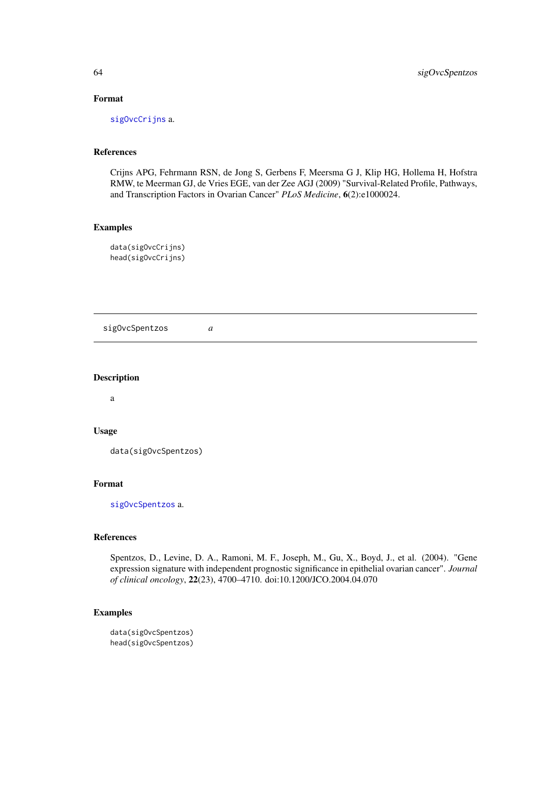# Format

[sigOvcCrijns](#page-62-1) a.

# References

Crijns APG, Fehrmann RSN, de Jong S, Gerbens F, Meersma G J, Klip HG, Hollema H, Hofstra RMW, te Meerman GJ, de Vries EGE, van der Zee AGJ (2009) "Survival-Related Profile, Pathways, and Transcription Factors in Ovarian Cancer" *PLoS Medicine*, 6(2):e1000024.

#### Examples

data(sigOvcCrijns) head(sigOvcCrijns)

<span id="page-63-0"></span>sigOvcSpentzos *a*

# Description

a

#### Usage

```
data(sigOvcSpentzos)
```
# Format

[sigOvcSpentzos](#page-63-0) a.

# References

Spentzos, D., Levine, D. A., Ramoni, M. F., Joseph, M., Gu, X., Boyd, J., et al. (2004). "Gene expression signature with independent prognostic significance in epithelial ovarian cancer". *Journal of clinical oncology*, 22(23), 4700–4710. doi:10.1200/JCO.2004.04.070

```
data(sigOvcSpentzos)
head(sigOvcSpentzos)
```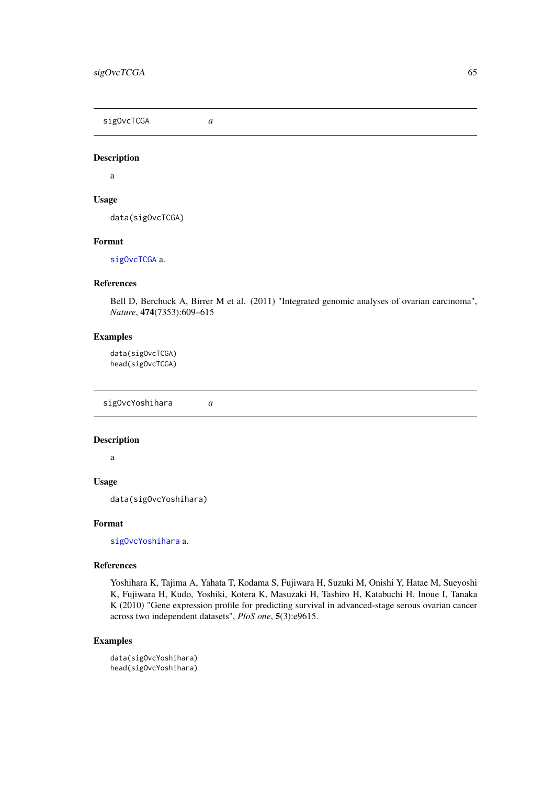<span id="page-64-0"></span>sigOvcTCGA *a*

# Description

a

# Usage

data(sigOvcTCGA)

# Format

[sigOvcTCGA](#page-64-0) a.

# References

Bell D, Berchuck A, Birrer M et al. (2011) "Integrated genomic analyses of ovarian carcinoma", *Nature*, 474(7353):609–615

#### Examples

data(sigOvcTCGA) head(sigOvcTCGA)

<span id="page-64-1"></span>sigOvcYoshihara *a*

# Description

a

#### Usage

data(sigOvcYoshihara)

## Format

[sigOvcYoshihara](#page-64-1) a.

# References

Yoshihara K, Tajima A, Yahata T, Kodama S, Fujiwara H, Suzuki M, Onishi Y, Hatae M, Sueyoshi K, Fujiwara H, Kudo, Yoshiki, Kotera K, Masuzaki H, Tashiro H, Katabuchi H, Inoue I, Tanaka K (2010) "Gene expression profile for predicting survival in advanced-stage serous ovarian cancer across two independent datasets", *PloS one*, 5(3):e9615.

```
data(sigOvcYoshihara)
head(sigOvcYoshihara)
```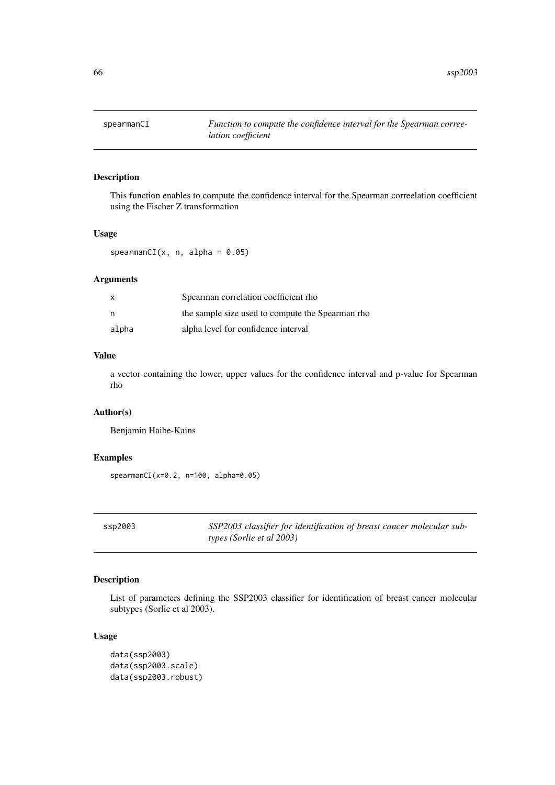This function enables to compute the confidence interval for the Spearman correelation coefficient using the Fischer Z transformation

# Usage

spearmanCI $(x, n, alpha = 0.05)$ 

# Arguments

| x     | Spearman correlation coefficient rho             |
|-------|--------------------------------------------------|
| n     | the sample size used to compute the Spearman rho |
| alpha | alpha level for confidence interval              |

## Value

a vector containing the lower, upper values for the confidence interval and p-value for Spearman rho

## Author(s)

Benjamin Haibe-Kains

## Examples

spearmanCI( $x=0.2$ , n=100, alpha=0.05)

ssp2003 *SSP2003 classifier for identification of breast cancer molecular subtypes (Sorlie et al 2003)*

# Description

List of parameters defining the SSP2003 classifier for identification of breast cancer molecular subtypes (Sorlie et al 2003).

# Usage

```
data(ssp2003)
data(ssp2003.scale)
data(ssp2003.robust)
```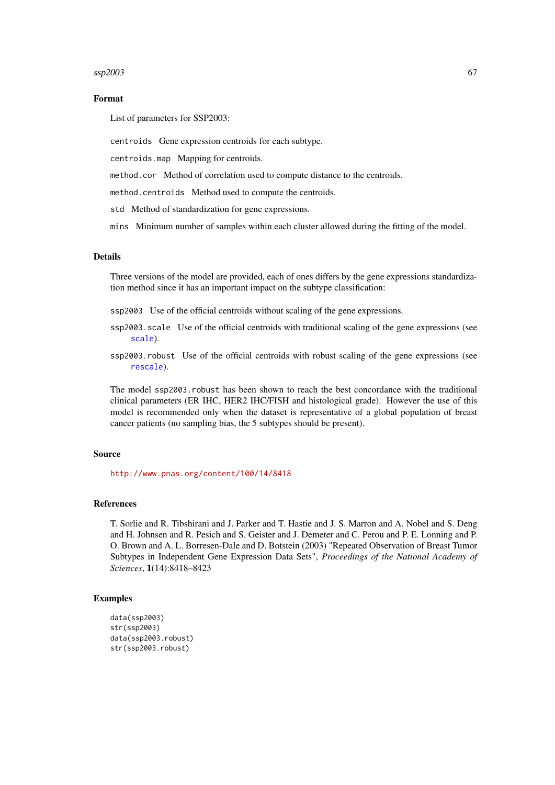#### $\frac{\text{ssp2003}}{67}$

#### Format

List of parameters for SSP2003:

centroids Gene expression centroids for each subtype.

centroids.map Mapping for centroids.

method.cor Method of correlation used to compute distance to the centroids.

method.centroids Method used to compute the centroids.

std Method of standardization for gene expressions.

mins Minimum number of samples within each cluster allowed during the fitting of the model.

# Details

Three versions of the model are provided, each of ones differs by the gene expressions standardization method since it has an important impact on the subtype classification:

ssp2003 Use of the official centroids without scaling of the gene expressions.

ssp2003. scale Use of the official centroids with traditional scaling of the gene expressions (see [scale](#page-0-0)).

ssp2003.robust Use of the official centroids with robust scaling of the gene expressions (see [rescale](#page-50-0)).

The model ssp2003.robust has been shown to reach the best concordance with the traditional clinical parameters (ER IHC, HER2 IHC/FISH and histological grade). However the use of this model is recommended only when the dataset is representative of a global population of breast cancer patients (no sampling bias, the 5 subtypes should be present).

#### Source

<http://www.pnas.org/content/100/14/8418>

## References

T. Sorlie and R. Tibshirani and J. Parker and T. Hastie and J. S. Marron and A. Nobel and S. Deng and H. Johnsen and R. Pesich and S. Geister and J. Demeter and C. Perou and P. E. Lonning and P. O. Brown and A. L. Borresen-Dale and D. Botstein (2003) "Repeated Observation of Breast Tumor Subtypes in Independent Gene Expression Data Sets", *Proceedings of the National Academy of Sciences*, 1(14):8418–8423

```
data(ssp2003)
str(ssp2003)
data(ssp2003.robust)
str(ssp2003.robust)
```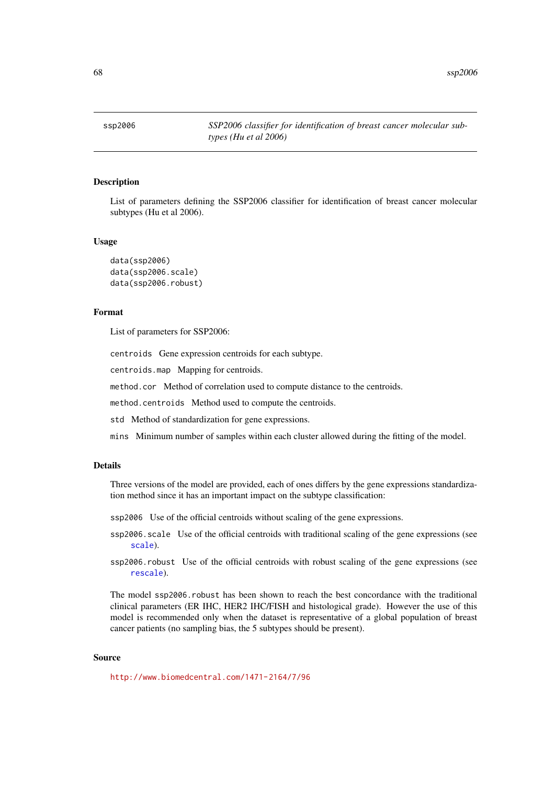List of parameters defining the SSP2006 classifier for identification of breast cancer molecular subtypes (Hu et al 2006).

## Usage

```
data(ssp2006)
data(ssp2006.scale)
data(ssp2006.robust)
```
# Format

List of parameters for SSP2006:

centroids Gene expression centroids for each subtype.

centroids.map Mapping for centroids.

method.cor Method of correlation used to compute distance to the centroids.

method.centroids Method used to compute the centroids.

std Method of standardization for gene expressions.

mins Minimum number of samples within each cluster allowed during the fitting of the model.

# Details

Three versions of the model are provided, each of ones differs by the gene expressions standardization method since it has an important impact on the subtype classification:

- ssp2006 Use of the official centroids without scaling of the gene expressions.
- ssp2006.scale Use of the official centroids with traditional scaling of the gene expressions (see [scale](#page-0-0)).
- ssp2006.robust Use of the official centroids with robust scaling of the gene expressions (see [rescale](#page-50-0)).

The model ssp2006.robust has been shown to reach the best concordance with the traditional clinical parameters (ER IHC, HER2 IHC/FISH and histological grade). However the use of this model is recommended only when the dataset is representative of a global population of breast cancer patients (no sampling bias, the 5 subtypes should be present).

# Source

<http://www.biomedcentral.com/1471-2164/7/96>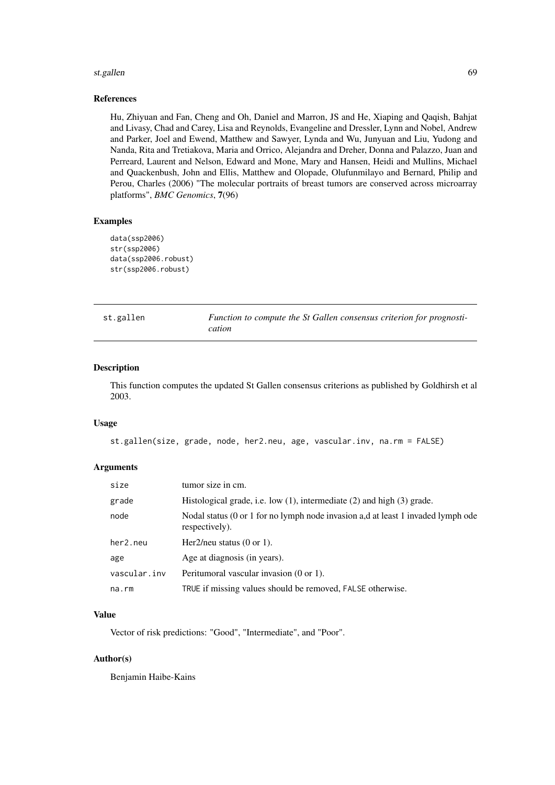#### st.gallen 69 bis 1999 bis 1999 bis 1999 bis 1999 bis 1999 bis 1999 bis 1999 bis 1999 bis 1999 bis 1999 bis 199

## References

Hu, Zhiyuan and Fan, Cheng and Oh, Daniel and Marron, JS and He, Xiaping and Qaqish, Bahjat and Livasy, Chad and Carey, Lisa and Reynolds, Evangeline and Dressler, Lynn and Nobel, Andrew and Parker, Joel and Ewend, Matthew and Sawyer, Lynda and Wu, Junyuan and Liu, Yudong and Nanda, Rita and Tretiakova, Maria and Orrico, Alejandra and Dreher, Donna and Palazzo, Juan and Perreard, Laurent and Nelson, Edward and Mone, Mary and Hansen, Heidi and Mullins, Michael and Quackenbush, John and Ellis, Matthew and Olopade, Olufunmilayo and Bernard, Philip and Perou, Charles (2006) "The molecular portraits of breast tumors are conserved across microarray platforms", *BMC Genomics*, 7(96)

## Examples

```
data(ssp2006)
str(ssp2006)
data(ssp2006.robust)
str(ssp2006.robust)
```
<span id="page-68-0"></span>

| st.gallen | Function to compute the St Gallen consensus criterion for prognosti- |
|-----------|----------------------------------------------------------------------|
|           | cation                                                               |

# Description

This function computes the updated St Gallen consensus criterions as published by Goldhirsh et al 2003.

# Usage

```
st.gallen(size, grade, node, her2.neu, age, vascular.inv, na.rm = FALSE)
```
## Arguments

| size         | tumor size in cm.                                                                                  |
|--------------|----------------------------------------------------------------------------------------------------|
| grade        | Histological grade, i.e. low $(1)$ , intermediate $(2)$ and high $(3)$ grade.                      |
| node         | Nodal status (0 or 1 for no lymph node invasion a,d at least 1 invaded lymph ode<br>respectively). |
| her2.neu     | Her2/neu status $(0 \text{ or } 1)$ .                                                              |
| age          | Age at diagnosis (in years).                                                                       |
| vascular.inv | Peritumoral vascular invasion (0 or 1).                                                            |
| na.rm        | TRUE if missing values should be removed, FALSE otherwise.                                         |

#### Value

Vector of risk predictions: "Good", "Intermediate", and "Poor".

# Author(s)

Benjamin Haibe-Kains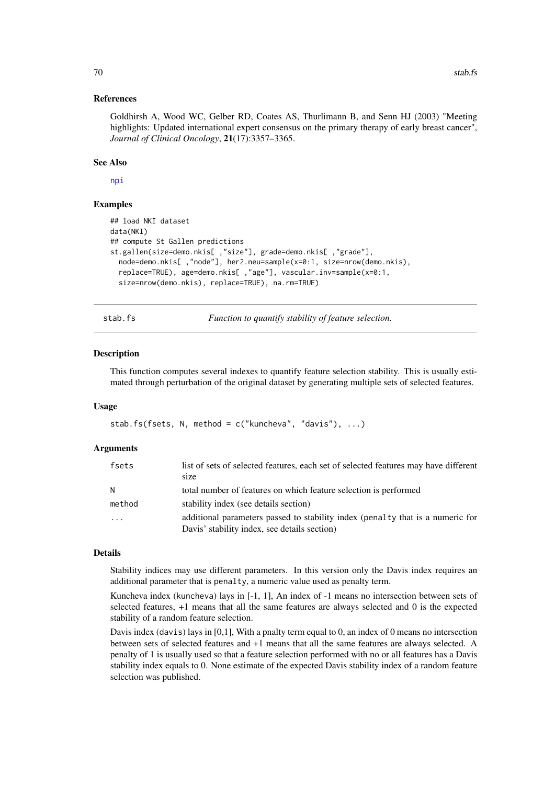#### References

Goldhirsh A, Wood WC, Gelber RD, Coates AS, Thurlimann B, and Senn HJ (2003) "Meeting highlights: Updated international expert consensus on the primary therapy of early breast cancer", *Journal of Clinical Oncology*, 21(17):3357–3365.

## See Also

[npi](#page-36-0)

## Examples

```
## load NKI dataset
data(NKI)
## compute St Gallen predictions
st.gallen(size=demo.nkis[ ,"size"], grade=demo.nkis[ ,"grade"],
  node=demo.nkis[ ,"node"], her2.neu=sample(x=0:1, size=nrow(demo.nkis),
  replace=TRUE), age=demo.nkis[ ,"age"], vascular.inv=sample(x=0:1,
  size=nrow(demo.nkis), replace=TRUE), na.rm=TRUE)
```
<span id="page-69-0"></span>

stab.fs *Function to quantify stability of feature selection.*

#### **Description**

This function computes several indexes to quantify feature selection stability. This is usually estimated through perturbation of the original dataset by generating multiple sets of selected features.

## Usage

stab.fs(fsets, N, method = c("kuncheva", "davis"), ...)

## Arguments

| fsets   | list of sets of selected features, each set of selected features may have different<br>size |
|---------|---------------------------------------------------------------------------------------------|
| N       | total number of features on which feature selection is performed                            |
| method  | stability index (see details section)                                                       |
| $\cdot$ | additional parameters passed to stability index (penalty that is a numeric for              |
|         | Davis' stability index, see details section)                                                |

## Details

Stability indices may use different parameters. In this version only the Davis index requires an additional parameter that is penalty, a numeric value used as penalty term.

Kuncheva index (kuncheva) lays in [-1, 1], An index of -1 means no intersection between sets of selected features, +1 means that all the same features are always selected and 0 is the expected stability of a random feature selection.

Davis index (davis) lays in [0,1], With a pnalty term equal to 0, an index of 0 means no intersection between sets of selected features and +1 means that all the same features are always selected. A penalty of 1 is usually used so that a feature selection performed with no or all features has a Davis stability index equals to 0. None estimate of the expected Davis stability index of a random feature selection was published.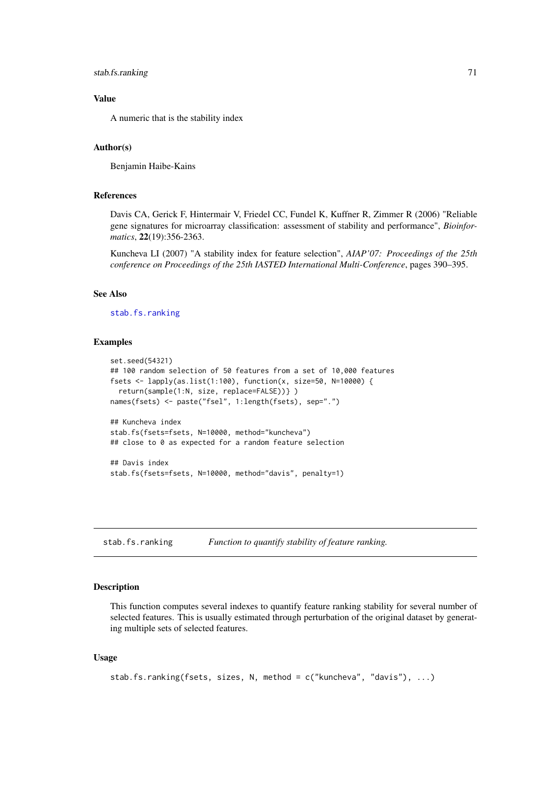stab.fs.ranking 71

#### Value

A numeric that is the stability index

# Author(s)

Benjamin Haibe-Kains

## References

Davis CA, Gerick F, Hintermair V, Friedel CC, Fundel K, Kuffner R, Zimmer R (2006) "Reliable gene signatures for microarray classification: assessment of stability and performance", *Bioinformatics*, 22(19):356-2363.

Kuncheva LI (2007) "A stability index for feature selection", *AIAP'07: Proceedings of the 25th conference on Proceedings of the 25th IASTED International Multi-Conference*, pages 390–395.

# See Also

[stab.fs.ranking](#page-70-0)

#### Examples

```
set.seed(54321)
## 100 random selection of 50 features from a set of 10,000 features
fsets <- lapply(as.list(1:100), function(x, size=50, N=10000) {
  return(sample(1:N, size, replace=FALSE))} )
names(fsets) <- paste("fsel", 1:length(fsets), sep=".")
## Kuncheva index
stab.fs(fsets=fsets, N=10000, method="kuncheva")
## close to 0 as expected for a random feature selection
## Davis index
stab.fs(fsets=fsets, N=10000, method="davis", penalty=1)
```
<span id="page-70-0"></span>stab.fs.ranking *Function to quantify stability of feature ranking.*

## Description

This function computes several indexes to quantify feature ranking stability for several number of selected features. This is usually estimated through perturbation of the original dataset by generating multiple sets of selected features.

# Usage

```
stab.fs.ranking(fsets, sizes, N, method = c("kuncheva", "davis"), ...)
```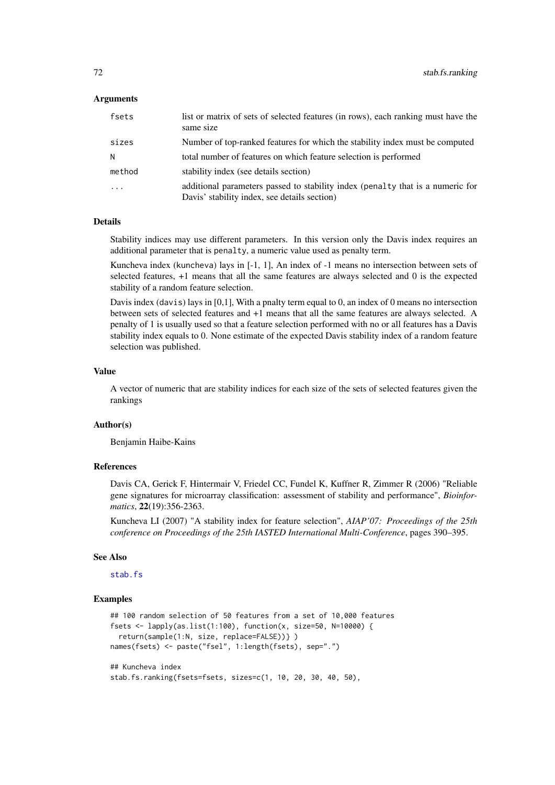## Arguments

| fsets    | list or matrix of sets of selected features (in rows), each ranking must have the<br>same size                                 |
|----------|--------------------------------------------------------------------------------------------------------------------------------|
| sizes    | Number of top-ranked features for which the stability index must be computed                                                   |
| N        | total number of features on which feature selection is performed                                                               |
| method   | stability index (see details section)                                                                                          |
| $\cdots$ | additional parameters passed to stability index (penalty that is a numeric for<br>Davis' stability index, see details section) |

#### Details

Stability indices may use different parameters. In this version only the Davis index requires an additional parameter that is penalty, a numeric value used as penalty term.

Kuncheva index (kuncheva) lays in [-1, 1], An index of -1 means no intersection between sets of selected features, +1 means that all the same features are always selected and 0 is the expected stability of a random feature selection.

Davis index (davis) lays in [0,1], With a pnalty term equal to 0, an index of 0 means no intersection between sets of selected features and +1 means that all the same features are always selected. A penalty of 1 is usually used so that a feature selection performed with no or all features has a Davis stability index equals to 0. None estimate of the expected Davis stability index of a random feature selection was published.

## Value

A vector of numeric that are stability indices for each size of the sets of selected features given the rankings

## Author(s)

Benjamin Haibe-Kains

# References

Davis CA, Gerick F, Hintermair V, Friedel CC, Fundel K, Kuffner R, Zimmer R (2006) "Reliable gene signatures for microarray classification: assessment of stability and performance", *Bioinformatics*, 22(19):356-2363.

Kuncheva LI (2007) "A stability index for feature selection", *AIAP'07: Proceedings of the 25th conference on Proceedings of the 25th IASTED International Multi-Conference*, pages 390–395.

#### See Also

[stab.fs](#page-69-0)

```
## 100 random selection of 50 features from a set of 10,000 features
fsets <- lapply(as.list(1:100), function(x, size=50, N=10000) {
 return(sample(1:N, size, replace=FALSE))} )
names(fsets) <- paste("fsel", 1:length(fsets), sep=".")
## Kuncheva index
```

```
stab.fs.ranking(fsets=fsets, sizes=c(1, 10, 20, 30, 40, 50),
```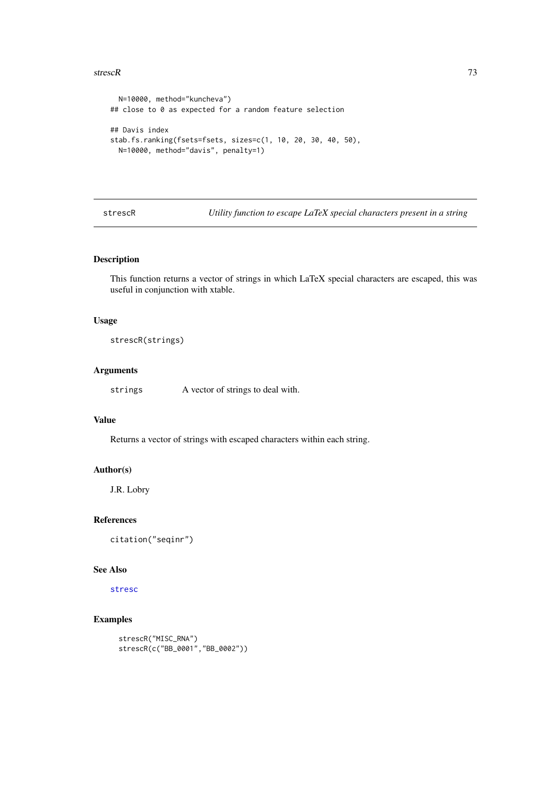#### <span id="page-72-0"></span>strescR 73

```
N=10000, method="kuncheva")
## close to 0 as expected for a random feature selection
## Davis index
stab.fs.ranking(fsets=fsets, sizes=c(1, 10, 20, 30, 40, 50),
  N=10000, method="davis", penalty=1)
```
strescR *Utility function to escape LaTeX special characters present in a string*

# Description

This function returns a vector of strings in which LaTeX special characters are escaped, this was useful in conjunction with xtable.

# Usage

strescR(strings)

# Arguments

strings A vector of strings to deal with.

# Value

Returns a vector of strings with escaped characters within each string.

# Author(s)

J.R. Lobry

## References

citation("seqinr")

# See Also

[stresc](#page-0-0)

# Examples

```
strescR("MISC_RNA")
strescR(c("BB_0001","BB_0002"))
```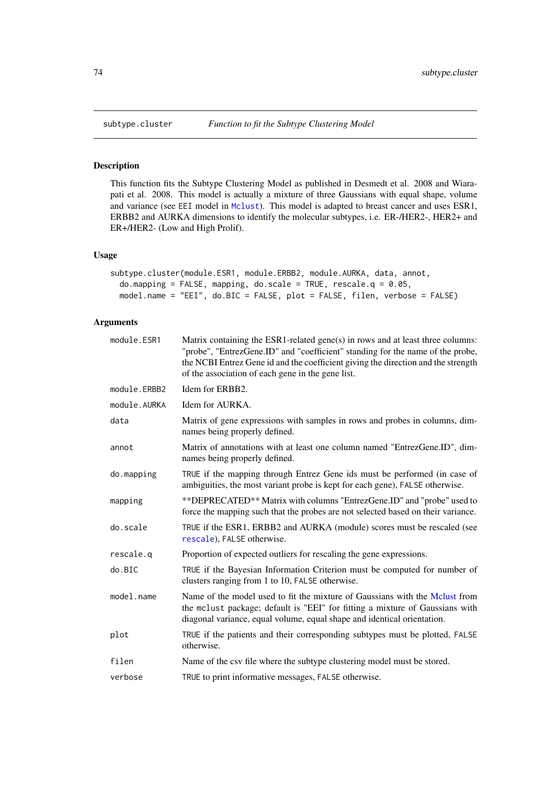# Description

This function fits the Subtype Clustering Model as published in Desmedt et al. 2008 and Wiarapati et al. 2008. This model is actually a mixture of three Gaussians with equal shape, volume and variance (see EEI model in [Mclust](#page-0-0)). This model is adapted to breast cancer and uses ESR1, ERBB2 and AURKA dimensions to identify the molecular subtypes, i.e. ER-/HER2-, HER2+ and ER+/HER2- (Low and High Prolif).

# Usage

```
subtype.cluster(module.ESR1, module.ERBB2, module.AURKA, data, annot,
 do.mapping = FALSE, mapping, do.scale = TRUE, rescale.q = 0.05,
 model.name = "EEI", do.BIC = FALSE, plot = FALSE, filen, verbose = FALSE)
```
# Arguments

| module.ESR1  | Matrix containing the ESR1-related gene(s) in rows and at least three columns:<br>"probe", "EntrezGene.ID" and "coefficient" standing for the name of the probe,<br>the NCBI Entrez Gene id and the coefficient giving the direction and the strength<br>of the association of each gene in the gene list. |
|--------------|------------------------------------------------------------------------------------------------------------------------------------------------------------------------------------------------------------------------------------------------------------------------------------------------------------|
| module.ERBB2 | Idem for ERBB2.                                                                                                                                                                                                                                                                                            |
| module.AURKA | Idem for AURKA.                                                                                                                                                                                                                                                                                            |
| data         | Matrix of gene expressions with samples in rows and probes in columns, dim-<br>names being properly defined.                                                                                                                                                                                               |
| annot        | Matrix of annotations with at least one column named "EntrezGene.ID", dim-<br>names being properly defined.                                                                                                                                                                                                |
| do.mapping   | TRUE if the mapping through Entrez Gene ids must be performed (in case of<br>ambiguities, the most variant probe is kept for each gene), FALSE otherwise.                                                                                                                                                  |
| mapping      | **DEPRECATED** Matrix with columns "EntrezGene.ID" and "probe" used to<br>force the mapping such that the probes are not selected based on their variance.                                                                                                                                                 |
| do.scale     | TRUE if the ESR1, ERBB2 and AURKA (module) scores must be rescaled (see<br>rescale), FALSE otherwise.                                                                                                                                                                                                      |
| rescale.q    | Proportion of expected outliers for rescaling the gene expressions.                                                                                                                                                                                                                                        |
| do.BIC       | TRUE if the Bayesian Information Criterion must be computed for number of<br>clusters ranging from 1 to 10, FALSE otherwise.                                                                                                                                                                               |
| model.name   | Name of the model used to fit the mixture of Gaussians with the Melust from<br>the mclust package; default is "EEI" for fitting a mixture of Gaussians with<br>diagonal variance, equal volume, equal shape and identical orientation.                                                                     |
| plot         | TRUE if the patients and their corresponding subtypes must be plotted, FALSE<br>otherwise.                                                                                                                                                                                                                 |
| filen        | Name of the csv file where the subtype clustering model must be stored.                                                                                                                                                                                                                                    |
| verbose      | TRUE to print informative messages, FALSE otherwise.                                                                                                                                                                                                                                                       |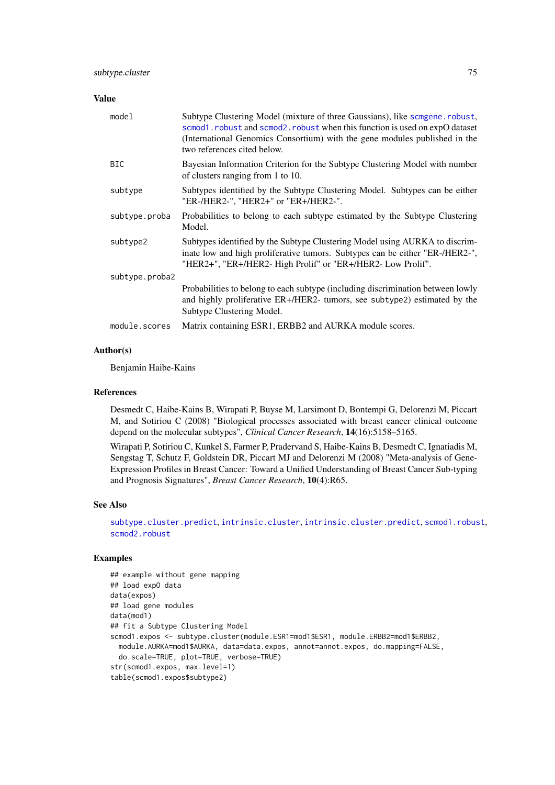## <span id="page-74-0"></span>Value

| model          | Subtype Clustering Model (mixture of three Gaussians), like scmgene. robust,<br>scmod1.robust and scmod2.robust when this function is used on expO dataset<br>(International Genomics Consortium) with the gene modules published in the<br>two references cited below. |
|----------------|-------------------------------------------------------------------------------------------------------------------------------------------------------------------------------------------------------------------------------------------------------------------------|
| <b>BIC</b>     | Bayesian Information Criterion for the Subtype Clustering Model with number<br>of clusters ranging from 1 to 10.                                                                                                                                                        |
| subtype        | Subtypes identified by the Subtype Clustering Model. Subtypes can be either<br>"ER-/HER2-", "HER2+" or "ER+/HER2-".                                                                                                                                                     |
| subtype.proba  | Probabilities to belong to each subtype estimated by the Subtype Clustering<br>Model.                                                                                                                                                                                   |
| subtype2       | Subtypes identified by the Subtype Clustering Model using AURKA to discrim-<br>inate low and high proliferative tumors. Subtypes can be either "ER-/HER2-",<br>"HER2+", "ER+/HER2- High Prolif" or "ER+/HER2- Low Prolif".                                              |
| subtype.proba2 |                                                                                                                                                                                                                                                                         |
|                | Probabilities to belong to each subtype (including discrimination between lowly<br>and highly proliferative ER+/HER2- tumors, see subtype2) estimated by the<br>Subtype Clustering Model.                                                                               |
| module.scores  | Matrix containing ESR1, ERBB2 and AURKA module scores.                                                                                                                                                                                                                  |

## Author(s)

Benjamin Haibe-Kains

# References

Desmedt C, Haibe-Kains B, Wirapati P, Buyse M, Larsimont D, Bontempi G, Delorenzi M, Piccart M, and Sotiriou C (2008) "Biological processes associated with breast cancer clinical outcome depend on the molecular subtypes", *Clinical Cancer Research*, 14(16):5158–5165.

Wirapati P, Sotiriou C, Kunkel S, Farmer P, Pradervand S, Haibe-Kains B, Desmedt C, Ignatiadis M, Sengstag T, Schutz F, Goldstein DR, Piccart MJ and Delorenzi M (2008) "Meta-analysis of Gene-Expression Profiles in Breast Cancer: Toward a Unified Understanding of Breast Cancer Sub-typing and Prognosis Signatures", *Breast Cancer Research*, 10(4):R65.

# See Also

[subtype.cluster.predict](#page-75-0), [intrinsic.cluster](#page-25-0), [intrinsic.cluster.predict](#page-27-0), [scmod1.robust](#page-53-0), [scmod2.robust](#page-54-0)

## Examples

## example without gene mapping ## load expO data data(expos) ## load gene modules data(mod1) ## fit a Subtype Clustering Model scmod1.expos <- subtype.cluster(module.ESR1=mod1\$ESR1, module.ERBB2=mod1\$ERBB2, module.AURKA=mod1\$AURKA, data=data.expos, annot=annot.expos, do.mapping=FALSE, do.scale=TRUE, plot=TRUE, verbose=TRUE) str(scmod1.expos, max.level=1) table(scmod1.expos\$subtype2)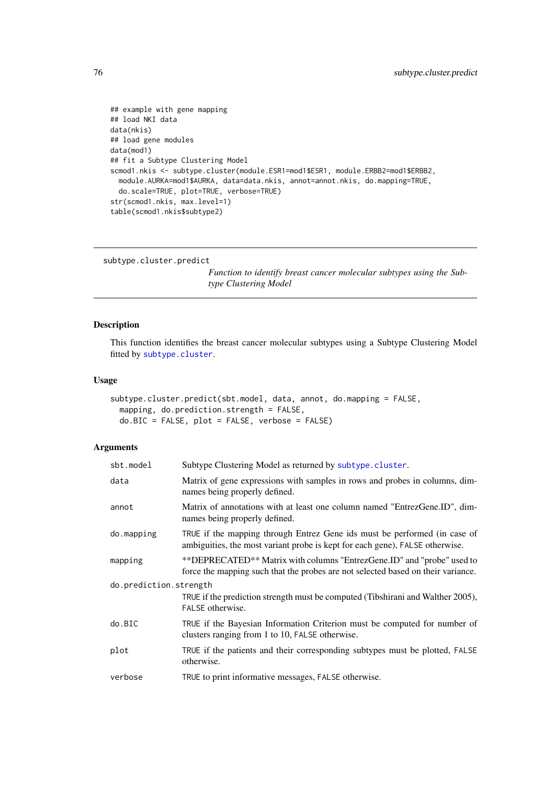```
## example with gene mapping
## load NKI data
data(nkis)
## load gene modules
data(mod1)
## fit a Subtype Clustering Model
scmod1.nkis <- subtype.cluster(module.ESR1=mod1$ESR1, module.ERBB2=mod1$ERBB2,
  module.AURKA=mod1$AURKA, data=data.nkis, annot=annot.nkis, do.mapping=TRUE,
  do.scale=TRUE, plot=TRUE, verbose=TRUE)
str(scmod1.nkis, max.level=1)
table(scmod1.nkis$subtype2)
```

```
subtype.cluster.predict
```
*Function to identify breast cancer molecular subtypes using the Subtype Clustering Model*

## Description

This function identifies the breast cancer molecular subtypes using a Subtype Clustering Model fitted by [subtype.cluster](#page-73-0).

# Usage

```
subtype.cluster.predict(sbt.model, data, annot, do.mapping = FALSE,
 mapping, do.prediction.strength = FALSE,
 do.BIC = FALSE, plot = FALSE, verbose = FALSE)
```
# Arguments

| sbt.model              | Subtype Clustering Model as returned by subtype.cluster.                                                                                                   |
|------------------------|------------------------------------------------------------------------------------------------------------------------------------------------------------|
| data                   | Matrix of gene expressions with samples in rows and probes in columns, dim-<br>names being properly defined.                                               |
| annot                  | Matrix of annotations with at least one column named "EntrezGene.ID", dim-<br>names being properly defined.                                                |
| do.mapping             | TRUE if the mapping through Entrez Gene ids must be performed (in case of<br>ambiguities, the most variant probe is kept for each gene), FALSE otherwise.  |
| mapping                | **DEPRECATED** Matrix with columns "EntrezGene.ID" and "probe" used to<br>force the mapping such that the probes are not selected based on their variance. |
| do.prediction.strength |                                                                                                                                                            |
|                        | TRUE if the prediction strength must be computed (Tibshirani and Walther 2005),<br>FALSE otherwise.                                                        |
| do.BIC                 | TRUE if the Bayesian Information Criterion must be computed for number of<br>clusters ranging from 1 to 10, FALSE otherwise.                               |
| plot                   | TRUE if the patients and their corresponding subtypes must be plotted, FALSE<br>otherwise.                                                                 |
| verbose                | TRUE to print informative messages, FALSE otherwise.                                                                                                       |
|                        |                                                                                                                                                            |

<span id="page-75-1"></span>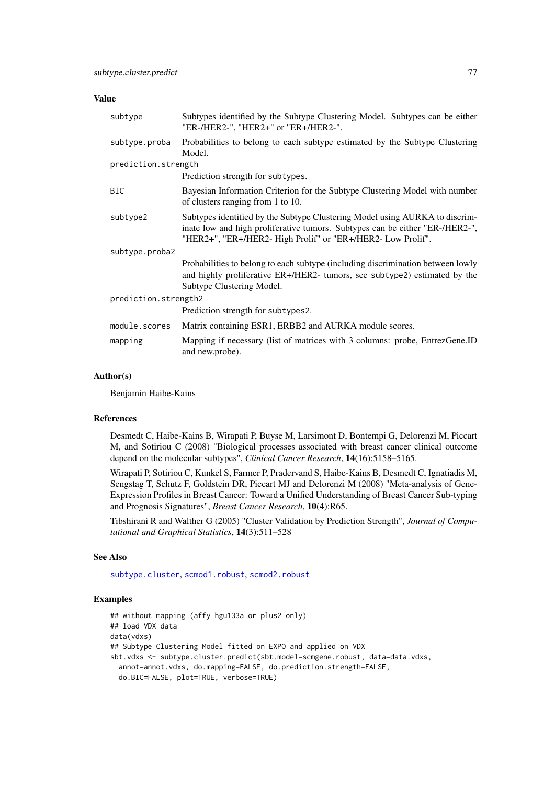## <span id="page-76-0"></span>Value

| subtype              | Subtypes identified by the Subtype Clustering Model. Subtypes can be either<br>"ER-/HER2-", "HER2+" or "ER+/HER2-".                                                                                                        |  |  |  |
|----------------------|----------------------------------------------------------------------------------------------------------------------------------------------------------------------------------------------------------------------------|--|--|--|
| subtype.proba        | Probabilities to belong to each subtype estimated by the Subtype Clustering<br>Model.                                                                                                                                      |  |  |  |
| prediction.strength  |                                                                                                                                                                                                                            |  |  |  |
|                      | Prediction strength for subtypes.                                                                                                                                                                                          |  |  |  |
| <b>BIC</b>           | Bayesian Information Criterion for the Subtype Clustering Model with number<br>of clusters ranging from 1 to 10.                                                                                                           |  |  |  |
| subtype2             | Subtypes identified by the Subtype Clustering Model using AURKA to discrim-<br>inate low and high proliferative tumors. Subtypes can be either "ER-/HER2-",<br>"HER2+", "ER+/HER2- High Prolif" or "ER+/HER2- Low Prolif". |  |  |  |
| subtype.proba2       |                                                                                                                                                                                                                            |  |  |  |
|                      | Probabilities to belong to each subtype (including discrimination between lowly<br>and highly proliferative ER+/HER2- tumors, see subtype2) estimated by the<br>Subtype Clustering Model.                                  |  |  |  |
| prediction.strength2 |                                                                                                                                                                                                                            |  |  |  |
|                      | Prediction strength for subtypes2.                                                                                                                                                                                         |  |  |  |
| module.scores        | Matrix containing ESR1, ERBB2 and AURKA module scores.                                                                                                                                                                     |  |  |  |
| mapping              | Mapping if necessary (list of matrices with 3 columns: probe, EntrezGene.ID<br>and new.probe).                                                                                                                             |  |  |  |

## Author(s)

Benjamin Haibe-Kains

#### References

Desmedt C, Haibe-Kains B, Wirapati P, Buyse M, Larsimont D, Bontempi G, Delorenzi M, Piccart M, and Sotiriou C (2008) "Biological processes associated with breast cancer clinical outcome depend on the molecular subtypes", *Clinical Cancer Research*, 14(16):5158–5165.

Wirapati P, Sotiriou C, Kunkel S, Farmer P, Pradervand S, Haibe-Kains B, Desmedt C, Ignatiadis M, Sengstag T, Schutz F, Goldstein DR, Piccart MJ and Delorenzi M (2008) "Meta-analysis of Gene-Expression Profiles in Breast Cancer: Toward a Unified Understanding of Breast Cancer Sub-typing and Prognosis Signatures", *Breast Cancer Research*, 10(4):R65.

Tibshirani R and Walther G (2005) "Cluster Validation by Prediction Strength", *Journal of Computational and Graphical Statistics*, 14(3):511–528

#### See Also

[subtype.cluster](#page-73-0), [scmod1.robust](#page-53-0), [scmod2.robust](#page-54-0)

## Examples

```
## without mapping (affy hgu133a or plus2 only)
## load VDX data
data(vdxs)
## Subtype Clustering Model fitted on EXPO and applied on VDX
sbt.vdxs <- subtype.cluster.predict(sbt.model=scmgene.robust, data=data.vdxs,
  annot=annot.vdxs, do.mapping=FALSE, do.prediction.strength=FALSE,
  do.BIC=FALSE, plot=TRUE, verbose=TRUE)
```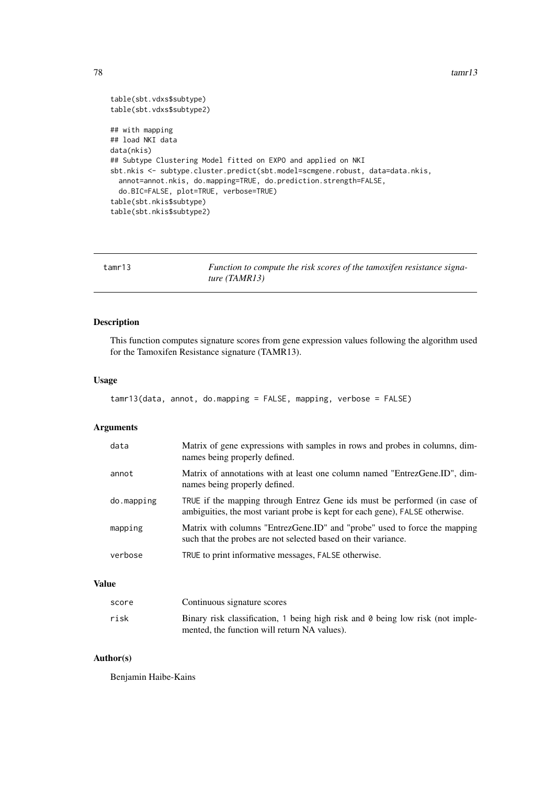$78$  tamrl 3

```
table(sbt.vdxs$subtype)
table(sbt.vdxs$subtype2)
## with mapping
## load NKI data
data(nkis)
## Subtype Clustering Model fitted on EXPO and applied on NKI
sbt.nkis <- subtype.cluster.predict(sbt.model=scmgene.robust, data=data.nkis,
  annot=annot.nkis, do.mapping=TRUE, do.prediction.strength=FALSE,
  do.BIC=FALSE, plot=TRUE, verbose=TRUE)
table(sbt.nkis$subtype)
table(sbt.nkis$subtype2)
```

| tamr13 | Function to compute the risk scores of the tamoxifen resistance signa- |
|--------|------------------------------------------------------------------------|
|        | ture (TAMR13)                                                          |

# Description

This function computes signature scores from gene expression values following the algorithm used for the Tamoxifen Resistance signature (TAMR13).

# Usage

```
tamr13(data, annot, do.mapping = FALSE, mapping, verbose = FALSE)
```
# Arguments

| data       | Matrix of gene expressions with samples in rows and probes in columns, dim-<br>names being properly defined.                                              |
|------------|-----------------------------------------------------------------------------------------------------------------------------------------------------------|
| annot      | Matrix of annotations with at least one column named "EntrezGene.ID", dim-<br>names being properly defined.                                               |
| do.mapping | TRUE if the mapping through Entrez Gene ids must be performed (in case of<br>ambiguities, the most variant probe is kept for each gene), FALSE otherwise. |
| mapping    | Matrix with columns "EntrezGene.ID" and "probe" used to force the mapping<br>such that the probes are not selected based on their variance.               |
| verbose    | TRUE to print informative messages, FALSE otherwise.                                                                                                      |

# Value

| score | Continuous signature scores                                                                                                           |
|-------|---------------------------------------------------------------------------------------------------------------------------------------|
| risk  | Binary risk classification, 1 being high risk and $\theta$ being low risk (not imple-<br>mented, the function will return NA values). |

# Author(s)

Benjamin Haibe-Kains

<span id="page-77-0"></span>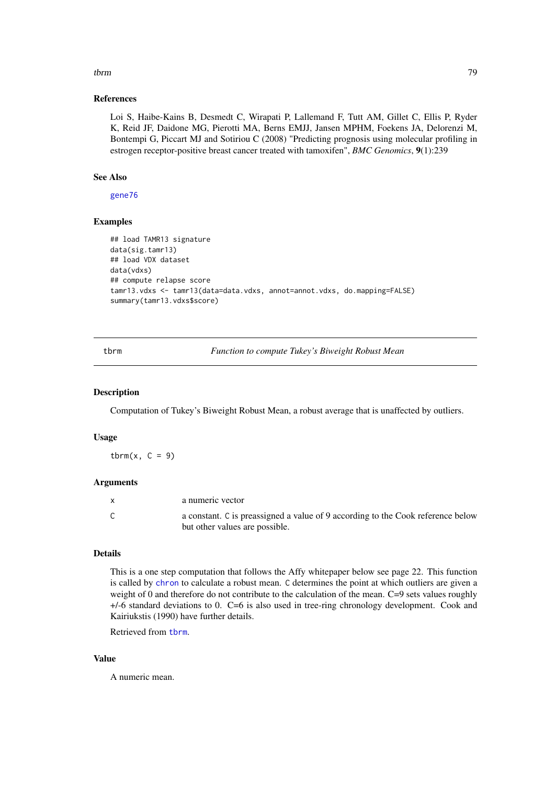#### <span id="page-78-1"></span>tbrm 79

#### References

Loi S, Haibe-Kains B, Desmedt C, Wirapati P, Lallemand F, Tutt AM, Gillet C, Ellis P, Ryder K, Reid JF, Daidone MG, Pierotti MA, Berns EMJJ, Jansen MPHM, Foekens JA, Delorenzi M, Bontempi G, Piccart MJ and Sotiriou C (2008) "Predicting prognosis using molecular profiling in estrogen receptor-positive breast cancer treated with tamoxifen", *BMC Genomics*, 9(1):239

## See Also

[gene76](#page-19-0)

#### Examples

```
## load TAMR13 signature
data(sig.tamr13)
## load VDX dataset
data(vdxs)
## compute relapse score
tamr13.vdxs <- tamr13(data=data.vdxs, annot=annot.vdxs, do.mapping=FALSE)
summary(tamr13.vdxs$score)
```
<span id="page-78-0"></span>tbrm *Function to compute Tukey's Biweight Robust Mean*

# Description

Computation of Tukey's Biweight Robust Mean, a robust average that is unaffected by outliers.

# Usage

tbrm(x,  $C = 9$ )

#### Arguments

| a numeric vector                                                                |
|---------------------------------------------------------------------------------|
| a constant. C is preassigned a value of 9 according to the Cook reference below |
| but other values are possible.                                                  |

## Details

This is a one step computation that follows the Affy whitepaper below see page 22. This function is called by [chron](#page-0-0) to calculate a robust mean. C determines the point at which outliers are given a weight of 0 and therefore do not contribute to the calculation of the mean. C=9 sets values roughly +/-6 standard deviations to 0. C=6 is also used in tree-ring chronology development. Cook and Kairiukstis (1990) have further details.

Retrieved from [tbrm](#page-78-0).

# Value

A numeric mean.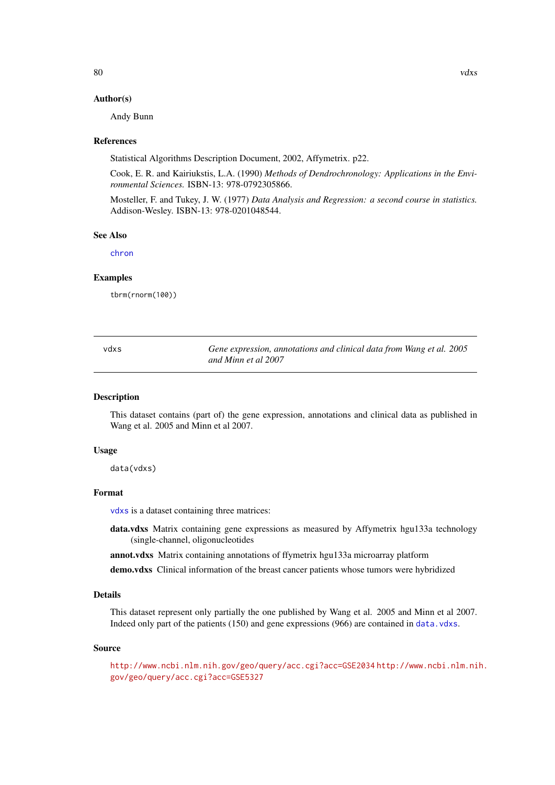## <span id="page-79-2"></span>Author(s)

Andy Bunn

# References

Statistical Algorithms Description Document, 2002, Affymetrix. p22.

Cook, E. R. and Kairiukstis, L.A. (1990) *Methods of Dendrochronology: Applications in the Environmental Sciences.* ISBN-13: 978-0792305866.

Mosteller, F. and Tukey, J. W. (1977) *Data Analysis and Regression: a second course in statistics.* Addison-Wesley. ISBN-13: 978-0201048544.

#### See Also

[chron](#page-0-0)

# Examples

tbrm(rnorm(100))

<span id="page-79-0"></span>

| vdxs | Gene expression, annotations and clinical data from Wang et al. 2005 |
|------|----------------------------------------------------------------------|
|      | and Minn et al 2007                                                  |

#### <span id="page-79-1"></span>Description

This dataset contains (part of) the gene expression, annotations and clinical data as published in Wang et al. 2005 and Minn et al 2007.

#### Usage

data(vdxs)

#### Format

[vdxs](#page-79-0) is a dataset containing three matrices:

- data.vdxs Matrix containing gene expressions as measured by Affymetrix hgu133a technology (single-channel, oligonucleotides
- annot.vdxs Matrix containing annotations of ffymetrix hgu133a microarray platform

demo.vdxs Clinical information of the breast cancer patients whose tumors were hybridized

# Details

This dataset represent only partially the one published by Wang et al. 2005 and Minn et al 2007. Indeed only part of the patients (150) and gene expressions (966) are contained in [data.vdxs](#page-79-1).

#### Source

<http://www.ncbi.nlm.nih.gov/geo/query/acc.cgi?acc=GSE2034> [http://www.ncbi.nlm.ni](http://www.ncbi.nlm.nih.gov/geo/query/acc.cgi?acc=GSE5327)h. [gov/geo/query/acc.cgi?acc=GSE5327](http://www.ncbi.nlm.nih.gov/geo/query/acc.cgi?acc=GSE5327)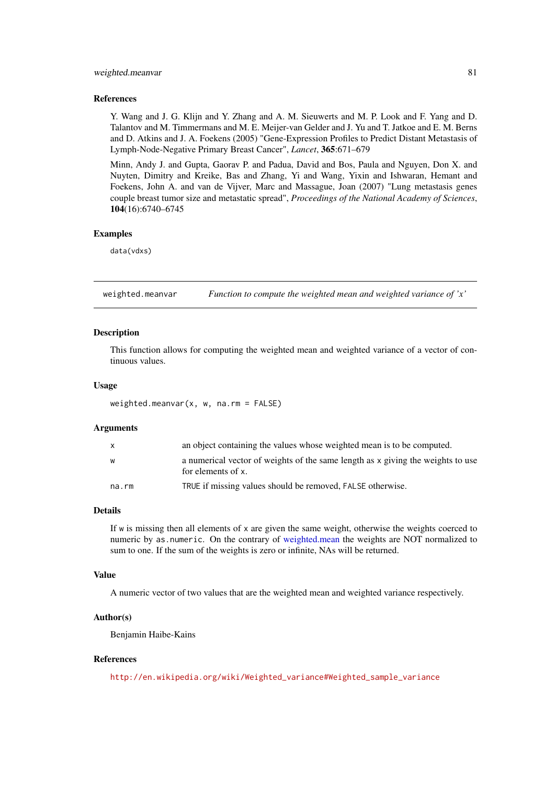#### <span id="page-80-0"></span>weighted.meanvar 81

#### References

Y. Wang and J. G. Klijn and Y. Zhang and A. M. Sieuwerts and M. P. Look and F. Yang and D. Talantov and M. Timmermans and M. E. Meijer-van Gelder and J. Yu and T. Jatkoe and E. M. Berns and D. Atkins and J. A. Foekens (2005) "Gene-Expression Profiles to Predict Distant Metastasis of Lymph-Node-Negative Primary Breast Cancer", *Lancet*, 365:671–679

Minn, Andy J. and Gupta, Gaorav P. and Padua, David and Bos, Paula and Nguyen, Don X. and Nuyten, Dimitry and Kreike, Bas and Zhang, Yi and Wang, Yixin and Ishwaran, Hemant and Foekens, John A. and van de Vijver, Marc and Massague, Joan (2007) "Lung metastasis genes couple breast tumor size and metastatic spread", *Proceedings of the National Academy of Sciences*, 104(16):6740–6745

#### Examples

data(vdxs)

weighted.meanvar *Function to compute the weighted mean and weighted variance of 'x'*

#### Description

This function allows for computing the weighted mean and weighted variance of a vector of continuous values.

# Usage

weighted.meanvar(x, w, na.rm = FALSE)

#### Arguments

| X     | an object containing the values whose weighted mean is to be computed.                                |
|-------|-------------------------------------------------------------------------------------------------------|
| W     | a numerical vector of weights of the same length as x giving the weights to use<br>for elements of x. |
| na.rm | TRUE if missing values should be removed, FALSE otherwise.                                            |

# Details

If  $\bf{w}$  is missing then all elements of  $\bf{x}$  are given the same weight, otherwise the weights coerced to numeric by as.numeric. On the contrary of [weighted.mean](#page-0-0) the weights are NOT normalized to sum to one. If the sum of the weights is zero or infinite, NAs will be returned.

#### Value

A numeric vector of two values that are the weighted mean and weighted variance respectively.

#### Author(s)

Benjamin Haibe-Kains

## References

[http://en.wikipedia.org/wiki/Weighted\\_variance#Weighted\\_sample\\_variance](http://en.wikipedia.org/wiki/Weighted_variance#Weighted_sample_variance)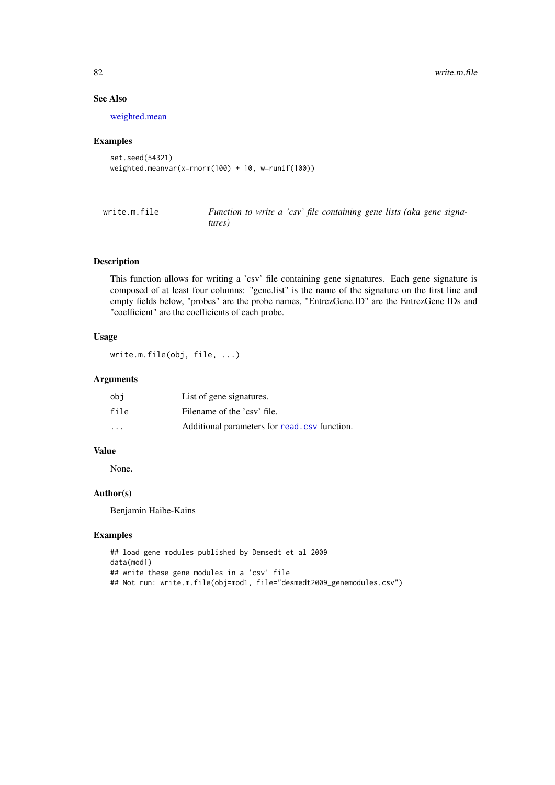# See Also

[weighted.mean](#page-0-0)

#### Examples

```
set.seed(54321)
weighted.meanvar(x=rnorm(100) + 10, w=runif(100))
```

| write.m.file | Function to write a 'csv' file containing gene lists (aka gene signa- |  |  |  |  |
|--------------|-----------------------------------------------------------------------|--|--|--|--|
|              | tures)                                                                |  |  |  |  |

## Description

This function allows for writing a 'csv' file containing gene signatures. Each gene signature is composed of at least four columns: "gene.list" is the name of the signature on the first line and empty fields below, "probes" are the probe names, "EntrezGene.ID" are the EntrezGene IDs and "coefficient" are the coefficients of each probe.

#### Usage

write.m.file(obj, file, ...)

#### Arguments

| obi                     | List of gene signatures.                      |
|-------------------------|-----------------------------------------------|
| file                    | Filename of the 'csy' file.                   |
| $\cdot$ $\cdot$ $\cdot$ | Additional parameters for read, csv function. |

# Value

None.

#### Author(s)

Benjamin Haibe-Kains

# Examples

```
## load gene modules published by Demsedt et al 2009
data(mod1)
## write these gene modules in a 'csv' file
## Not run: write.m.file(obj=mod1, file="desmedt2009_genemodules.csv")
```
<span id="page-81-0"></span>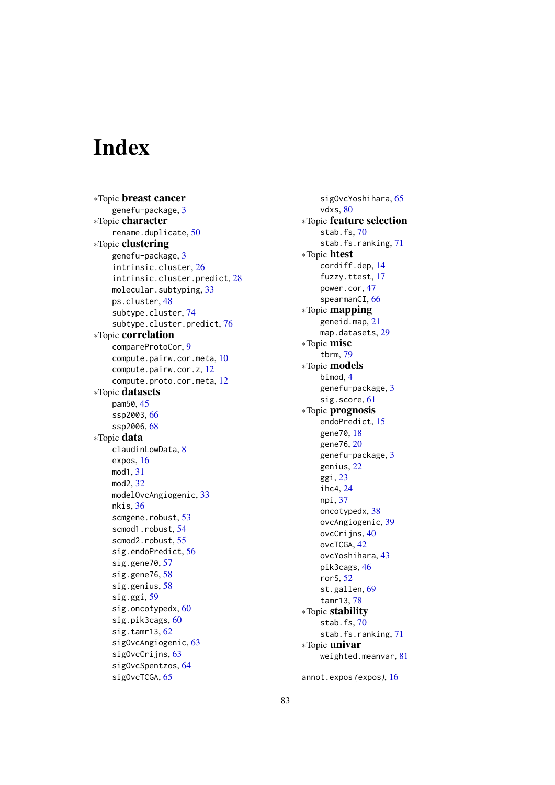# **Index**

∗Topic breast cancer genefu-package, [3](#page-2-0) ∗Topic character rename.duplicate, [50](#page-49-0) ∗Topic clustering genefu-package, [3](#page-2-0) intrinsic.cluster, [26](#page-25-1) intrinsic.cluster.predict, [28](#page-27-1) molecular.subtyping, [33](#page-32-0) ps.cluster, [48](#page-47-0) subtype.cluster, [74](#page-73-1) subtype.cluster.predict, [76](#page-75-1) ∗Topic correlation compareProtoCor, [9](#page-8-0) compute.pairw.cor.meta, [10](#page-9-0) compute.pairw.cor.z, [12](#page-11-0) compute.proto.cor.meta, [12](#page-11-0) ∗Topic datasets pam50, [45](#page-44-0) ssp2003, [66](#page-65-0) ssp2006.[68](#page-67-0) ∗Topic data claudinLowData, [8](#page-7-0) expos, [16](#page-15-0) mod1, [31](#page-30-0) mod2, [32](#page-31-0) modelOvcAngiogenic, [33](#page-32-0) nkis, [36](#page-35-0) scmgene.robust, [53](#page-52-1) scmod1.robust, [54](#page-53-1) scmod2.robust, [55](#page-54-1) sig.endoPredict, [56](#page-55-0) sig.gene70, [57](#page-56-0) sig.gene76, [58](#page-57-0) sig.genius, [58](#page-57-0) sig.ggi, [59](#page-58-0) sig.oncotypedx, [60](#page-59-0) sig.pik3cags, [60](#page-59-0) sig.tamr13, [62](#page-61-0) sigOvcAngiogenic, [63](#page-62-0) sigOvcCrijns, [63](#page-62-0) sigOvcSpentzos, [64](#page-63-0) sigOvcTCGA, [65](#page-64-0)

sigOvcYoshihara, [65](#page-64-0) vdxs, [80](#page-79-2) ∗Topic feature selection stab.fs, [70](#page-69-0) stab.fs.ranking, [71](#page-70-0) ∗Topic htest cordiff.dep, [14](#page-13-0) fuzzy.ttest, [17](#page-16-0) power.cor, [47](#page-46-0) spearmanCI, [66](#page-65-0) ∗Topic mapping geneid.map, [21](#page-20-0) map.datasets, [29](#page-28-0) ∗Topic misc tbrm, [79](#page-78-1) ∗Topic models bimod, [4](#page-3-0) genefu-package, [3](#page-2-0) sig.score, [61](#page-60-0) ∗Topic prognosis endoPredict, [15](#page-14-0) gene70, [18](#page-17-0) gene76, [20](#page-19-1) genefu-package, [3](#page-2-0) genius, [22](#page-21-0) ggi, [23](#page-22-0) ihc4, [24](#page-23-0) npi, [37](#page-36-0) oncotypedx, [38](#page-37-0) ovcAngiogenic, [39](#page-38-0) ovcCrijns, [40](#page-39-0) ovcTCGA, [42](#page-41-0) ovcYoshihara, [43](#page-42-0) pik3cags, [46](#page-45-0) rorS, [52](#page-51-0) st.gallen. [69](#page-68-0) tamr13, [78](#page-77-0) ∗Topic stability stab.fs, [70](#page-69-0) stab.fs.ranking, [71](#page-70-0) ∗Topic univar weighted.meanvar, [81](#page-80-0)

annot.expos *(*expos*)*, [16](#page-15-0)

83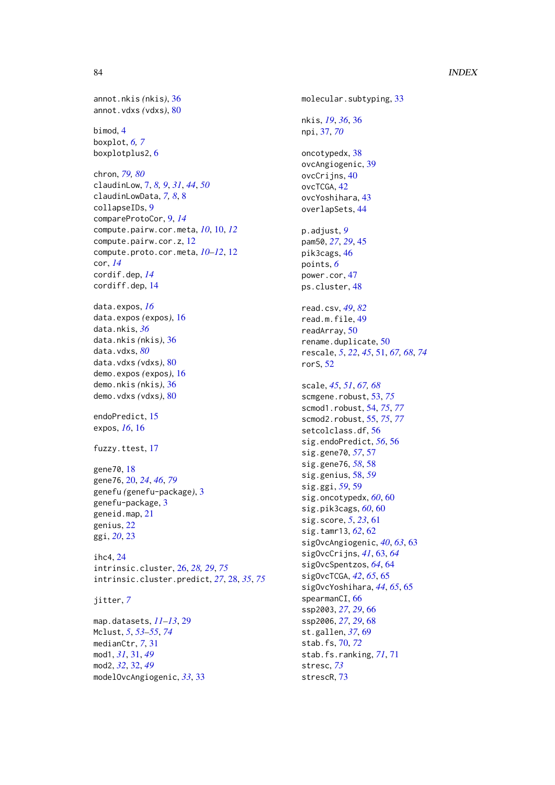#### 84 INDEX

```
annot.nkis (nkis), 36
annot.vdxs (vdxs), 80
```
bimod, [4](#page-3-0) boxplot, *[6,](#page-5-0) [7](#page-6-0)* boxplotplus2, [6](#page-5-0)

chron, *[79,](#page-78-1) [80](#page-79-2)* claudinLow, [7,](#page-6-0) *[8,](#page-7-0) [9](#page-8-0)*, *[31](#page-30-0)*, *[44](#page-43-0)*, *[50](#page-49-0)* claudinLowData, *[7,](#page-6-0) [8](#page-7-0)*, [8](#page-7-0) collapseIDs, [9](#page-8-0) compareProtoCor, [9,](#page-8-0) *[14](#page-13-0)* compute.pairw.cor.meta, *[10](#page-9-0)*, [10,](#page-9-0) *[12](#page-11-0)* compute.pairw.cor.z, [12](#page-11-0) compute.proto.cor.meta, *[10–](#page-9-0)[12](#page-11-0)*, [12](#page-11-0) cor, *[14](#page-13-0)* cordif.dep, *[14](#page-13-0)* cordiff.dep, [14](#page-13-0)

data.expos, *[16](#page-15-0)* data.expos *(*expos*)*, [16](#page-15-0) data.nkis, *[36](#page-35-0)* data.nkis *(*nkis*)*, [36](#page-35-0) data.vdxs, *[80](#page-79-2)* data.vdxs *(*vdxs*)*, [80](#page-79-2) demo.expos *(*expos*)*, [16](#page-15-0) demo.nkis *(*nkis*)*, [36](#page-35-0) demo.vdxs *(*vdxs*)*, [80](#page-79-2)

endoPredict, [15](#page-14-0) expos, *[16](#page-15-0)*, [16](#page-15-0)

fuzzy.ttest, [17](#page-16-0)

gene70, [18](#page-17-0) gene76, [20,](#page-19-1) *[24](#page-23-0)*, *[46](#page-45-0)*, *[79](#page-78-1)* genefu *(*genefu-package*)*, [3](#page-2-0) genefu-package, [3](#page-2-0) geneid.map, [21](#page-20-0) genius, [22](#page-21-0) ggi, *[20](#page-19-1)*, [23](#page-22-0)

ihc4, [24](#page-23-0) intrinsic.cluster, [26,](#page-25-1) *[28,](#page-27-1) [29](#page-28-0)*, *[75](#page-74-0)* intrinsic.cluster.predict, *[27](#page-26-0)*, [28,](#page-27-1) *[35](#page-34-0)*, *[75](#page-74-0)*

jitter, *[7](#page-6-0)*

map.datasets, *[11](#page-10-0)[–13](#page-12-0)*, [29](#page-28-0) Mclust, *[5](#page-4-0)*, *[53](#page-52-1)[–55](#page-54-1)*, *[74](#page-73-1)* medianCtr, *[7](#page-6-0)*, [31](#page-30-0) mod1, *[31](#page-30-0)*, [31,](#page-30-0) *[49](#page-48-0)* mod2, *[32](#page-31-0)*, [32,](#page-31-0) *[49](#page-48-0)* modelOvcAngiogenic, *[33](#page-32-0)*, [33](#page-32-0) molecular.subtyping, [33](#page-32-0) nkis, *[19](#page-18-0)*, *[36](#page-35-0)*, [36](#page-35-0) npi, [37,](#page-36-0) *[70](#page-69-0)* oncotypedx, [38](#page-37-0) ovcAngiogenic, [39](#page-38-0) ovc $Cri$  ins,  $40$ ovcTCGA, [42](#page-41-0) ovcYoshihara, [43](#page-42-0) overlapSets, [44](#page-43-0) p.adjust, *[9](#page-8-0)* pam50, *[27](#page-26-0)*, *[29](#page-28-0)*, [45](#page-44-0) pik3cags, [46](#page-45-0) points, *[6](#page-5-0)* power.cor, [47](#page-46-0) ps.cluster, [48](#page-47-0) read.csv, *[49](#page-48-0)*, *[82](#page-81-0)* read.m.file, [49](#page-48-0) readArray, [50](#page-49-0) rename.duplicate, [50](#page-49-0) rescale, *[5](#page-4-0)*, *[22](#page-21-0)*, *[45](#page-44-0)*, [51,](#page-50-1) *[67,](#page-66-0) [68](#page-67-0)*, *[74](#page-73-1)* rorS, [52](#page-51-0) scale, *[45](#page-44-0)*, *[51](#page-50-1)*, *[67,](#page-66-0) [68](#page-67-0)* scmgene.robust, [53,](#page-52-1) *[75](#page-74-0)* scmod1.robust, [54,](#page-53-1) *[75](#page-74-0)*, *[77](#page-76-0)* scmod2.robust, [55,](#page-54-1) *[75](#page-74-0)*, *[77](#page-76-0)* setcolclass.df, [56](#page-55-0) sig.endoPredict, *[56](#page-55-0)*, [56](#page-55-0) sig.gene70, *[57](#page-56-0)*, [57](#page-56-0) sig.gene76, *[58](#page-57-0)*, [58](#page-57-0) sig.genius, [58,](#page-57-0) *[59](#page-58-0)* sig.ggi, *[59](#page-58-0)*, [59](#page-58-0) sig.oncotypedx, *[60](#page-59-0)*, [60](#page-59-0) sig.pik3cags, *[60](#page-59-0)*, [60](#page-59-0) sig.score, *[5](#page-4-0)*, *[23](#page-22-0)*, [61](#page-60-0) sig.tamr13, *[62](#page-61-0)*, [62](#page-61-0) sigOvcAngiogenic, *[40](#page-39-0)*, *[63](#page-62-0)*, [63](#page-62-0) sigOvcCrijns, *[41](#page-40-0)*, [63,](#page-62-0) *[64](#page-63-0)* sigOvcSpentzos, *[64](#page-63-0)*, [64](#page-63-0) sigOvcTCGA, *[42](#page-41-0)*, *[65](#page-64-0)*, [65](#page-64-0) sigOvcYoshihara, *[44](#page-43-0)*, *[65](#page-64-0)*, [65](#page-64-0) spearmanCI, [66](#page-65-0) ssp2003, *[27](#page-26-0)*, *[29](#page-28-0)*, [66](#page-65-0) ssp2006, *[27](#page-26-0)*, *[29](#page-28-0)*, [68](#page-67-0) st.gallen, *[37](#page-36-0)*, [69](#page-68-0) stab.fs, [70,](#page-69-0) *[72](#page-71-0)* stab.fs.ranking, *[71](#page-70-0)*, [71](#page-70-0) stresc, *[73](#page-72-0)* strescR, [73](#page-72-0)